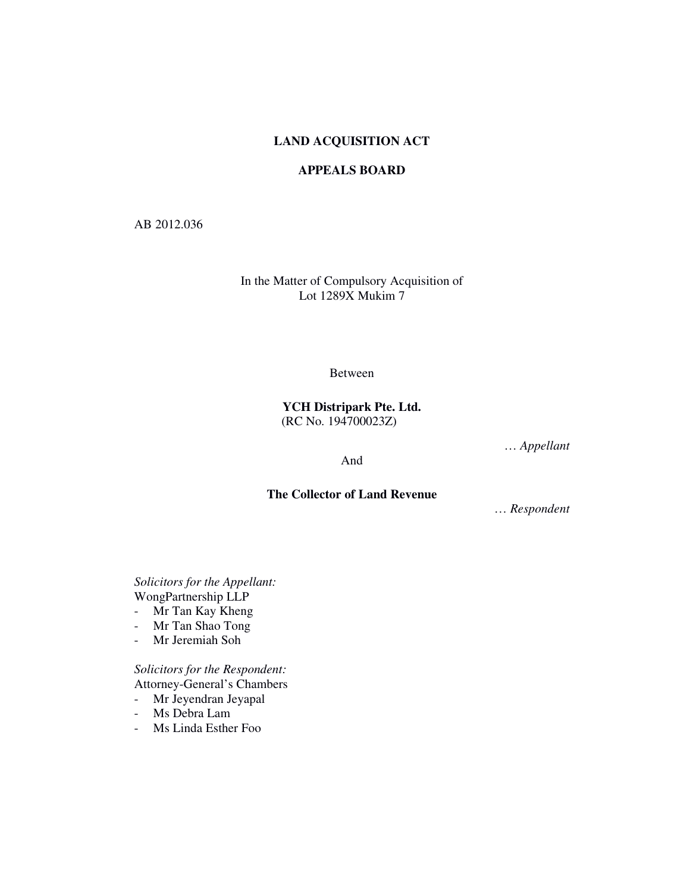## **LAND ACQUISITION ACT**

## **APPEALS BOARD**

AB 2012.036

In the Matter of Compulsory Acquisition of Lot 1289X Mukim 7

Between

**YCH Distripark Pte. Ltd.** (RC No. 194700023Z)

And

… *Appellant*

**The Collector of Land Revenue** 

… *Respondent* 

*Solicitors for the Appellant:*  WongPartnership LLP

- Mr Tan Kay Kheng
- Mr Tan Shao Tong
- Mr Jeremiah Soh

*Solicitors for the Respondent:*  Attorney-General's Chambers

- Mr Jeyendran Jeyapal

- Ms Debra Lam
- Ms Linda Esther Foo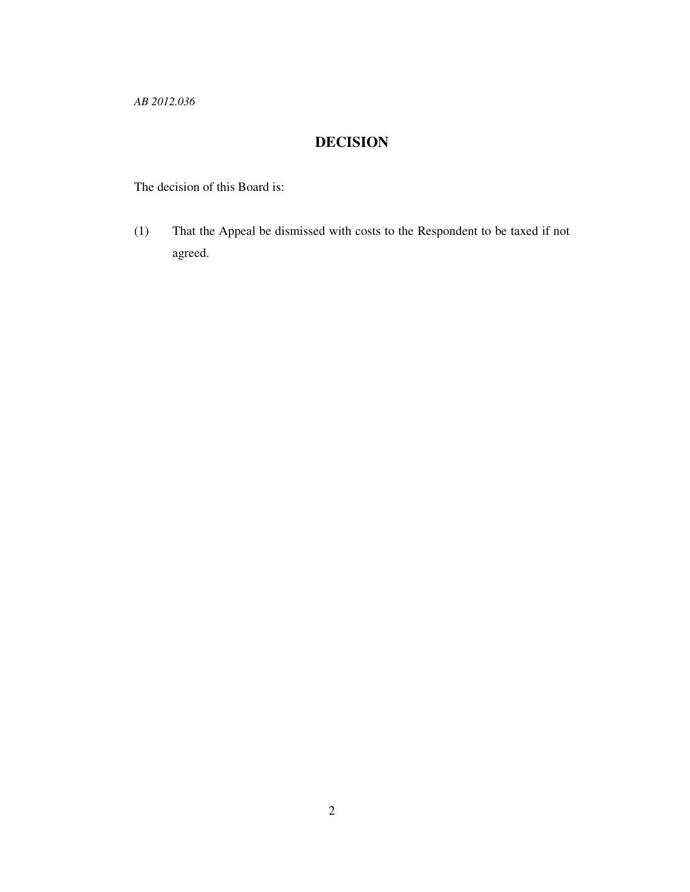*AB 2012.036* 

# **DECISION**

The decision of this Board is:

(1) That the Appeal be dismissed with costs to the Respondent to be taxed if not agreed.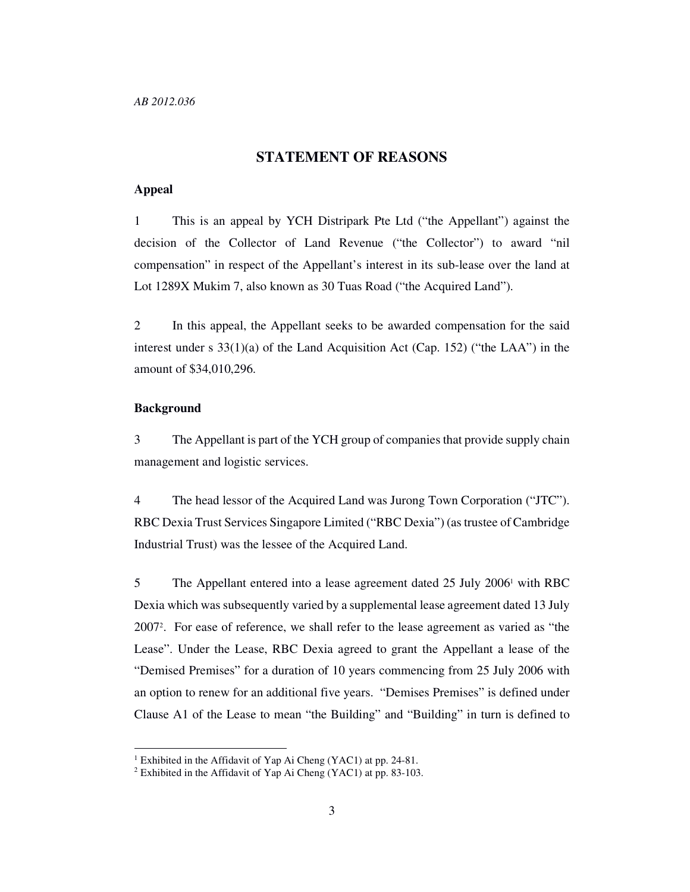## **STATEMENT OF REASONS**

### **Appeal**

1 This is an appeal by YCH Distripark Pte Ltd ("the Appellant") against the decision of the Collector of Land Revenue ("the Collector") to award "nil compensation" in respect of the Appellant's interest in its sub-lease over the land at Lot 1289X Mukim 7, also known as 30 Tuas Road ("the Acquired Land").

2 In this appeal, the Appellant seeks to be awarded compensation for the said interest under s 33(1)(a) of the Land Acquisition Act (Cap. 152) ("the LAA") in the amount of \$34,010,296.

## **Background**

-

3 The Appellant is part of the YCH group of companies that provide supply chain management and logistic services.

4 The head lessor of the Acquired Land was Jurong Town Corporation ("JTC"). RBC Dexia Trust Services Singapore Limited ("RBC Dexia") (as trustee of Cambridge Industrial Trust) was the lessee of the Acquired Land.

5 The Appellant entered into a lease agreement dated 25 July 2006<sup>1</sup> with RBC Dexia which was subsequently varied by a supplemental lease agreement dated 13 July 2007<sup>2</sup> . For ease of reference, we shall refer to the lease agreement as varied as "the Lease". Under the Lease, RBC Dexia agreed to grant the Appellant a lease of the "Demised Premises" for a duration of 10 years commencing from 25 July 2006 with an option to renew for an additional five years. "Demises Premises" is defined under Clause A1 of the Lease to mean "the Building" and "Building" in turn is defined to

<sup>&</sup>lt;sup>1</sup> Exhibited in the Affidavit of Yap Ai Cheng (YAC1) at pp. 24-81.

<sup>2</sup> Exhibited in the Affidavit of Yap Ai Cheng (YAC1) at pp. 83-103.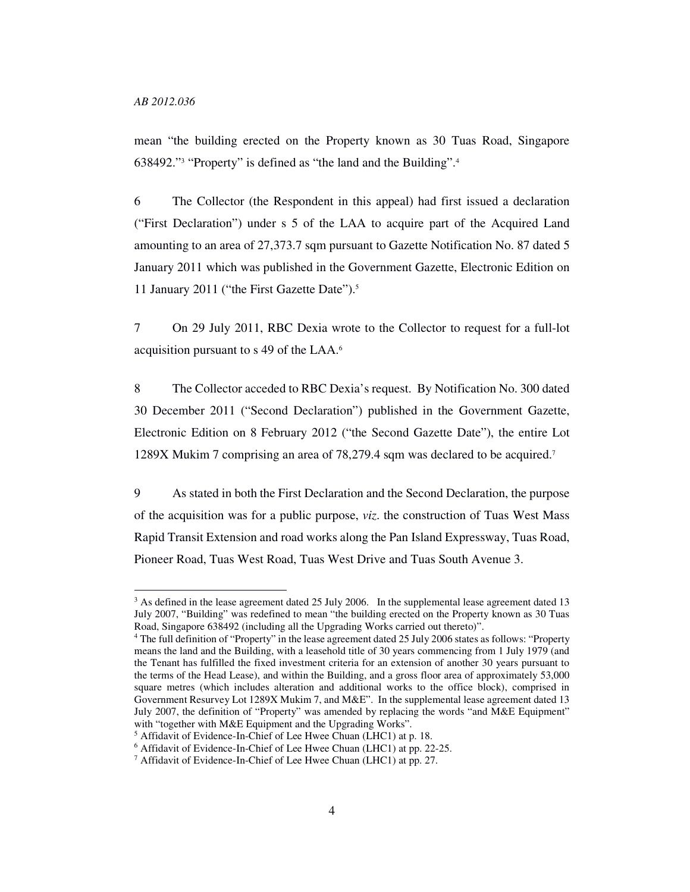-

mean "the building erected on the Property known as 30 Tuas Road, Singapore 638492."<sup>3</sup> "Property" is defined as "the land and the Building".<sup>4</sup>

6 The Collector (the Respondent in this appeal) had first issued a declaration ("First Declaration") under s 5 of the LAA to acquire part of the Acquired Land amounting to an area of 27,373.7 sqm pursuant to Gazette Notification No. 87 dated 5 January 2011 which was published in the Government Gazette, Electronic Edition on 11 January 2011 ("the First Gazette Date").<sup>5</sup>

7 On 29 July 2011, RBC Dexia wrote to the Collector to request for a full-lot acquisition pursuant to s 49 of the LAA.<sup>6</sup>

8 The Collector acceded to RBC Dexia's request. By Notification No. 300 dated 30 December 2011 ("Second Declaration") published in the Government Gazette, Electronic Edition on 8 February 2012 ("the Second Gazette Date"), the entire Lot 1289X Mukim 7 comprising an area of 78,279.4 sqm was declared to be acquired.<sup>7</sup>

9 As stated in both the First Declaration and the Second Declaration, the purpose of the acquisition was for a public purpose, *viz*. the construction of Tuas West Mass Rapid Transit Extension and road works along the Pan Island Expressway, Tuas Road, Pioneer Road, Tuas West Road, Tuas West Drive and Tuas South Avenue 3.

<sup>&</sup>lt;sup>3</sup> As defined in the lease agreement dated 25 July 2006. In the supplemental lease agreement dated 13 July 2007, "Building" was redefined to mean "the building erected on the Property known as 30 Tuas Road, Singapore 638492 (including all the Upgrading Works carried out thereto)".

<sup>4</sup> The full definition of "Property" in the lease agreement dated 25 July 2006 states as follows: "Property means the land and the Building, with a leasehold title of 30 years commencing from 1 July 1979 (and the Tenant has fulfilled the fixed investment criteria for an extension of another 30 years pursuant to the terms of the Head Lease), and within the Building, and a gross floor area of approximately 53,000 square metres (which includes alteration and additional works to the office block), comprised in Government Resurvey Lot 1289X Mukim 7, and M&E". In the supplemental lease agreement dated 13 July 2007, the definition of "Property" was amended by replacing the words "and M&E Equipment" with "together with M&E Equipment and the Upgrading Works".

<sup>&</sup>lt;sup>5</sup> Affidavit of Evidence-In-Chief of Lee Hwee Chuan (LHC1) at p. 18.

<sup>6</sup> Affidavit of Evidence-In-Chief of Lee Hwee Chuan (LHC1) at pp. 22-25.

<sup>&</sup>lt;sup>7</sup> Affidavit of Evidence-In-Chief of Lee Hwee Chuan (LHC1) at pp. 27.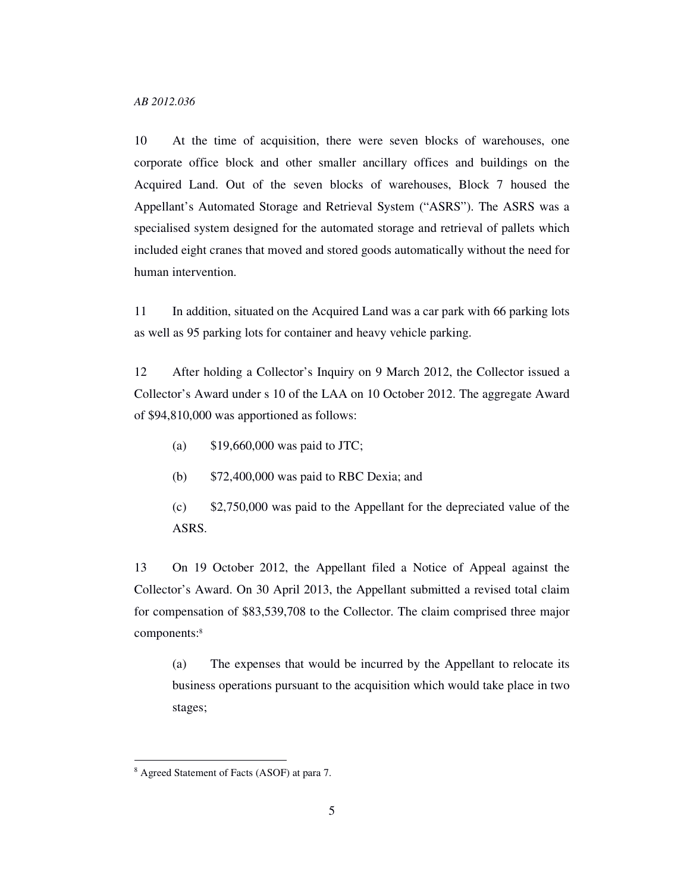10 At the time of acquisition, there were seven blocks of warehouses, one corporate office block and other smaller ancillary offices and buildings on the Acquired Land. Out of the seven blocks of warehouses, Block 7 housed the Appellant's Automated Storage and Retrieval System ("ASRS"). The ASRS was a specialised system designed for the automated storage and retrieval of pallets which included eight cranes that moved and stored goods automatically without the need for human intervention.

11 In addition, situated on the Acquired Land was a car park with 66 parking lots as well as 95 parking lots for container and heavy vehicle parking.

12 After holding a Collector's Inquiry on 9 March 2012, the Collector issued a Collector's Award under s 10 of the LAA on 10 October 2012. The aggregate Award of \$94,810,000 was apportioned as follows:

- (a) \$19,660,000 was paid to JTC;
- (b) \$72,400,000 was paid to RBC Dexia; and
- (c) \$2,750,000 was paid to the Appellant for the depreciated value of the ASRS.

13 On 19 October 2012, the Appellant filed a Notice of Appeal against the Collector's Award. On 30 April 2013, the Appellant submitted a revised total claim for compensation of \$83,539,708 to the Collector. The claim comprised three major components:<sup>8</sup>

(a) The expenses that would be incurred by the Appellant to relocate its business operations pursuant to the acquisition which would take place in two stages;

<sup>8</sup> Agreed Statement of Facts (ASOF) at para 7.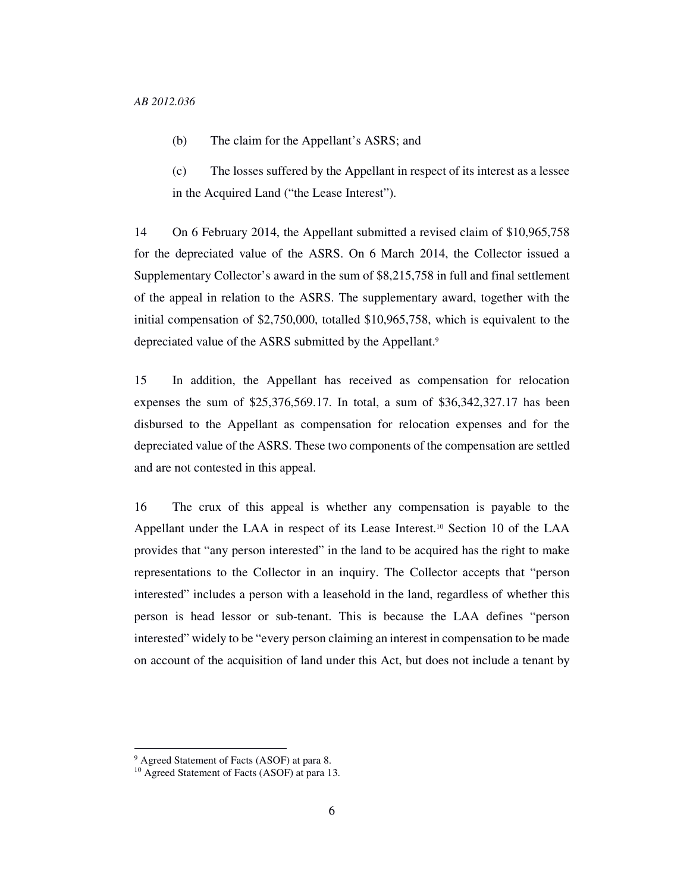- (b) The claim for the Appellant's ASRS; and
- (c) The losses suffered by the Appellant in respect of its interest as a lessee in the Acquired Land ("the Lease Interest").

14 On 6 February 2014, the Appellant submitted a revised claim of \$10,965,758 for the depreciated value of the ASRS. On 6 March 2014, the Collector issued a Supplementary Collector's award in the sum of \$8,215,758 in full and final settlement of the appeal in relation to the ASRS. The supplementary award, together with the initial compensation of \$2,750,000, totalled \$10,965,758, which is equivalent to the depreciated value of the ASRS submitted by the Appellant.<sup>9</sup>

15 In addition, the Appellant has received as compensation for relocation expenses the sum of \$25,376,569.17. In total, a sum of \$36,342,327.17 has been disbursed to the Appellant as compensation for relocation expenses and for the depreciated value of the ASRS. These two components of the compensation are settled and are not contested in this appeal.

16 The crux of this appeal is whether any compensation is payable to the Appellant under the LAA in respect of its Lease Interest.<sup>10</sup> Section 10 of the LAA provides that "any person interested" in the land to be acquired has the right to make representations to the Collector in an inquiry. The Collector accepts that "person interested" includes a person with a leasehold in the land, regardless of whether this person is head lessor or sub-tenant. This is because the LAA defines "person interested" widely to be "every person claiming an interest in compensation to be made on account of the acquisition of land under this Act, but does not include a tenant by

<sup>9</sup> Agreed Statement of Facts (ASOF) at para 8.

<sup>10</sup> Agreed Statement of Facts (ASOF) at para 13.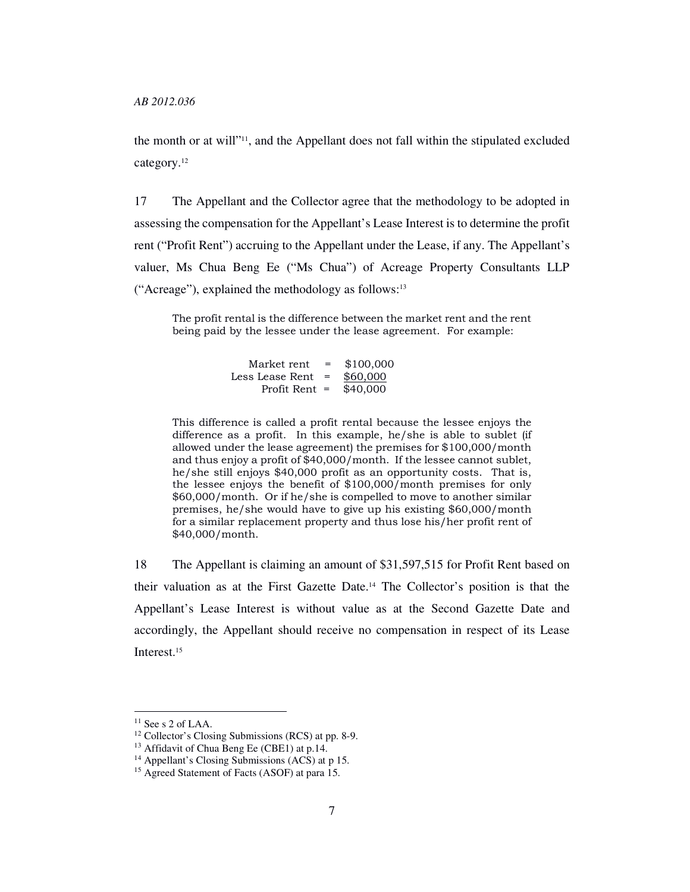the month or at will"11, and the Appellant does not fall within the stipulated excluded category.<sup>12</sup>

17 The Appellant and the Collector agree that the methodology to be adopted in assessing the compensation for the Appellant's Lease Interest is to determine the profit rent ("Profit Rent") accruing to the Appellant under the Lease, if any. The Appellant's valuer, Ms Chua Beng Ee ("Ms Chua") of Acreage Property Consultants LLP ("Acreage"), explained the methodology as follows:<sup>13</sup>

The profit rental is the difference between the market rent and the rent being paid by the lessee under the lease agreement. For example:

| Market rent     | $=$ | \$100,000 |
|-----------------|-----|-----------|
| Less Lease Rent | $=$ | \$60,000  |
| Profit Rent $=$ |     | \$40,000  |

This difference is called a profit rental because the lessee enjoys the difference as a profit. In this example, he/she is able to sublet (if allowed under the lease agreement) the premises for \$100,000/month and thus enjoy a profit of \$40,000/month. If the lessee cannot sublet, he/she still enjoys \$40,000 profit as an opportunity costs. That is, the lessee enjoys the benefit of \$100,000/month premises for only \$60,000/month. Or if he/she is compelled to move to another similar premises, he/she would have to give up his existing \$60,000/month for a similar replacement property and thus lose his/her profit rent of \$40,000/month.

18 The Appellant is claiming an amount of \$31,597,515 for Profit Rent based on their valuation as at the First Gazette Date.14 The Collector's position is that the Appellant's Lease Interest is without value as at the Second Gazette Date and accordingly, the Appellant should receive no compensation in respect of its Lease Interest.<sup>15</sup>

 $11$  See s 2 of LAA.

<sup>12</sup> Collector's Closing Submissions (RCS) at pp. 8-9.

<sup>&</sup>lt;sup>13</sup> Affidavit of Chua Beng Ee (CBE1) at p.14.

<sup>&</sup>lt;sup>14</sup> Appellant's Closing Submissions (ACS) at p 15.

<sup>15</sup> Agreed Statement of Facts (ASOF) at para 15.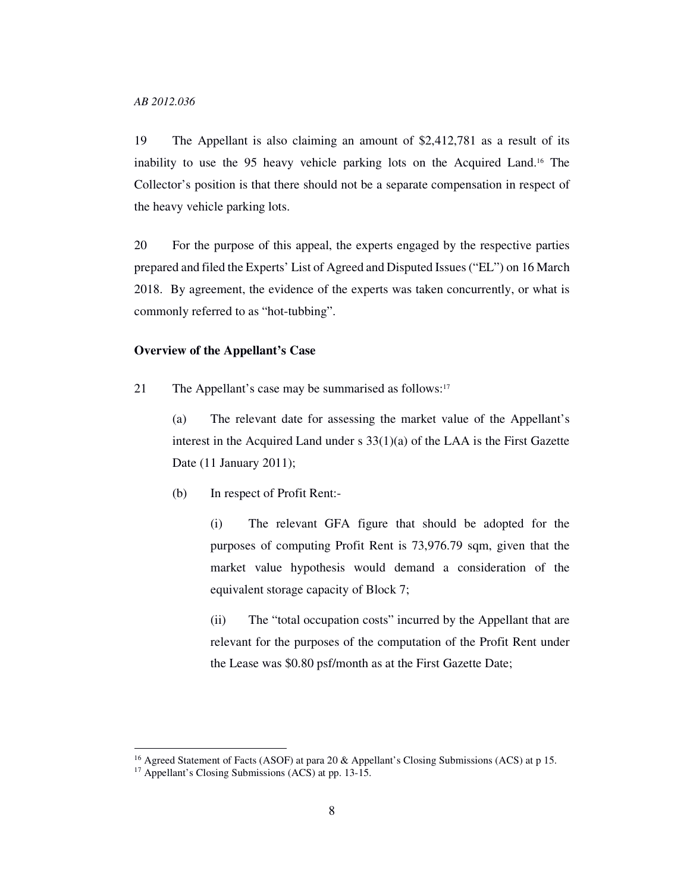*AB 2012.036* 

19 The Appellant is also claiming an amount of \$2,412,781 as a result of its inability to use the 95 heavy vehicle parking lots on the Acquired Land.16 The Collector's position is that there should not be a separate compensation in respect of the heavy vehicle parking lots.

20 For the purpose of this appeal, the experts engaged by the respective parties prepared and filed the Experts' List of Agreed and Disputed Issues ("EL") on 16 March 2018. By agreement, the evidence of the experts was taken concurrently, or what is commonly referred to as "hot-tubbing".

### **Overview of the Appellant's Case**

21 The Appellant's case may be summarised as follows:<sup>17</sup>

(a) The relevant date for assessing the market value of the Appellant's interest in the Acquired Land under s 33(1)(a) of the LAA is the First Gazette Date (11 January 2011);

(b) In respect of Profit Rent:-

(i) The relevant GFA figure that should be adopted for the purposes of computing Profit Rent is 73,976.79 sqm, given that the market value hypothesis would demand a consideration of the equivalent storage capacity of Block 7;

(ii) The "total occupation costs" incurred by the Appellant that are relevant for the purposes of the computation of the Profit Rent under the Lease was \$0.80 psf/month as at the First Gazette Date;

<sup>&</sup>lt;sup>16</sup> Agreed Statement of Facts (ASOF) at para 20 & Appellant's Closing Submissions (ACS) at p 15.

<sup>&</sup>lt;sup>17</sup> Appellant's Closing Submissions (ACS) at pp. 13-15.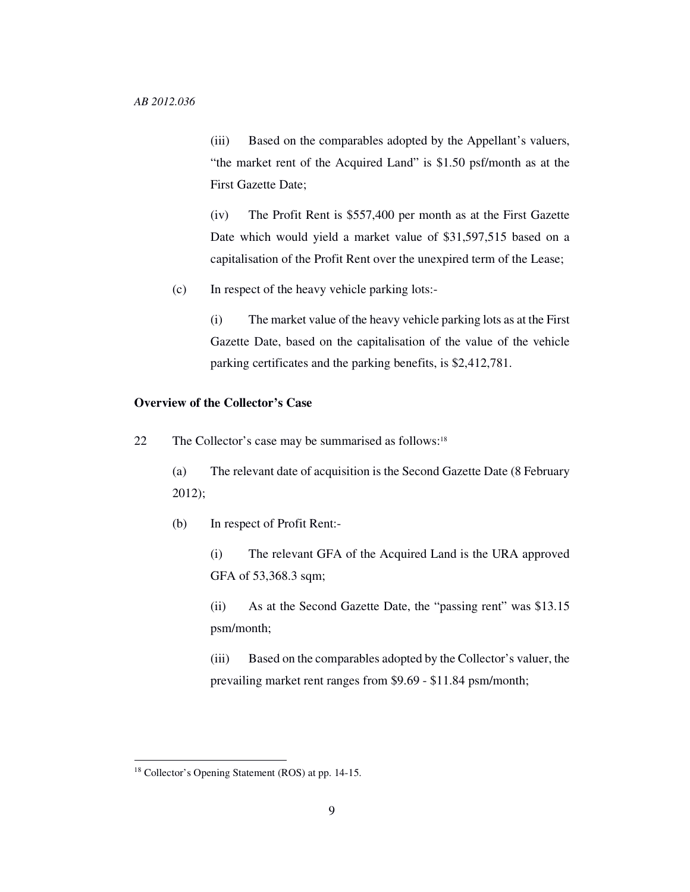(iii) Based on the comparables adopted by the Appellant's valuers, "the market rent of the Acquired Land" is \$1.50 psf/month as at the First Gazette Date;

(iv) The Profit Rent is \$557,400 per month as at the First Gazette Date which would yield a market value of \$31,597,515 based on a capitalisation of the Profit Rent over the unexpired term of the Lease;

(c) In respect of the heavy vehicle parking lots:-

(i) The market value of the heavy vehicle parking lots as at the First Gazette Date, based on the capitalisation of the value of the vehicle parking certificates and the parking benefits, is \$2,412,781.

## **Overview of the Collector's Case**

22 The Collector's case may be summarised as follows:<sup>18</sup>

(a) The relevant date of acquisition is the Second Gazette Date (8 February 2012);

(b) In respect of Profit Rent:-

(i) The relevant GFA of the Acquired Land is the URA approved GFA of 53,368.3 sqm;

(ii) As at the Second Gazette Date, the "passing rent" was \$13.15 psm/month;

(iii) Based on the comparables adopted by the Collector's valuer, the prevailing market rent ranges from \$9.69 - \$11.84 psm/month;

<sup>18</sup> Collector's Opening Statement (ROS) at pp. 14-15.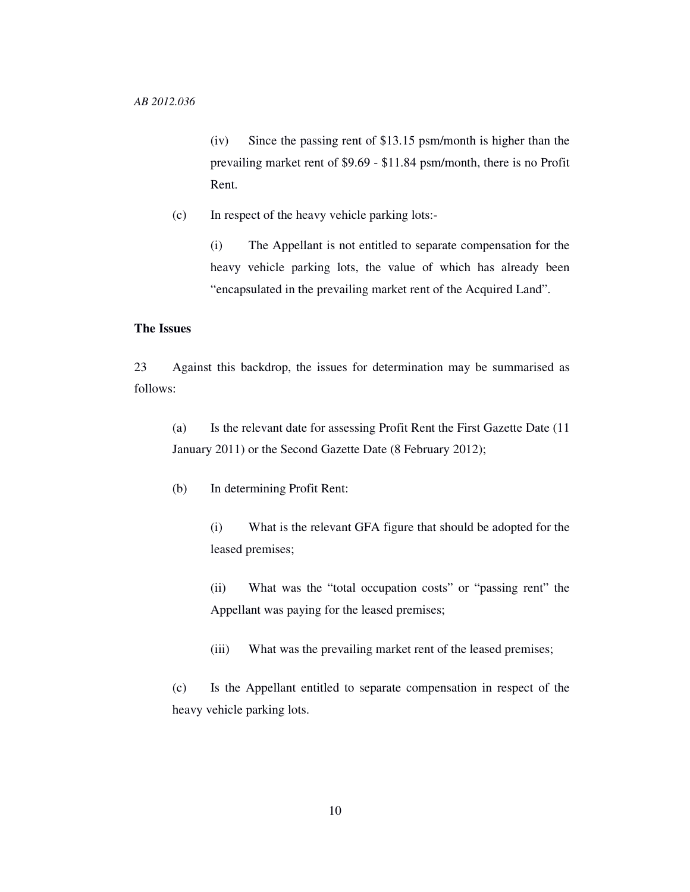(iv) Since the passing rent of \$13.15 psm/month is higher than the prevailing market rent of \$9.69 - \$11.84 psm/month, there is no Profit Rent.

(c) In respect of the heavy vehicle parking lots:-

(i) The Appellant is not entitled to separate compensation for the heavy vehicle parking lots, the value of which has already been "encapsulated in the prevailing market rent of the Acquired Land".

## **The Issues**

23 Against this backdrop, the issues for determination may be summarised as follows:

(a) Is the relevant date for assessing Profit Rent the First Gazette Date (11 January 2011) or the Second Gazette Date (8 February 2012);

(b) In determining Profit Rent:

(i) What is the relevant GFA figure that should be adopted for the leased premises;

(ii) What was the "total occupation costs" or "passing rent" the Appellant was paying for the leased premises;

(iii) What was the prevailing market rent of the leased premises;

(c) Is the Appellant entitled to separate compensation in respect of the heavy vehicle parking lots.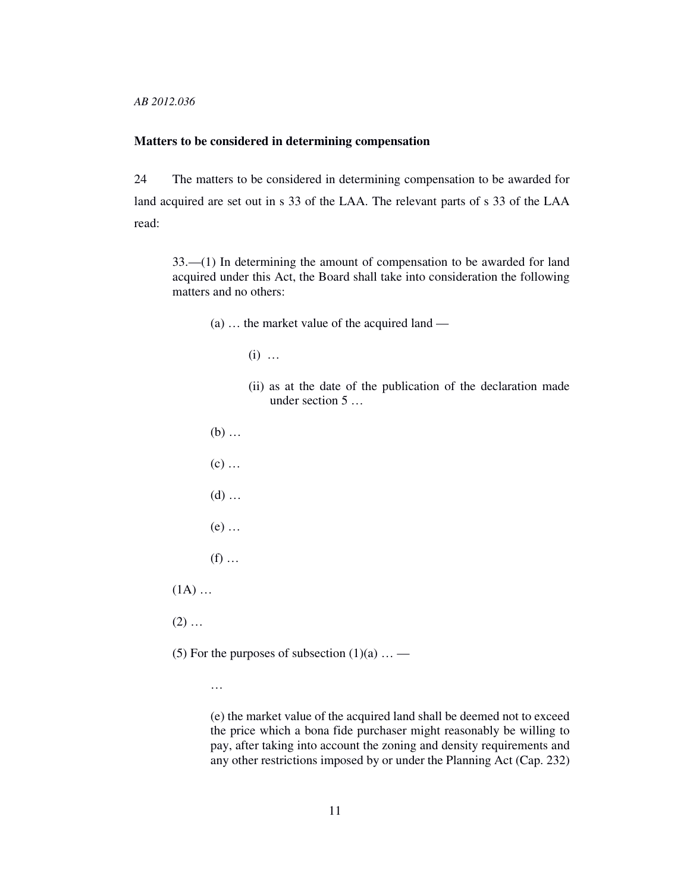*AB 2012.036* 

### **Matters to be considered in determining compensation**

24 The matters to be considered in determining compensation to be awarded for land acquired are set out in s 33 of the LAA. The relevant parts of s 33 of the LAA read:

33.—(1) In determining the amount of compensation to be awarded for land acquired under this Act, the Board shall take into consideration the following matters and no others:

- (a) … the market value of the acquired land
	- (i) …
	- (ii) as at the date of the publication of the declaration made under section 5 …

(b) …  $(c)$  ...  $(d)$  ... (e) …  $(f)$  ...  $(1A)$  ...  $(2)$  ...

(5) For the purposes of subsection  $(1)(a)$  ... —

…

(e) the market value of the acquired land shall be deemed not to exceed the price which a bona fide purchaser might reasonably be willing to pay, after taking into account the zoning and density requirements and any other restrictions imposed by or under the Planning Act (Cap. 232)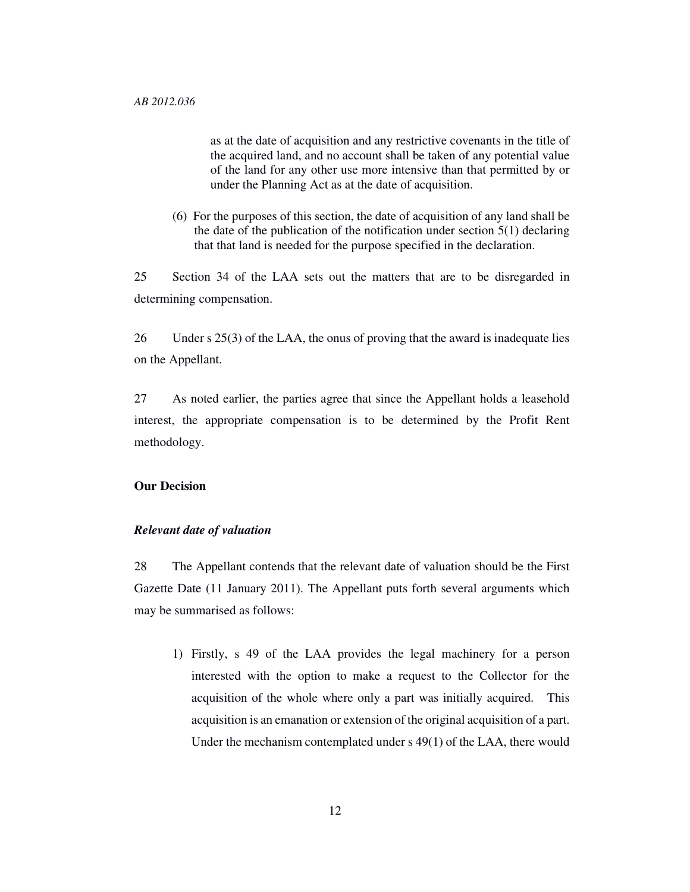as at the date of acquisition and any restrictive covenants in the title of the acquired land, and no account shall be taken of any potential value of the land for any other use more intensive than that permitted by or under the Planning Act as at the date of acquisition.

(6) For the purposes of this section, the date of acquisition of any land shall be the date of the publication of the notification under section 5(1) declaring that that land is needed for the purpose specified in the declaration.

25 Section 34 of the LAA sets out the matters that are to be disregarded in determining compensation.

26 Under s 25(3) of the LAA, the onus of proving that the award is inadequate lies on the Appellant.

27 As noted earlier, the parties agree that since the Appellant holds a leasehold interest, the appropriate compensation is to be determined by the Profit Rent methodology.

## **Our Decision**

### *Relevant date of valuation*

28 The Appellant contends that the relevant date of valuation should be the First Gazette Date (11 January 2011). The Appellant puts forth several arguments which may be summarised as follows:

1) Firstly, s 49 of the LAA provides the legal machinery for a person interested with the option to make a request to the Collector for the acquisition of the whole where only a part was initially acquired. This acquisition is an emanation or extension of the original acquisition of a part. Under the mechanism contemplated under s 49(1) of the LAA, there would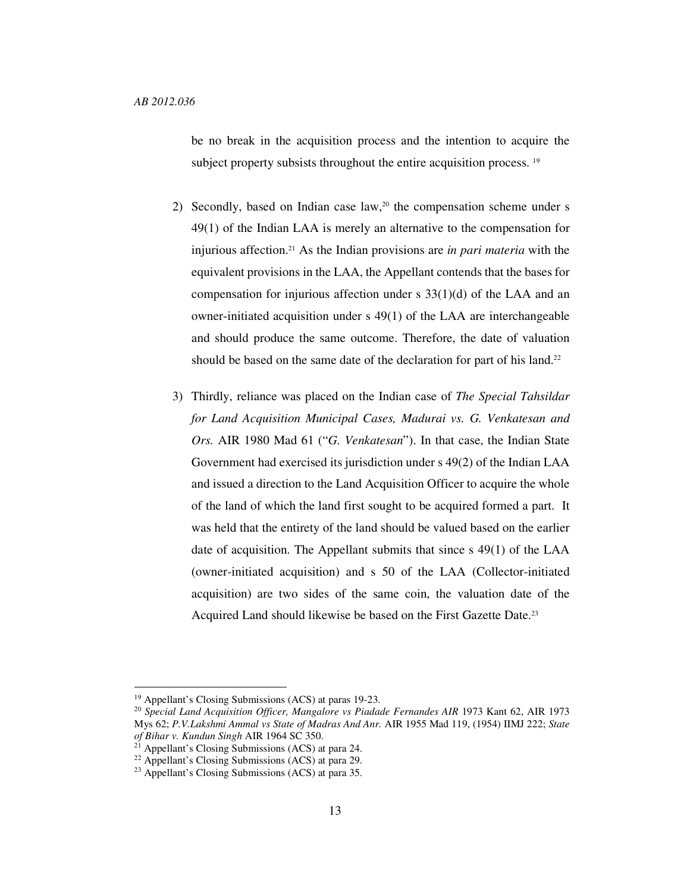be no break in the acquisition process and the intention to acquire the subject property subsists throughout the entire acquisition process.<sup>19</sup>

- 2) Secondly, based on Indian case law,<sup>20</sup> the compensation scheme under s 49(1) of the Indian LAA is merely an alternative to the compensation for injurious affection.21 As the Indian provisions are *in pari materia* with the equivalent provisions in the LAA, the Appellant contends that the bases for compensation for injurious affection under s 33(1)(d) of the LAA and an owner-initiated acquisition under s 49(1) of the LAA are interchangeable and should produce the same outcome. Therefore, the date of valuation should be based on the same date of the declaration for part of his land.<sup>22</sup>
- 3) Thirdly, reliance was placed on the Indian case of *The Special Tahsildar for Land Acquisition Municipal Cases, Madurai vs. G. Venkatesan and Ors.* AIR 1980 Mad 61 ("*G. Venkatesan*"). In that case, the Indian State Government had exercised its jurisdiction under s 49(2) of the Indian LAA and issued a direction to the Land Acquisition Officer to acquire the whole of the land of which the land first sought to be acquired formed a part. It was held that the entirety of the land should be valued based on the earlier date of acquisition. The Appellant submits that since s 49(1) of the LAA (owner-initiated acquisition) and s 50 of the LAA (Collector-initiated acquisition) are two sides of the same coin, the valuation date of the Acquired Land should likewise be based on the First Gazette Date.<sup>23</sup>

<sup>19</sup> Appellant's Closing Submissions (ACS) at paras 19-23.

<sup>20</sup> *Special Land Acquisition Officer, Mangalore vs Piadade Fernandes AIR* 1973 Kant 62, AIR 1973 Mys 62; *P.V.Lakshmi Ammal vs State of Madras And Anr.* AIR 1955 Mad 119, (1954) IIMJ 222; *State of Bihar v. Kundun Singh* AIR 1964 SC 350.

 $2<sup>1</sup>$  Appellant's Closing Submissions (ACS) at para 24.

 $22$  Appellant's Closing Submissions (ACS) at para 29.

<sup>23</sup> Appellant's Closing Submissions (ACS) at para 35.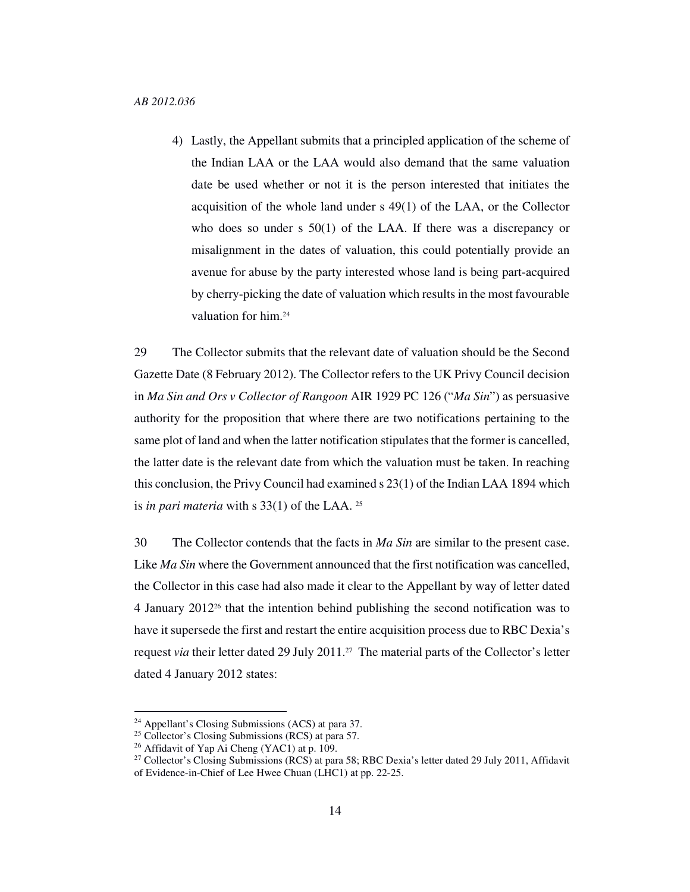4) Lastly, the Appellant submits that a principled application of the scheme of the Indian LAA or the LAA would also demand that the same valuation date be used whether or not it is the person interested that initiates the acquisition of the whole land under s 49(1) of the LAA, or the Collector who does so under s 50(1) of the LAA. If there was a discrepancy or misalignment in the dates of valuation, this could potentially provide an avenue for abuse by the party interested whose land is being part-acquired by cherry-picking the date of valuation which results in the most favourable valuation for him.<sup>24</sup>

29 The Collector submits that the relevant date of valuation should be the Second Gazette Date (8 February 2012). The Collector refers to the UK Privy Council decision in *Ma Sin and Ors v Collector of Rangoon* AIR 1929 PC 126 ("*Ma Sin*") as persuasive authority for the proposition that where there are two notifications pertaining to the same plot of land and when the latter notification stipulates that the former is cancelled, the latter date is the relevant date from which the valuation must be taken. In reaching this conclusion, the Privy Council had examined s 23(1) of the Indian LAA 1894 which is *in pari materia* with s 33(1) of the LAA. <sup>25</sup>

30 The Collector contends that the facts in *Ma Sin* are similar to the present case. Like *Ma Sin* where the Government announced that the first notification was cancelled, the Collector in this case had also made it clear to the Appellant by way of letter dated 4 January 201226 that the intention behind publishing the second notification was to have it supersede the first and restart the entire acquisition process due to RBC Dexia's request *via* their letter dated 29 July 2011.27 The material parts of the Collector's letter dated 4 January 2012 states:

<sup>24</sup> Appellant's Closing Submissions (ACS) at para 37.

<sup>&</sup>lt;sup>25</sup> Collector's Closing Submissions (RCS) at para 57.

<sup>26</sup> Affidavit of Yap Ai Cheng (YAC1) at p. 109.

<sup>&</sup>lt;sup>27</sup> Collector's Closing Submissions (RCS) at para 58; RBC Dexia's letter dated 29 July 2011, Affidavit of Evidence-in-Chief of Lee Hwee Chuan (LHC1) at pp. 22-25.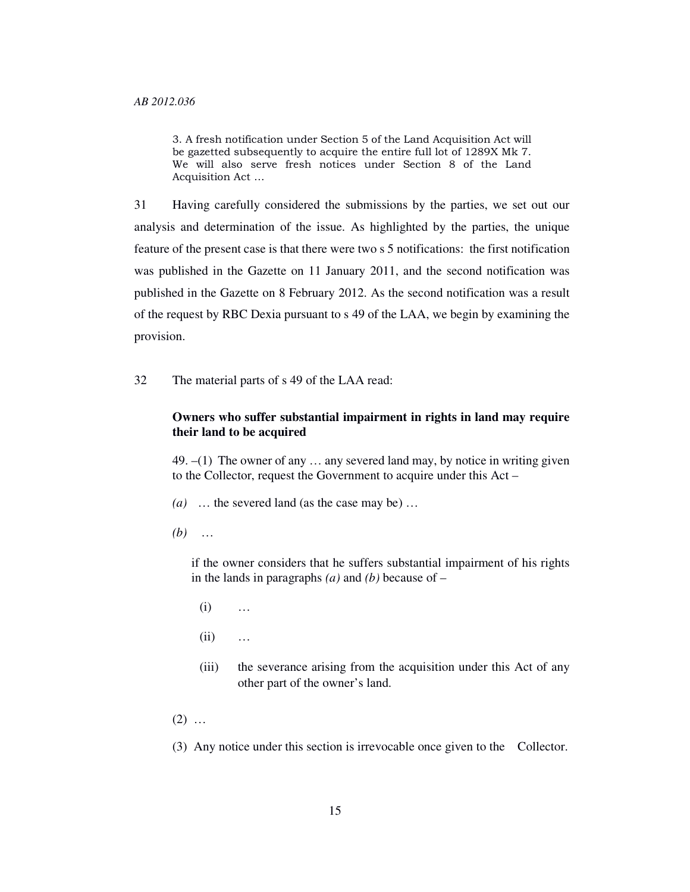3. A fresh notification under Section 5 of the Land Acquisition Act will be gazetted subsequently to acquire the entire full lot of 1289X Mk 7. We will also serve fresh notices under Section 8 of the Land Acquisition Act …

31 Having carefully considered the submissions by the parties, we set out our analysis and determination of the issue. As highlighted by the parties, the unique feature of the present case is that there were two s 5 notifications: the first notification was published in the Gazette on 11 January 2011, and the second notification was published in the Gazette on 8 February 2012. As the second notification was a result of the request by RBC Dexia pursuant to s 49 of the LAA, we begin by examining the provision.

32 The material parts of s 49 of the LAA read:

## **Owners who suffer substantial impairment in rights in land may require their land to be acquired**

49.  $-(1)$  The owner of any  $\dots$  any severed land may, by notice in writing given to the Collector, request the Government to acquire under this Act –

- *(a)* … the severed land (as the case may be) …
- *(b)* …

if the owner considers that he suffers substantial impairment of his rights in the lands in paragraphs *(a)* and *(b)* because of –

- (i) …
- (ii) …
- (iii) the severance arising from the acquisition under this Act of any other part of the owner's land.
- $(2)$  ...

(3) Any notice under this section is irrevocable once given to the Collector.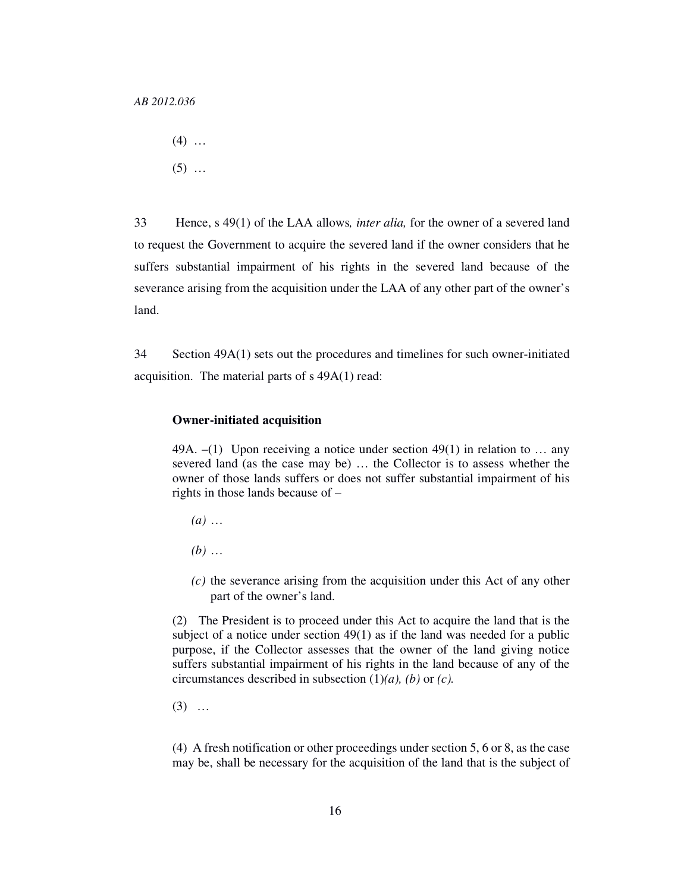- $(4)$  ...
- $(5)$  ...

33 Hence, s 49(1) of the LAA allows*, inter alia,* for the owner of a severed land to request the Government to acquire the severed land if the owner considers that he suffers substantial impairment of his rights in the severed land because of the severance arising from the acquisition under the LAA of any other part of the owner's land.

34 Section 49A(1) sets out the procedures and timelines for such owner-initiated acquisition. The material parts of s 49A(1) read:

#### **Owner-initiated acquisition**

49A.  $-(1)$  Upon receiving a notice under section 49(1) in relation to ... any severed land (as the case may be) … the Collector is to assess whether the owner of those lands suffers or does not suffer substantial impairment of his rights in those lands because of –

- *(a)* …
- *(b)* …
- *(c)* the severance arising from the acquisition under this Act of any other part of the owner's land.

(2) The President is to proceed under this Act to acquire the land that is the subject of a notice under section 49(1) as if the land was needed for a public purpose, if the Collector assesses that the owner of the land giving notice suffers substantial impairment of his rights in the land because of any of the circumstances described in subsection (1)*(a), (b)* or *(c).* 

(3) …

(4) A fresh notification or other proceedings under section 5, 6 or 8, as the case may be, shall be necessary for the acquisition of the land that is the subject of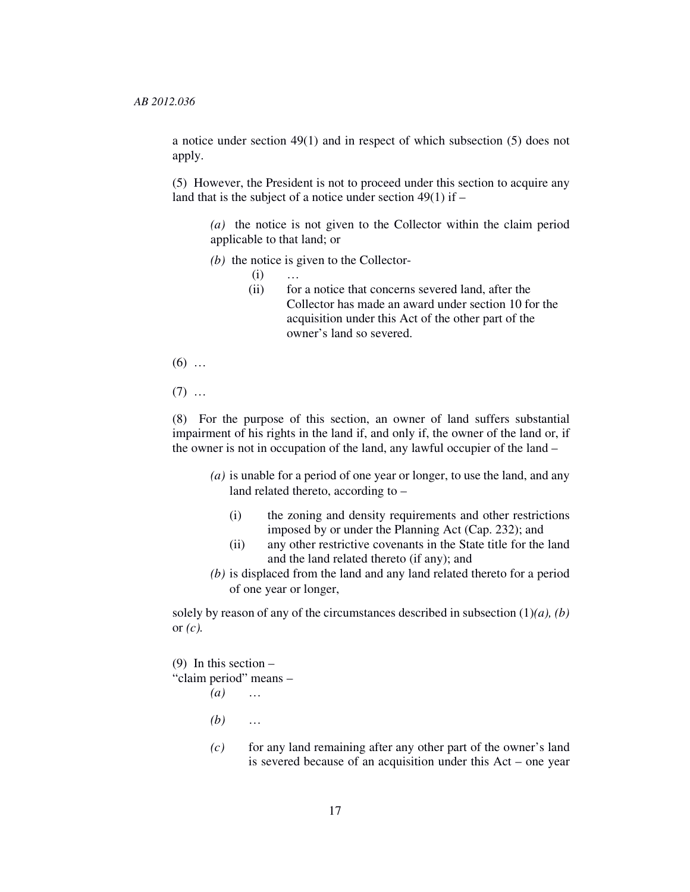a notice under section 49(1) and in respect of which subsection (5) does not apply.

(5) However, the President is not to proceed under this section to acquire any land that is the subject of a notice under section  $49(1)$  if –

*(a)* the notice is not given to the Collector within the claim period applicable to that land; or

- *(b)* the notice is given to the Collector-
	- $(i)$  …
	- (ii) for a notice that concerns severed land, after the Collector has made an award under section 10 for the acquisition under this Act of the other part of the owner's land so severed.
- $(6)$  ...

 $(7)$  ...

(8) For the purpose of this section, an owner of land suffers substantial impairment of his rights in the land if, and only if, the owner of the land or, if the owner is not in occupation of the land, any lawful occupier of the land –

- *(a)* is unable for a period of one year or longer, to use the land, and any land related thereto, according to –
	- (i) the zoning and density requirements and other restrictions imposed by or under the Planning Act (Cap. 232); and
	- (ii) any other restrictive covenants in the State title for the land and the land related thereto (if any); and
- *(b)* is displaced from the land and any land related thereto for a period of one year or longer,

solely by reason of any of the circumstances described in subsection (1)*(a), (b)* or *(c).*

(9) In this section –

"claim period" means –

- *(a)* … *(b)* …
	- *(c)* for any land remaining after any other part of the owner's land is severed because of an acquisition under this Act – one year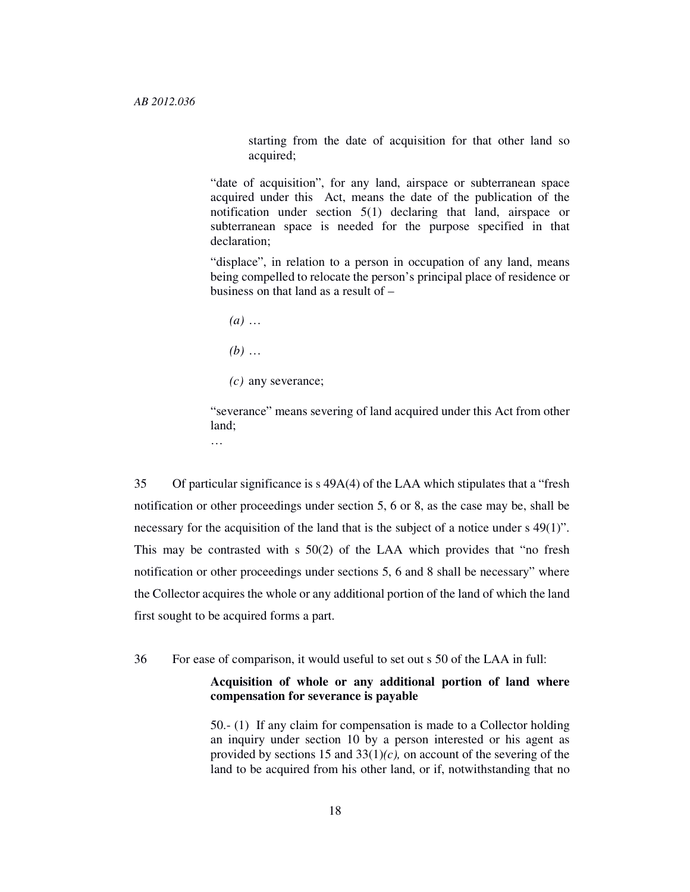starting from the date of acquisition for that other land so acquired;

"date of acquisition", for any land, airspace or subterranean space acquired under this Act, means the date of the publication of the notification under section 5(1) declaring that land, airspace or subterranean space is needed for the purpose specified in that declaration;

"displace", in relation to a person in occupation of any land, means being compelled to relocate the person's principal place of residence or business on that land as a result of –

- *(a)* …
- *(b)* …

…

*(c)* any severance;

"severance" means severing of land acquired under this Act from other land;

35 Of particular significance is s 49A(4) of the LAA which stipulates that a "fresh notification or other proceedings under section 5, 6 or 8, as the case may be, shall be necessary for the acquisition of the land that is the subject of a notice under s 49(1)". This may be contrasted with s 50(2) of the LAA which provides that "no fresh notification or other proceedings under sections 5, 6 and 8 shall be necessary" where the Collector acquires the whole or any additional portion of the land of which the land first sought to be acquired forms a part.

36 For ease of comparison, it would useful to set out s 50 of the LAA in full:

## **Acquisition of whole or any additional portion of land where compensation for severance is payable**

50.- (1) If any claim for compensation is made to a Collector holding an inquiry under section 10 by a person interested or his agent as provided by sections 15 and 33(1)*(c),* on account of the severing of the land to be acquired from his other land, or if, notwithstanding that no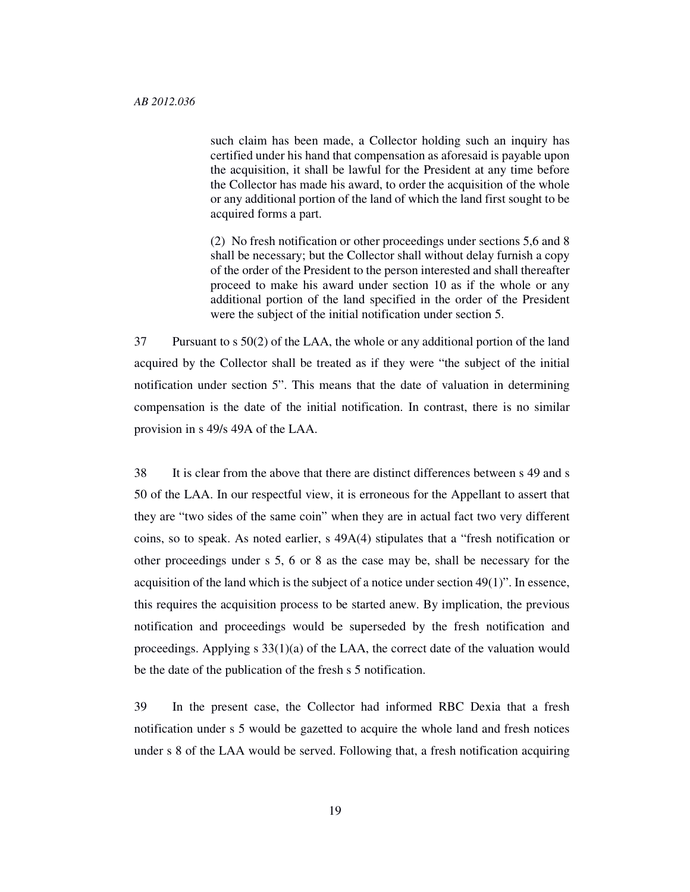such claim has been made, a Collector holding such an inquiry has certified under his hand that compensation as aforesaid is payable upon the acquisition, it shall be lawful for the President at any time before the Collector has made his award, to order the acquisition of the whole or any additional portion of the land of which the land first sought to be acquired forms a part.

(2) No fresh notification or other proceedings under sections 5,6 and 8 shall be necessary; but the Collector shall without delay furnish a copy of the order of the President to the person interested and shall thereafter proceed to make his award under section 10 as if the whole or any additional portion of the land specified in the order of the President were the subject of the initial notification under section 5.

37 Pursuant to s 50(2) of the LAA, the whole or any additional portion of the land acquired by the Collector shall be treated as if they were "the subject of the initial notification under section 5". This means that the date of valuation in determining compensation is the date of the initial notification. In contrast, there is no similar provision in s 49/s 49A of the LAA.

38 It is clear from the above that there are distinct differences between s 49 and s 50 of the LAA. In our respectful view, it is erroneous for the Appellant to assert that they are "two sides of the same coin" when they are in actual fact two very different coins, so to speak. As noted earlier, s 49A(4) stipulates that a "fresh notification or other proceedings under s 5, 6 or 8 as the case may be, shall be necessary for the acquisition of the land which is the subject of a notice under section 49(1)". In essence, this requires the acquisition process to be started anew. By implication, the previous notification and proceedings would be superseded by the fresh notification and proceedings. Applying  $s$  33(1)(a) of the LAA, the correct date of the valuation would be the date of the publication of the fresh s 5 notification.

39 In the present case, the Collector had informed RBC Dexia that a fresh notification under s 5 would be gazetted to acquire the whole land and fresh notices under s 8 of the LAA would be served. Following that, a fresh notification acquiring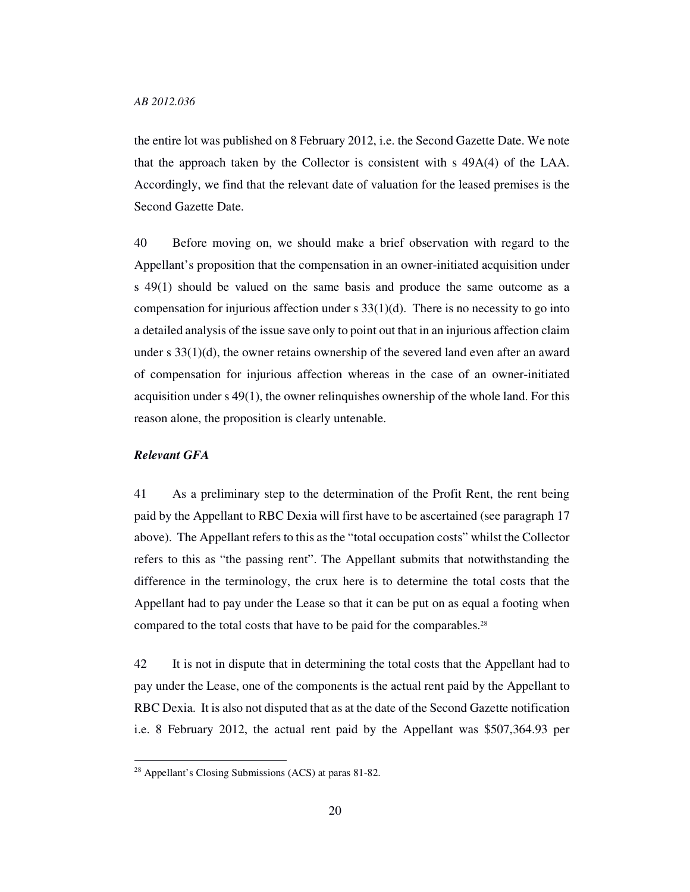the entire lot was published on 8 February 2012, i.e. the Second Gazette Date. We note that the approach taken by the Collector is consistent with s 49A(4) of the LAA. Accordingly, we find that the relevant date of valuation for the leased premises is the Second Gazette Date.

40 Before moving on, we should make a brief observation with regard to the Appellant's proposition that the compensation in an owner-initiated acquisition under s 49(1) should be valued on the same basis and produce the same outcome as a compensation for injurious affection under s  $33(1)(d)$ . There is no necessity to go into a detailed analysis of the issue save only to point out that in an injurious affection claim under s 33(1)(d), the owner retains ownership of the severed land even after an award of compensation for injurious affection whereas in the case of an owner-initiated acquisition under s 49(1), the owner relinquishes ownership of the whole land. For this reason alone, the proposition is clearly untenable.

### *Relevant GFA*

-

41 As a preliminary step to the determination of the Profit Rent, the rent being paid by the Appellant to RBC Dexia will first have to be ascertained (see paragraph 17 above). The Appellant refers to this as the "total occupation costs" whilst the Collector refers to this as "the passing rent". The Appellant submits that notwithstanding the difference in the terminology, the crux here is to determine the total costs that the Appellant had to pay under the Lease so that it can be put on as equal a footing when compared to the total costs that have to be paid for the comparables.<sup>28</sup>

42 It is not in dispute that in determining the total costs that the Appellant had to pay under the Lease, one of the components is the actual rent paid by the Appellant to RBC Dexia. It is also not disputed that as at the date of the Second Gazette notification i.e. 8 February 2012, the actual rent paid by the Appellant was \$507,364.93 per

<sup>28</sup> Appellant's Closing Submissions (ACS) at paras 81-82.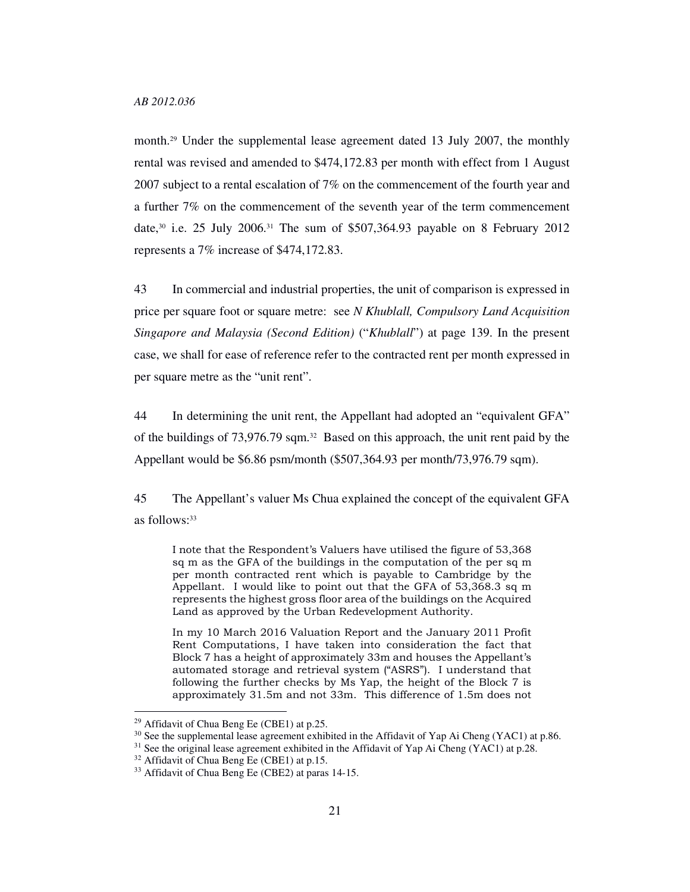month.<sup>29</sup> Under the supplemental lease agreement dated 13 July 2007, the monthly rental was revised and amended to \$474,172.83 per month with effect from 1 August 2007 subject to a rental escalation of 7% on the commencement of the fourth year and a further 7% on the commencement of the seventh year of the term commencement date,<sup>30</sup> i.e. 25 July 2006.<sup>31</sup> The sum of \$507,364.93 payable on 8 February 2012 represents a 7% increase of \$474,172.83.

43 In commercial and industrial properties, the unit of comparison is expressed in price per square foot or square metre: see *N Khublall, Compulsory Land Acquisition Singapore and Malaysia (Second Edition)* ("*Khublall*") at page 139. In the present case, we shall for ease of reference refer to the contracted rent per month expressed in per square metre as the "unit rent".

44 In determining the unit rent, the Appellant had adopted an "equivalent GFA" of the buildings of 73,976.79 sqm.32 Based on this approach, the unit rent paid by the Appellant would be \$6.86 psm/month (\$507,364.93 per month/73,976.79 sqm).

45 The Appellant's valuer Ms Chua explained the concept of the equivalent GFA as follows: 33

I note that the Respondent's Valuers have utilised the figure of 53,368 sq m as the GFA of the buildings in the computation of the per sq m per month contracted rent which is payable to Cambridge by the Appellant. I would like to point out that the GFA of 53,368.3 sq m represents the highest gross floor area of the buildings on the Acquired Land as approved by the Urban Redevelopment Authority.

In my 10 March 2016 Valuation Report and the January 2011 Profit Rent Computations, I have taken into consideration the fact that Block 7 has a height of approximately 33m and houses the Appellant's automated storage and retrieval system ("ASRS"). I understand that following the further checks by Ms Yap, the height of the Block 7 is approximately 31.5m and not 33m. This difference of 1.5m does not

<sup>29</sup> Affidavit of Chua Beng Ee (CBE1) at p.25.

 $30$  See the supplemental lease agreement exhibited in the Affidavit of Yap Ai Cheng (YAC1) at p.86.

<sup>&</sup>lt;sup>31</sup> See the original lease agreement exhibited in the Affidavit of Yap Ai Cheng (YAC1) at p.28.

<sup>32</sup> Affidavit of Chua Beng Ee (CBE1) at p.15.

<sup>33</sup> Affidavit of Chua Beng Ee (CBE2) at paras 14-15.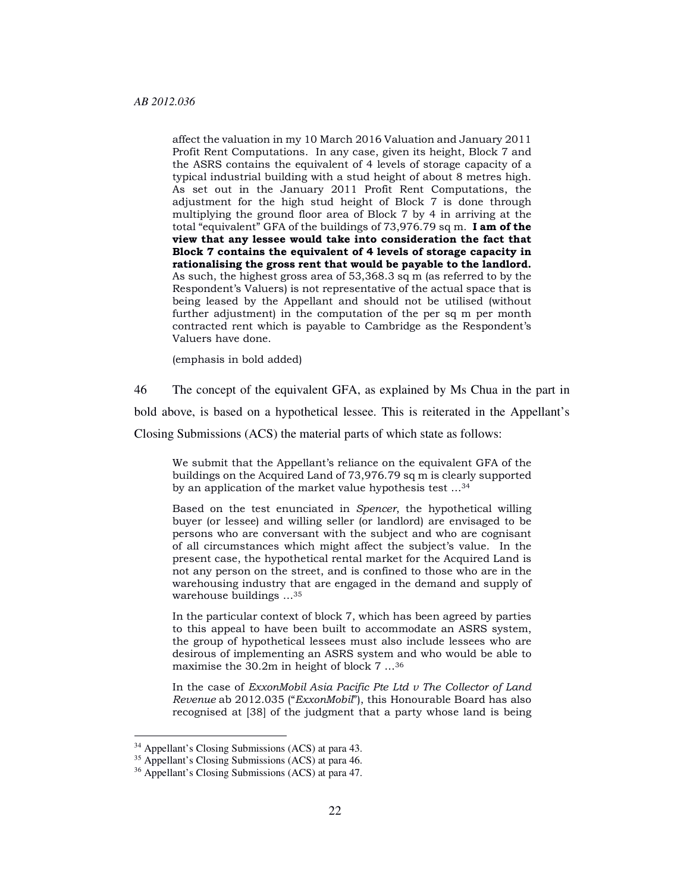affect the valuation in my 10 March 2016 Valuation and January 2011 Profit Rent Computations. In any case, given its height, Block 7 and the ASRS contains the equivalent of 4 levels of storage capacity of a typical industrial building with a stud height of about 8 metres high. As set out in the January 2011 Profit Rent Computations, the adjustment for the high stud height of Block 7 is done through multiplying the ground floor area of Block 7 by 4 in arriving at the total "equivalent" GFA of the buildings of 73,976.79 sq m. I am of the view that any lessee would take into consideration the fact that Block 7 contains the equivalent of 4 levels of storage capacity in rationalising the gross rent that would be payable to the landlord. As such, the highest gross area of 53,368.3 sq m (as referred to by the Respondent's Valuers) is not representative of the actual space that is being leased by the Appellant and should not be utilised (without further adjustment) in the computation of the per sq m per month contracted rent which is payable to Cambridge as the Respondent's Valuers have done.

(emphasis in bold added)

46 The concept of the equivalent GFA, as explained by Ms Chua in the part in bold above, is based on a hypothetical lessee. This is reiterated in the Appellant's Closing Submissions (ACS) the material parts of which state as follows:

We submit that the Appellant's reliance on the equivalent GFA of the buildings on the Acquired Land of 73,976.79 sq m is clearly supported by an application of the market value hypothesis test …<sup>34</sup>

Based on the test enunciated in Spencer, the hypothetical willing buyer (or lessee) and willing seller (or landlord) are envisaged to be persons who are conversant with the subject and who are cognisant of all circumstances which might affect the subject's value. In the present case, the hypothetical rental market for the Acquired Land is not any person on the street, and is confined to those who are in the warehousing industry that are engaged in the demand and supply of warehouse buildings …<sup>35</sup>

In the particular context of block 7, which has been agreed by parties to this appeal to have been built to accommodate an ASRS system, the group of hypothetical lessees must also include lessees who are desirous of implementing an ASRS system and who would be able to maximise the 30.2m in height of block 7 …<sup>36</sup>

In the case of  $ExxonMobil$  Asia Pacific Pte Ltd  $v$  The Collector of Land Revenue ab 2012.035 ("ExxonMobil"), this Honourable Board has also recognised at [38] of the judgment that a party whose land is being

<sup>34</sup> Appellant's Closing Submissions (ACS) at para 43.

<sup>&</sup>lt;sup>35</sup> Appellant's Closing Submissions (ACS) at para 46.

<sup>36</sup> Appellant's Closing Submissions (ACS) at para 47.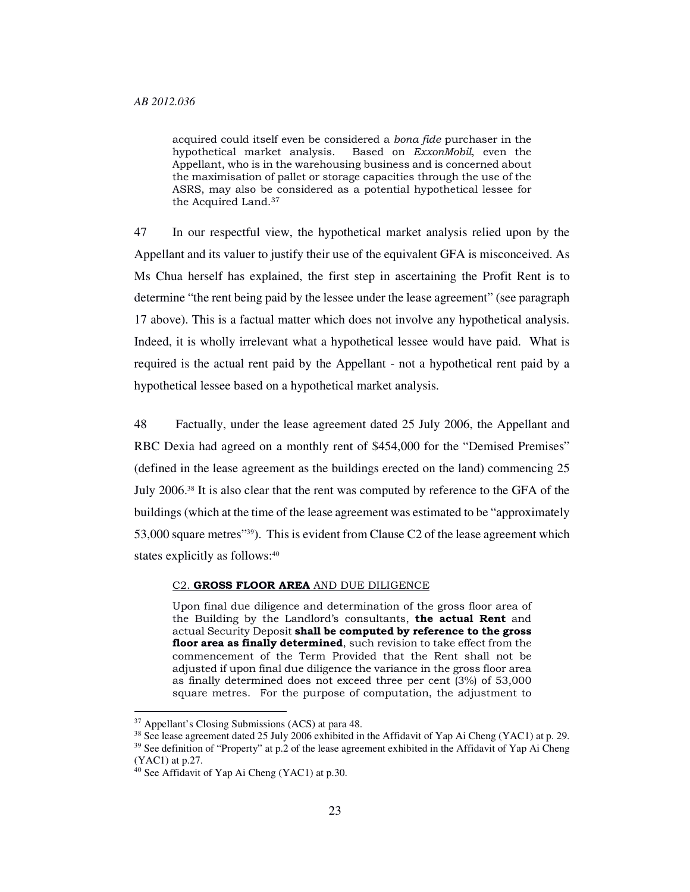acquired could itself even be considered a bona fide purchaser in the hypothetical market analysis. Based on ExxonMobil, even the Appellant, who is in the warehousing business and is concerned about the maximisation of pallet or storage capacities through the use of the ASRS, may also be considered as a potential hypothetical lessee for the Acquired Land.<sup>37</sup>

47 In our respectful view, the hypothetical market analysis relied upon by the Appellant and its valuer to justify their use of the equivalent GFA is misconceived. As Ms Chua herself has explained, the first step in ascertaining the Profit Rent is to determine "the rent being paid by the lessee under the lease agreement" (see paragraph 17 above). This is a factual matter which does not involve any hypothetical analysis. Indeed, it is wholly irrelevant what a hypothetical lessee would have paid. What is required is the actual rent paid by the Appellant - not a hypothetical rent paid by a hypothetical lessee based on a hypothetical market analysis.

48 Factually, under the lease agreement dated 25 July 2006, the Appellant and RBC Dexia had agreed on a monthly rent of \$454,000 for the "Demised Premises" (defined in the lease agreement as the buildings erected on the land) commencing 25 July 2006.38 It is also clear that the rent was computed by reference to the GFA of the buildings (which at the time of the lease agreement was estimated to be "approximately 53,000 square metres"39). This is evident from Clause C2 of the lease agreement which states explicitly as follows:<sup>40</sup>

#### C2. GROSS FLOOR AREA AND DUE DILIGENCE

Upon final due diligence and determination of the gross floor area of the Building by the Landlord's consultants, the actual Rent and actual Security Deposit shall be computed by reference to the gross floor area as finally determined, such revision to take effect from the commencement of the Term Provided that the Rent shall not be adjusted if upon final due diligence the variance in the gross floor area as finally determined does not exceed three per cent (3%) of 53,000 square metres. For the purpose of computation, the adjustment to

<sup>37</sup> Appellant's Closing Submissions (ACS) at para 48.

<sup>38</sup> See lease agreement dated 25 July 2006 exhibited in the Affidavit of Yap Ai Cheng (YAC1) at p. 29. <sup>39</sup> See definition of "Property" at p.2 of the lease agreement exhibited in the Affidavit of Yap Ai Cheng (YAC1) at p.27.

<sup>40</sup> See Affidavit of Yap Ai Cheng (YAC1) at p.30.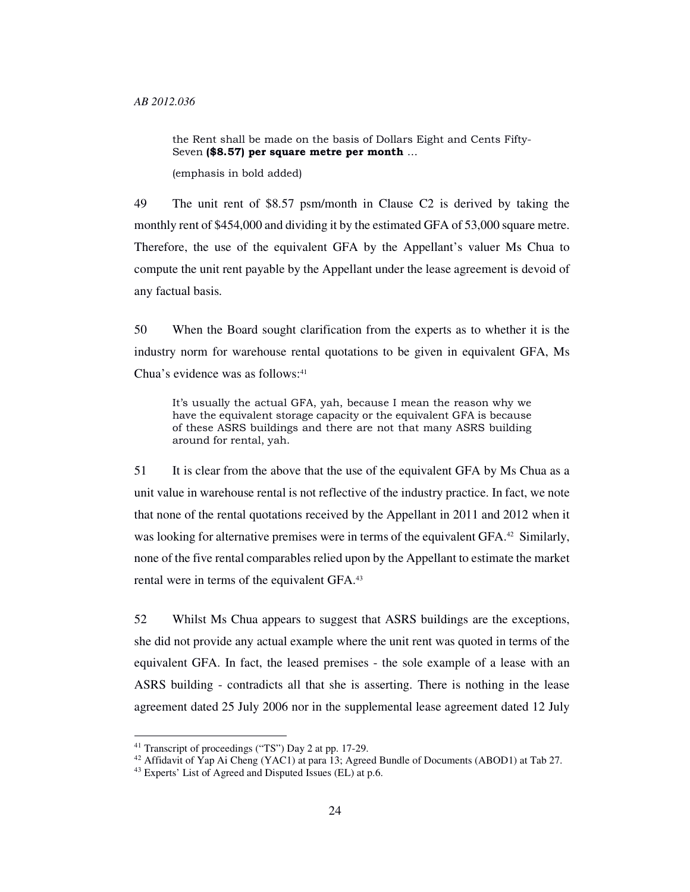the Rent shall be made on the basis of Dollars Eight and Cents Fifty-Seven (\$8.57) per square metre per month …

(emphasis in bold added)

49 The unit rent of \$8.57 psm/month in Clause C2 is derived by taking the monthly rent of \$454,000 and dividing it by the estimated GFA of 53,000 square metre. Therefore, the use of the equivalent GFA by the Appellant's valuer Ms Chua to compute the unit rent payable by the Appellant under the lease agreement is devoid of any factual basis.

50 When the Board sought clarification from the experts as to whether it is the industry norm for warehouse rental quotations to be given in equivalent GFA, Ms Chua's evidence was as follows:<sup>41</sup>

It's usually the actual GFA, yah, because I mean the reason why we have the equivalent storage capacity or the equivalent GFA is because of these ASRS buildings and there are not that many ASRS building around for rental, yah.

51 It is clear from the above that the use of the equivalent GFA by Ms Chua as a unit value in warehouse rental is not reflective of the industry practice. In fact, we note that none of the rental quotations received by the Appellant in 2011 and 2012 when it was looking for alternative premises were in terms of the equivalent GFA.<sup>42</sup> Similarly, none of the five rental comparables relied upon by the Appellant to estimate the market rental were in terms of the equivalent GFA.<sup>43</sup>

52 Whilst Ms Chua appears to suggest that ASRS buildings are the exceptions, she did not provide any actual example where the unit rent was quoted in terms of the equivalent GFA. In fact, the leased premises - the sole example of a lease with an ASRS building - contradicts all that she is asserting. There is nothing in the lease agreement dated 25 July 2006 nor in the supplemental lease agreement dated 12 July

<sup>41</sup> Transcript of proceedings ("TS") Day 2 at pp. 17-29.

<sup>&</sup>lt;sup>42</sup> Affidavit of Yap Ai Cheng (YAC1) at para 13; Agreed Bundle of Documents (ABOD1) at Tab 27.

<sup>43</sup> Experts' List of Agreed and Disputed Issues (EL) at p.6.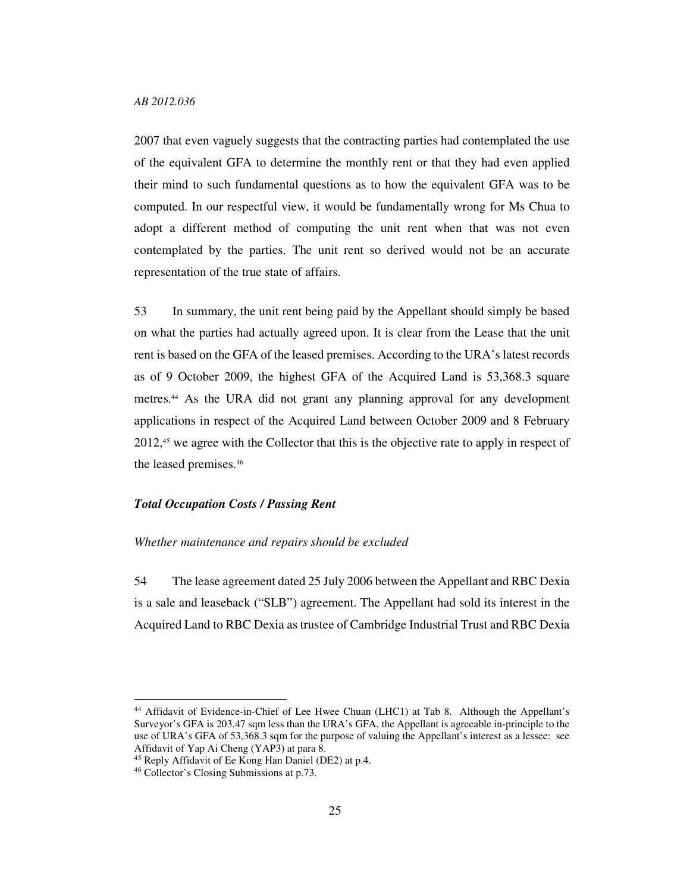2007 that even vaguely suggests that the contracting parties had contemplated the use of the equivalent GFA to determine the monthly rent or that they had even applied their mind to such fundamental questions as to how the equivalent GFA was to be computed. In our respectful view, it would be fundamentally wrong for Ms Chua to adopt a different method of computing the unit rent when that was not even contemplated by the parties. The unit rent so derived would not be an accurate representation of the true state of affairs.

53 In summary, the unit rent being paid by the Appellant should simply be based on what the parties had actually agreed upon. It is clear from the Lease that the unit rent is based on the GFA of the leased premises. According to the URA's latest records as of 9 October 2009, the highest GFA of the Acquired Land is 53,368.3 square metres.44 As the URA did not grant any planning approval for any development applications in respect of the Acquired Land between October 2009 and 8 February 2012,45 we agree with the Collector that this is the objective rate to apply in respect of the leased premises.<sup>46</sup>

### *Total Occupation Costs / Passing Rent*

#### *Whether maintenance and repairs should be excluded*

54 The lease agreement dated 25 July 2006 between the Appellant and RBC Dexia is a sale and leaseback ("SLB") agreement. The Appellant had sold its interest in the Acquired Land to RBC Dexia as trustee of Cambridge Industrial Trust and RBC Dexia

<sup>44</sup> Affidavit of Evidence-in-Chief of Lee Hwee Chuan (LHC1) at Tab 8. Although the Appellant's Surveyor's GFA is 203.47 sqm less than the URA's GFA, the Appellant is agreeable in-principle to the use of URA's GFA of 53,368.3 sqm for the purpose of valuing the Appellant's interest as a lessee: see Affidavit of Yap Ai Cheng (YAP3) at para 8.

<sup>45</sup> Reply Affidavit of Ee Kong Han Daniel (DE2) at p.4.

<sup>46</sup> Collector's Closing Submissions at p.73.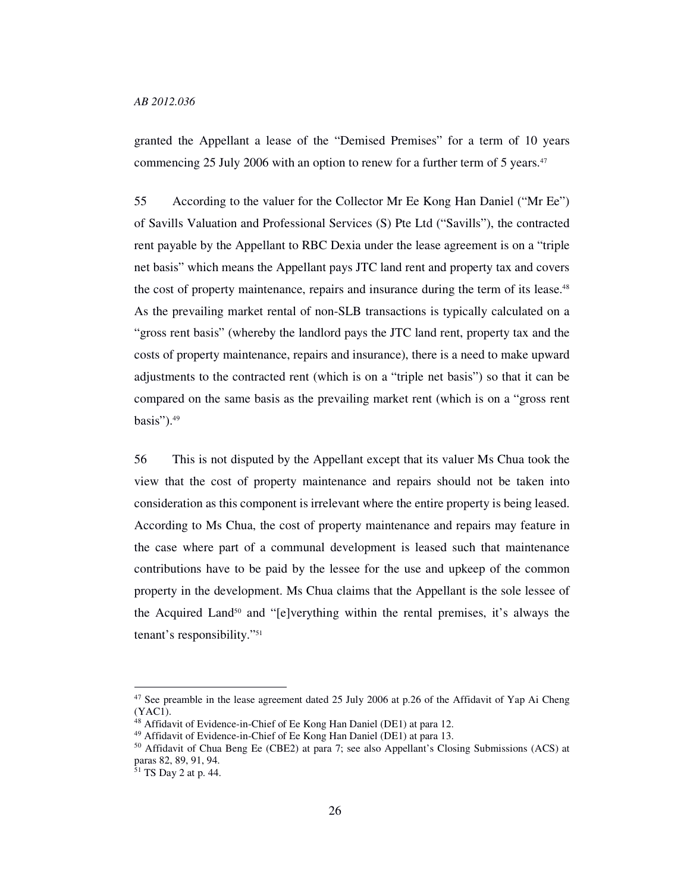### *AB 2012.036*

granted the Appellant a lease of the "Demised Premises" for a term of 10 years commencing 25 July 2006 with an option to renew for a further term of 5 years.<sup>47</sup>

55 According to the valuer for the Collector Mr Ee Kong Han Daniel ("Mr Ee") of Savills Valuation and Professional Services (S) Pte Ltd ("Savills"), the contracted rent payable by the Appellant to RBC Dexia under the lease agreement is on a "triple net basis" which means the Appellant pays JTC land rent and property tax and covers the cost of property maintenance, repairs and insurance during the term of its lease.<sup>48</sup> As the prevailing market rental of non-SLB transactions is typically calculated on a "gross rent basis" (whereby the landlord pays the JTC land rent, property tax and the costs of property maintenance, repairs and insurance), there is a need to make upward adjustments to the contracted rent (which is on a "triple net basis") so that it can be compared on the same basis as the prevailing market rent (which is on a "gross rent basis").<sup>49</sup>

56 This is not disputed by the Appellant except that its valuer Ms Chua took the view that the cost of property maintenance and repairs should not be taken into consideration as this component is irrelevant where the entire property is being leased. According to Ms Chua, the cost of property maintenance and repairs may feature in the case where part of a communal development is leased such that maintenance contributions have to be paid by the lessee for the use and upkeep of the common property in the development. Ms Chua claims that the Appellant is the sole lessee of the Acquired Land<sup>50</sup> and "[e]verything within the rental premises, it's always the tenant's responsibility."<sup>51</sup>

<sup>&</sup>lt;sup>47</sup> See preamble in the lease agreement dated 25 July 2006 at p.26 of the Affidavit of Yap Ai Cheng (YAC1).

<sup>48</sup> Affidavit of Evidence-in-Chief of Ee Kong Han Daniel (DE1) at para 12.

<sup>49</sup> Affidavit of Evidence-in-Chief of Ee Kong Han Daniel (DE1) at para 13.

<sup>50</sup> Affidavit of Chua Beng Ee (CBE2) at para 7; see also Appellant's Closing Submissions (ACS) at paras 82, 89, 91, 94.

 $51$  TS Day 2 at p. 44.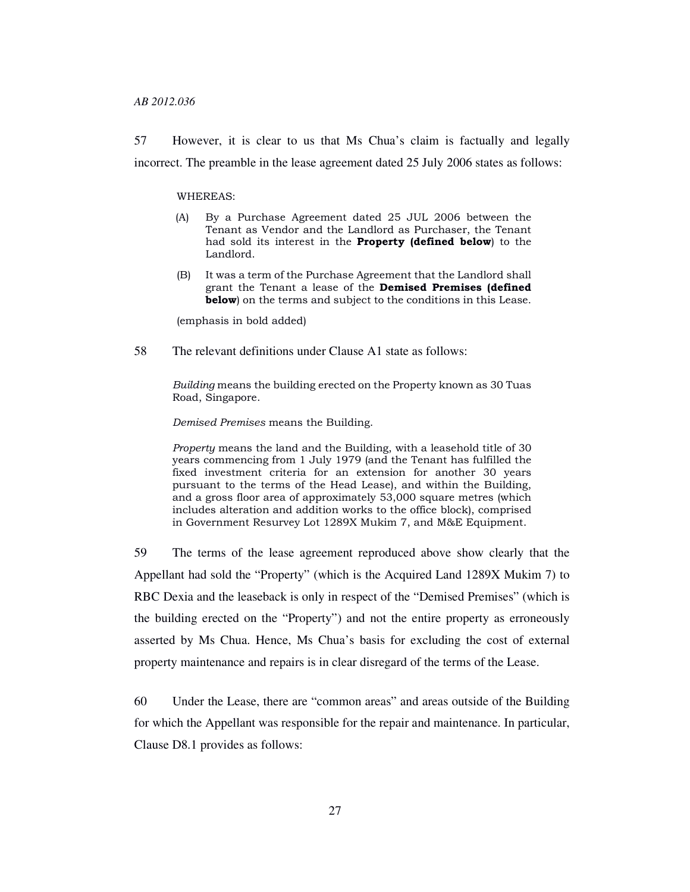57 However, it is clear to us that Ms Chua's claim is factually and legally incorrect. The preamble in the lease agreement dated 25 July 2006 states as follows:

WHEREAS:

- (A) By a Purchase Agreement dated 25 JUL 2006 between the Tenant as Vendor and the Landlord as Purchaser, the Tenant had sold its interest in the Property (defined below) to the Landlord.
- (B) It was a term of the Purchase Agreement that the Landlord shall grant the Tenant a lease of the Demised Premises (defined **below**) on the terms and subject to the conditions in this Lease.

(emphasis in bold added)

58 The relevant definitions under Clause A1 state as follows:

Building means the building erected on the Property known as 30 Tuas Road, Singapore.

Demised Premises means the Building.

Property means the land and the Building, with a leasehold title of 30 years commencing from 1 July 1979 (and the Tenant has fulfilled the fixed investment criteria for an extension for another 30 years pursuant to the terms of the Head Lease), and within the Building, and a gross floor area of approximately 53,000 square metres (which includes alteration and addition works to the office block), comprised in Government Resurvey Lot 1289X Mukim 7, and M&E Equipment.

59 The terms of the lease agreement reproduced above show clearly that the Appellant had sold the "Property" (which is the Acquired Land 1289X Mukim 7) to RBC Dexia and the leaseback is only in respect of the "Demised Premises" (which is the building erected on the "Property") and not the entire property as erroneously asserted by Ms Chua. Hence, Ms Chua's basis for excluding the cost of external property maintenance and repairs is in clear disregard of the terms of the Lease.

60 Under the Lease, there are "common areas" and areas outside of the Building for which the Appellant was responsible for the repair and maintenance. In particular, Clause D8.1 provides as follows: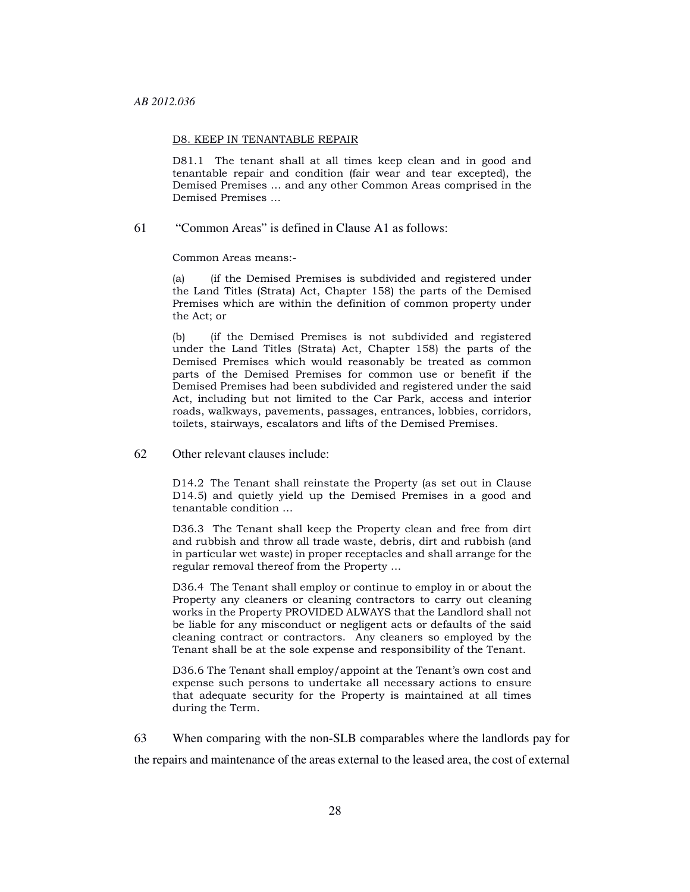#### D8. KEEP IN TENANTABLE REPAIR

D81.1 The tenant shall at all times keep clean and in good and tenantable repair and condition (fair wear and tear excepted), the Demised Premises … and any other Common Areas comprised in the Demised Premises …

61 "Common Areas" is defined in Clause A1 as follows:

Common Areas means:-

(a) (if the Demised Premises is subdivided and registered under the Land Titles (Strata) Act, Chapter 158) the parts of the Demised Premises which are within the definition of common property under the Act; or

(b) (if the Demised Premises is not subdivided and registered under the Land Titles (Strata) Act, Chapter 158) the parts of the Demised Premises which would reasonably be treated as common parts of the Demised Premises for common use or benefit if the Demised Premises had been subdivided and registered under the said Act, including but not limited to the Car Park, access and interior roads, walkways, pavements, passages, entrances, lobbies, corridors, toilets, stairways, escalators and lifts of the Demised Premises.

#### 62 Other relevant clauses include:

D14.2 The Tenant shall reinstate the Property (as set out in Clause D14.5) and quietly yield up the Demised Premises in a good and tenantable condition …

D36.3 The Tenant shall keep the Property clean and free from dirt and rubbish and throw all trade waste, debris, dirt and rubbish (and in particular wet waste) in proper receptacles and shall arrange for the regular removal thereof from the Property …

D36.4 The Tenant shall employ or continue to employ in or about the Property any cleaners or cleaning contractors to carry out cleaning works in the Property PROVIDED ALWAYS that the Landlord shall not be liable for any misconduct or negligent acts or defaults of the said cleaning contract or contractors. Any cleaners so employed by the Tenant shall be at the sole expense and responsibility of the Tenant.

D36.6 The Tenant shall employ/appoint at the Tenant's own cost and expense such persons to undertake all necessary actions to ensure that adequate security for the Property is maintained at all times during the Term.

63 When comparing with the non-SLB comparables where the landlords pay for the repairs and maintenance of the areas external to the leased area, the cost of external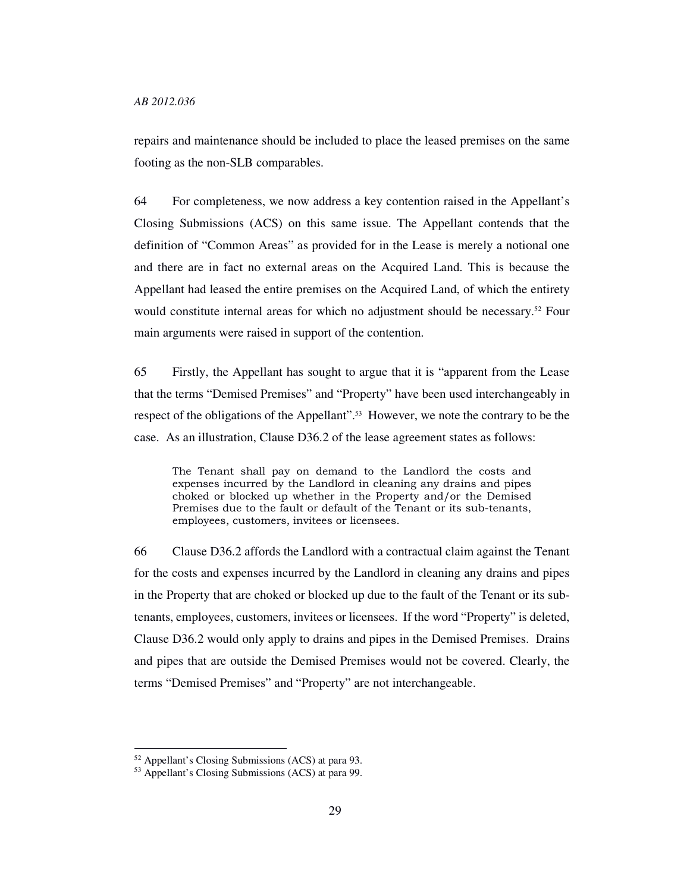repairs and maintenance should be included to place the leased premises on the same footing as the non-SLB comparables.

64 For completeness, we now address a key contention raised in the Appellant's Closing Submissions (ACS) on this same issue. The Appellant contends that the definition of "Common Areas" as provided for in the Lease is merely a notional one and there are in fact no external areas on the Acquired Land. This is because the Appellant had leased the entire premises on the Acquired Land, of which the entirety would constitute internal areas for which no adjustment should be necessary.52 Four main arguments were raised in support of the contention.

65 Firstly, the Appellant has sought to argue that it is "apparent from the Lease that the terms "Demised Premises" and "Property" have been used interchangeably in respect of the obligations of the Appellant".53 However, we note the contrary to be the case. As an illustration, Clause D36.2 of the lease agreement states as follows:

The Tenant shall pay on demand to the Landlord the costs and expenses incurred by the Landlord in cleaning any drains and pipes choked or blocked up whether in the Property and/or the Demised Premises due to the fault or default of the Tenant or its sub-tenants, employees, customers, invitees or licensees.

66 Clause D36.2 affords the Landlord with a contractual claim against the Tenant for the costs and expenses incurred by the Landlord in cleaning any drains and pipes in the Property that are choked or blocked up due to the fault of the Tenant or its subtenants, employees, customers, invitees or licensees. If the word "Property" is deleted, Clause D36.2 would only apply to drains and pipes in the Demised Premises. Drains and pipes that are outside the Demised Premises would not be covered. Clearly, the terms "Demised Premises" and "Property" are not interchangeable.

<sup>52</sup> Appellant's Closing Submissions (ACS) at para 93.

<sup>53</sup> Appellant's Closing Submissions (ACS) at para 99.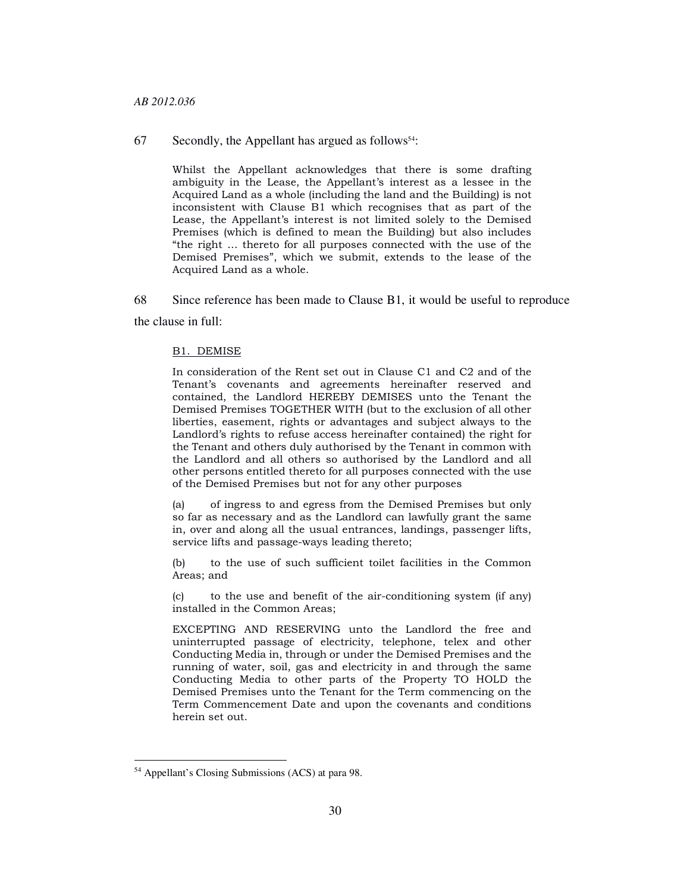#### *AB 2012.036*

67 Secondly, the Appellant has argued as follows<sup>54</sup>:

Whilst the Appellant acknowledges that there is some drafting ambiguity in the Lease, the Appellant's interest as a lessee in the Acquired Land as a whole (including the land and the Building) is not inconsistent with Clause B1 which recognises that as part of the Lease, the Appellant's interest is not limited solely to the Demised Premises (which is defined to mean the Building) but also includes "the right … thereto for all purposes connected with the use of the Demised Premises", which we submit, extends to the lease of the Acquired Land as a whole.

68 Since reference has been made to Clause B1, it would be useful to reproduce the clause in full:

#### B1. DEMISE

In consideration of the Rent set out in Clause C1 and C2 and of the Tenant's covenants and agreements hereinafter reserved and contained, the Landlord HEREBY DEMISES unto the Tenant the Demised Premises TOGETHER WITH (but to the exclusion of all other liberties, easement, rights or advantages and subject always to the Landlord's rights to refuse access hereinafter contained) the right for the Tenant and others duly authorised by the Tenant in common with the Landlord and all others so authorised by the Landlord and all other persons entitled thereto for all purposes connected with the use of the Demised Premises but not for any other purposes

(a) of ingress to and egress from the Demised Premises but only so far as necessary and as the Landlord can lawfully grant the same in, over and along all the usual entrances, landings, passenger lifts, service lifts and passage-ways leading thereto;

(b) to the use of such sufficient toilet facilities in the Common Areas; and

(c) to the use and benefit of the air-conditioning system (if any) installed in the Common Areas;

EXCEPTING AND RESERVING unto the Landlord the free and uninterrupted passage of electricity, telephone, telex and other Conducting Media in, through or under the Demised Premises and the running of water, soil, gas and electricity in and through the same Conducting Media to other parts of the Property TO HOLD the Demised Premises unto the Tenant for the Term commencing on the Term Commencement Date and upon the covenants and conditions herein set out.

<sup>54</sup> Appellant's Closing Submissions (ACS) at para 98.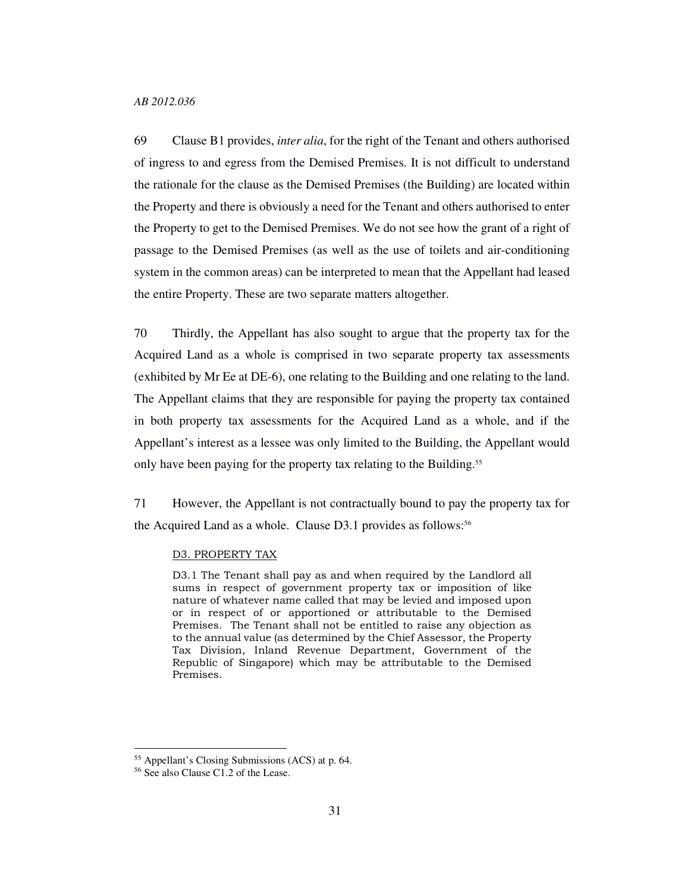69 Clause B1 provides, *inter alia*, for the right of the Tenant and others authorised of ingress to and egress from the Demised Premises. It is not difficult to understand the rationale for the clause as the Demised Premises (the Building) are located within the Property and there is obviously a need for the Tenant and others authorised to enter the Property to get to the Demised Premises. We do not see how the grant of a right of passage to the Demised Premises (as well as the use of toilets and air-conditioning system in the common areas) can be interpreted to mean that the Appellant had leased the entire Property. These are two separate matters altogether.

70 Thirdly, the Appellant has also sought to argue that the property tax for the Acquired Land as a whole is comprised in two separate property tax assessments (exhibited by Mr Ee at DE-6), one relating to the Building and one relating to the land. The Appellant claims that they are responsible for paying the property tax contained in both property tax assessments for the Acquired Land as a whole, and if the Appellant's interest as a lessee was only limited to the Building, the Appellant would only have been paying for the property tax relating to the Building.<sup>55</sup>

71 However, the Appellant is not contractually bound to pay the property tax for the Acquired Land as a whole. Clause D3.1 provides as follows:<sup>56</sup>

#### D3. PROPERTY TAX

D3.1 The Tenant shall pay as and when required by the Landlord all sums in respect of government property tax or imposition of like nature of whatever name called that may be levied and imposed upon or in respect of or apportioned or attributable to the Demised Premises. The Tenant shall not be entitled to raise any objection as to the annual value (as determined by the Chief Assessor, the Property Tax Division, Inland Revenue Department, Government of the Republic of Singapore) which may be attributable to the Demised Premises.

<sup>55</sup> Appellant's Closing Submissions (ACS) at p. 64.

<sup>56</sup> See also Clause C1.2 of the Lease.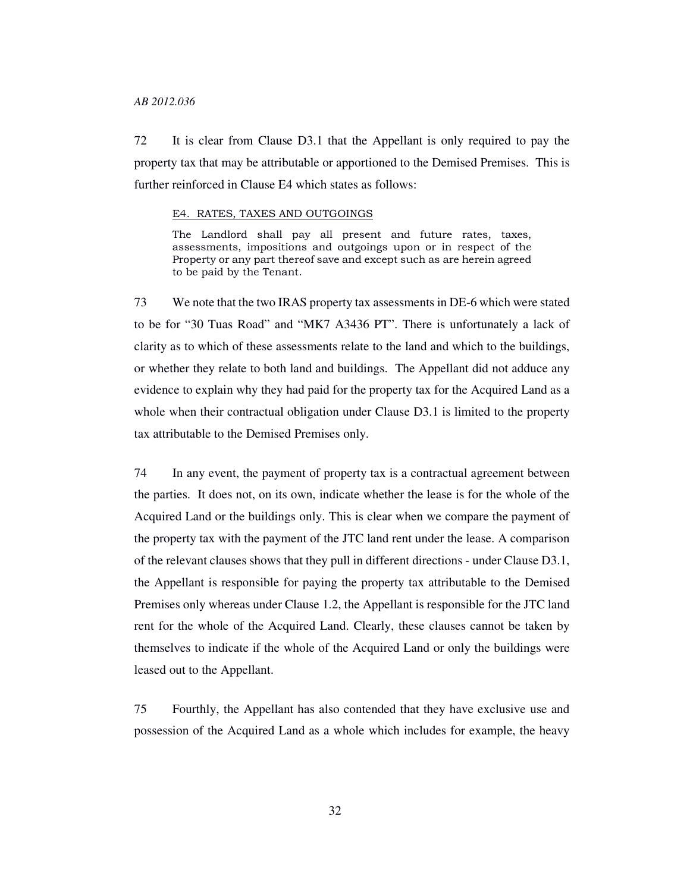#### *AB 2012.036*

72 It is clear from Clause D3.1 that the Appellant is only required to pay the property tax that may be attributable or apportioned to the Demised Premises. This is further reinforced in Clause E4 which states as follows:

#### E4. RATES, TAXES AND OUTGOINGS

The Landlord shall pay all present and future rates, taxes, assessments, impositions and outgoings upon or in respect of the Property or any part thereof save and except such as are herein agreed to be paid by the Tenant.

73 We note that the two IRAS property tax assessments in DE-6 which were stated to be for "30 Tuas Road" and "MK7 A3436 PT". There is unfortunately a lack of clarity as to which of these assessments relate to the land and which to the buildings, or whether they relate to both land and buildings. The Appellant did not adduce any evidence to explain why they had paid for the property tax for the Acquired Land as a whole when their contractual obligation under Clause D3.1 is limited to the property tax attributable to the Demised Premises only.

74 In any event, the payment of property tax is a contractual agreement between the parties. It does not, on its own, indicate whether the lease is for the whole of the Acquired Land or the buildings only. This is clear when we compare the payment of the property tax with the payment of the JTC land rent under the lease. A comparison of the relevant clauses shows that they pull in different directions - under Clause D3.1, the Appellant is responsible for paying the property tax attributable to the Demised Premises only whereas under Clause 1.2, the Appellant is responsible for the JTC land rent for the whole of the Acquired Land. Clearly, these clauses cannot be taken by themselves to indicate if the whole of the Acquired Land or only the buildings were leased out to the Appellant.

75 Fourthly, the Appellant has also contended that they have exclusive use and possession of the Acquired Land as a whole which includes for example, the heavy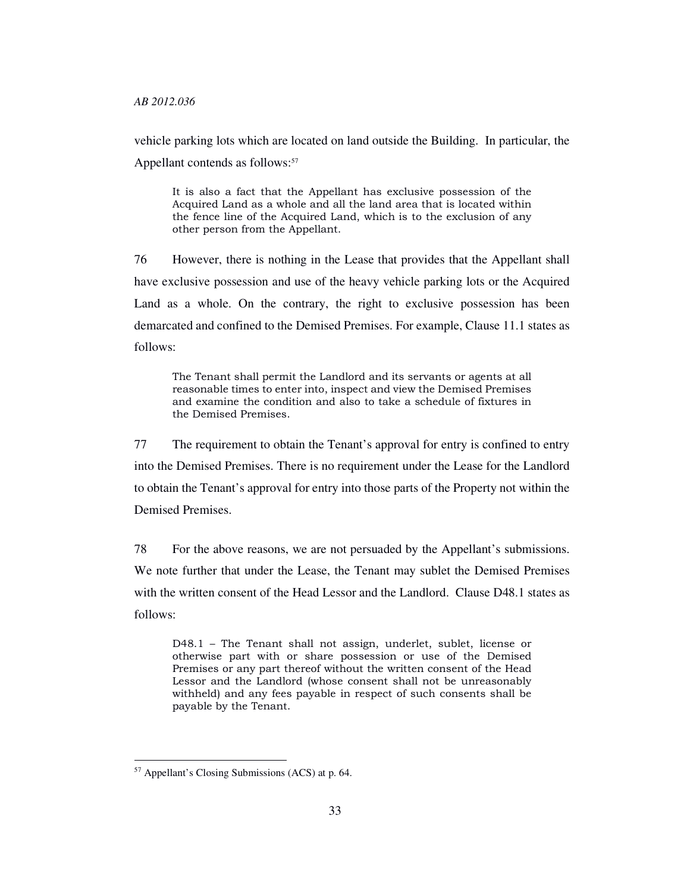#### *AB 2012.036*

vehicle parking lots which are located on land outside the Building. In particular, the Appellant contends as follows:<sup>57</sup>

It is also a fact that the Appellant has exclusive possession of the Acquired Land as a whole and all the land area that is located within the fence line of the Acquired Land, which is to the exclusion of any other person from the Appellant.

76 However, there is nothing in the Lease that provides that the Appellant shall have exclusive possession and use of the heavy vehicle parking lots or the Acquired Land as a whole. On the contrary, the right to exclusive possession has been demarcated and confined to the Demised Premises. For example, Clause 11.1 states as follows:

The Tenant shall permit the Landlord and its servants or agents at all reasonable times to enter into, inspect and view the Demised Premises and examine the condition and also to take a schedule of fixtures in the Demised Premises.

77 The requirement to obtain the Tenant's approval for entry is confined to entry into the Demised Premises. There is no requirement under the Lease for the Landlord to obtain the Tenant's approval for entry into those parts of the Property not within the Demised Premises.

78 For the above reasons, we are not persuaded by the Appellant's submissions. We note further that under the Lease, the Tenant may sublet the Demised Premises with the written consent of the Head Lessor and the Landlord. Clause D48.1 states as follows:

D48.1 – The Tenant shall not assign, underlet, sublet, license or otherwise part with or share possession or use of the Demised Premises or any part thereof without the written consent of the Head Lessor and the Landlord (whose consent shall not be unreasonably withheld) and any fees payable in respect of such consents shall be payable by the Tenant.

<sup>57</sup> Appellant's Closing Submissions (ACS) at p. 64.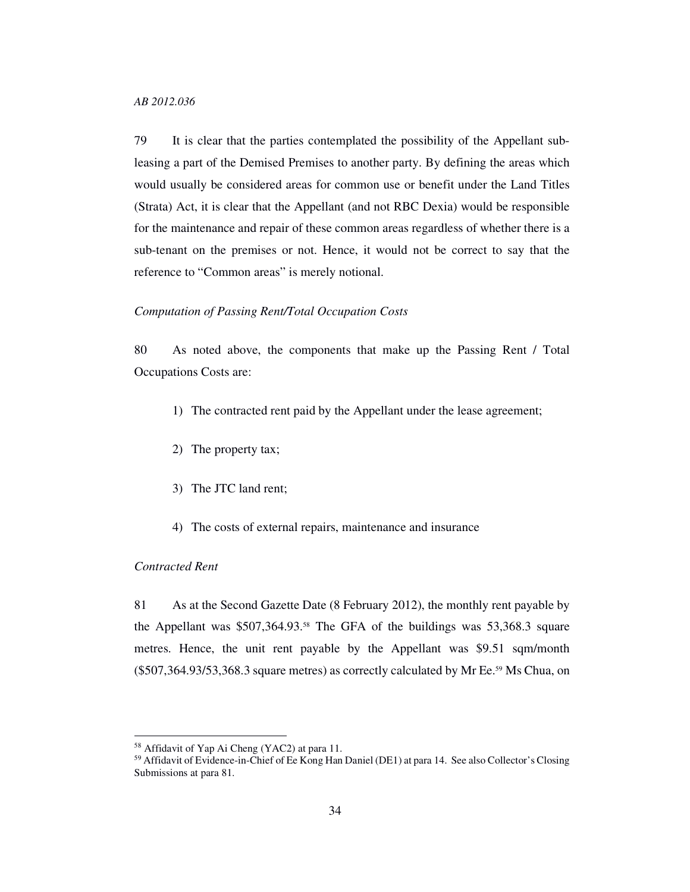79 It is clear that the parties contemplated the possibility of the Appellant subleasing a part of the Demised Premises to another party. By defining the areas which would usually be considered areas for common use or benefit under the Land Titles (Strata) Act, it is clear that the Appellant (and not RBC Dexia) would be responsible for the maintenance and repair of these common areas regardless of whether there is a sub-tenant on the premises or not. Hence, it would not be correct to say that the reference to "Common areas" is merely notional.

### *Computation of Passing Rent/Total Occupation Costs*

80 As noted above, the components that make up the Passing Rent / Total Occupations Costs are:

- 1) The contracted rent paid by the Appellant under the lease agreement;
- 2) The property tax;
- 3) The JTC land rent;
- 4) The costs of external repairs, maintenance and insurance

## *Contracted Rent*

-

81 As at the Second Gazette Date (8 February 2012), the monthly rent payable by the Appellant was \$507,364.93.58 The GFA of the buildings was 53,368.3 square metres. Hence, the unit rent payable by the Appellant was \$9.51 sqm/month (\$507,364.93/53,368.3 square metres) as correctly calculated by Mr Ee.59 Ms Chua, on

<sup>58</sup> Affidavit of Yap Ai Cheng (YAC2) at para 11.

<sup>&</sup>lt;sup>59</sup> Affidavit of Evidence-in-Chief of Ee Kong Han Daniel (DE1) at para 14. See also Collector's Closing Submissions at para 81.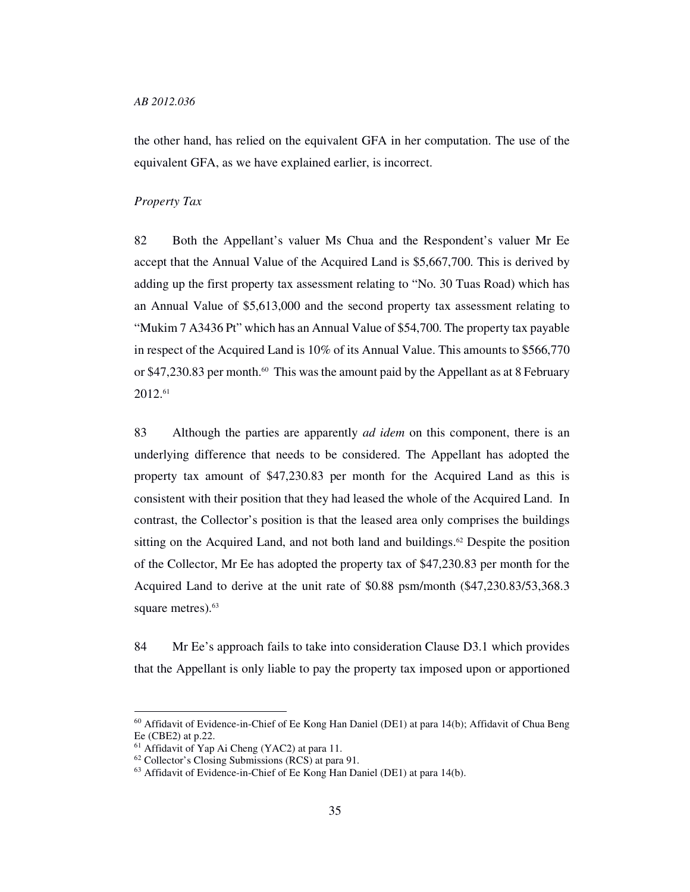the other hand, has relied on the equivalent GFA in her computation. The use of the equivalent GFA, as we have explained earlier, is incorrect.

#### *Property Tax*

82 Both the Appellant's valuer Ms Chua and the Respondent's valuer Mr Ee accept that the Annual Value of the Acquired Land is \$5,667,700. This is derived by adding up the first property tax assessment relating to "No. 30 Tuas Road) which has an Annual Value of \$5,613,000 and the second property tax assessment relating to "Mukim 7 A3436 Pt" which has an Annual Value of \$54,700. The property tax payable in respect of the Acquired Land is 10% of its Annual Value. This amounts to \$566,770 or \$47,230.83 per month.<sup>60</sup> This was the amount paid by the Appellant as at 8 February 2012.<sup>61</sup>

83 Although the parties are apparently *ad idem* on this component, there is an underlying difference that needs to be considered. The Appellant has adopted the property tax amount of \$47,230.83 per month for the Acquired Land as this is consistent with their position that they had leased the whole of the Acquired Land. In contrast, the Collector's position is that the leased area only comprises the buildings sitting on the Acquired Land, and not both land and buildings. $62$  Despite the position of the Collector, Mr Ee has adopted the property tax of \$47,230.83 per month for the Acquired Land to derive at the unit rate of \$0.88 psm/month (\$47,230.83/53,368.3 square metres).<sup>63</sup>

84 Mr Ee's approach fails to take into consideration Clause D3.1 which provides that the Appellant is only liable to pay the property tax imposed upon or apportioned

<sup>&</sup>lt;sup>60</sup> Affidavit of Evidence-in-Chief of Ee Kong Han Daniel (DE1) at para 14(b); Affidavit of Chua Beng Ee (CBE2) at p.22.

<sup>61</sup> Affidavit of Yap Ai Cheng (YAC2) at para 11.

<sup>62</sup> Collector's Closing Submissions (RCS) at para 91.

<sup>63</sup> Affidavit of Evidence-in-Chief of Ee Kong Han Daniel (DE1) at para 14(b).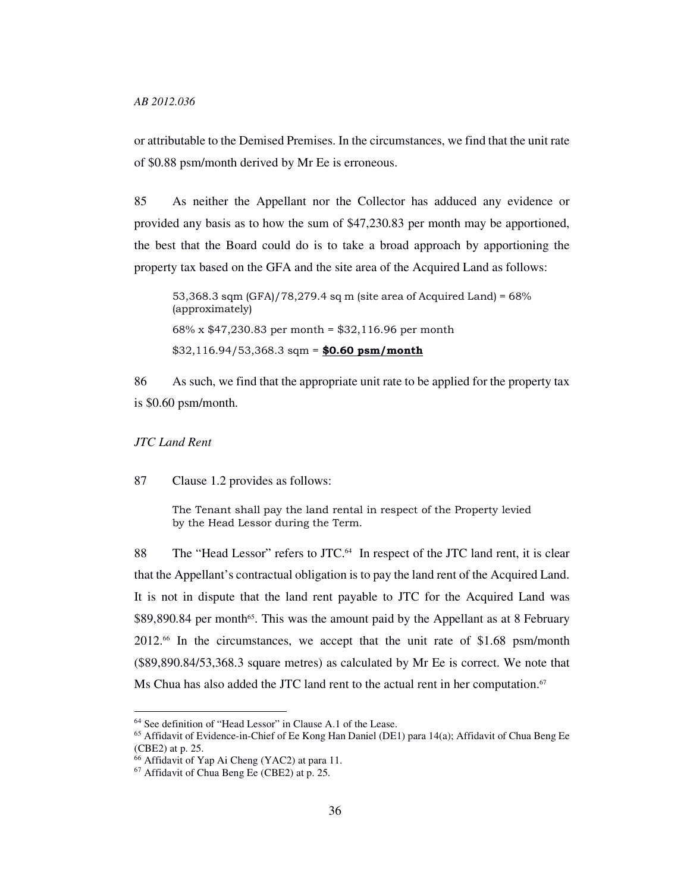or attributable to the Demised Premises. In the circumstances, we find that the unit rate of \$0.88 psm/month derived by Mr Ee is erroneous.

85 As neither the Appellant nor the Collector has adduced any evidence or provided any basis as to how the sum of \$47,230.83 per month may be apportioned, the best that the Board could do is to take a broad approach by apportioning the property tax based on the GFA and the site area of the Acquired Land as follows:

53,368.3 sqm (GFA)/78,279.4 sq m (site area of Acquired Land) = 68% (approximately) 68% x \$47,230.83 per month = \$32,116.96 per month  $$32,116.94/53,368.3$  sqm = \$0.60 psm/month

86 As such, we find that the appropriate unit rate to be applied for the property tax is \$0.60 psm/month.

*JTC Land Rent*

-

87 Clause 1.2 provides as follows:

The Tenant shall pay the land rental in respect of the Property levied by the Head Lessor during the Term.

88 The "Head Lessor" refers to JTC.<sup>64</sup> In respect of the JTC land rent, it is clear that the Appellant's contractual obligation is to pay the land rent of the Acquired Land. It is not in dispute that the land rent payable to JTC for the Acquired Land was \$89,890.84 per month<sup>65</sup>. This was the amount paid by the Appellant as at 8 February 2012.66 In the circumstances, we accept that the unit rate of \$1.68 psm/month (\$89,890.84/53,368.3 square metres) as calculated by Mr Ee is correct. We note that Ms Chua has also added the JTC land rent to the actual rent in her computation.<sup>67</sup>

<sup>64</sup> See definition of "Head Lessor" in Clause A.1 of the Lease.

<sup>65</sup> Affidavit of Evidence-in-Chief of Ee Kong Han Daniel (DE1) para 14(a); Affidavit of Chua Beng Ee (CBE2) at p. 25.

<sup>66</sup> Affidavit of Yap Ai Cheng (YAC2) at para 11.

<sup>67</sup> Affidavit of Chua Beng Ee (CBE2) at p. 25.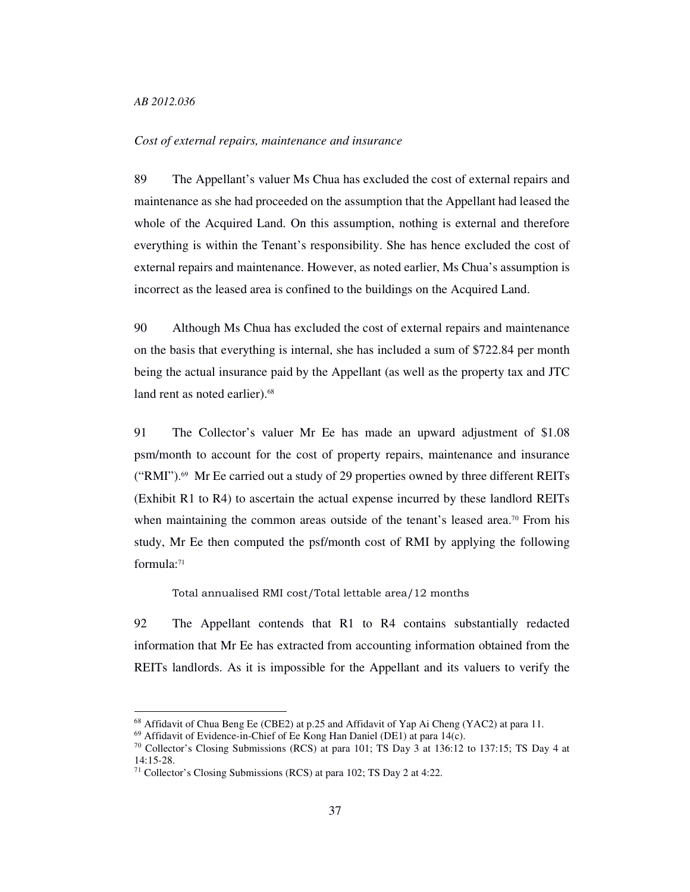-

## *Cost of external repairs, maintenance and insurance*

89 The Appellant's valuer Ms Chua has excluded the cost of external repairs and maintenance as she had proceeded on the assumption that the Appellant had leased the whole of the Acquired Land. On this assumption, nothing is external and therefore everything is within the Tenant's responsibility. She has hence excluded the cost of external repairs and maintenance. However, as noted earlier, Ms Chua's assumption is incorrect as the leased area is confined to the buildings on the Acquired Land.

90 Although Ms Chua has excluded the cost of external repairs and maintenance on the basis that everything is internal, she has included a sum of \$722.84 per month being the actual insurance paid by the Appellant (as well as the property tax and JTC land rent as noted earlier).<sup>68</sup>

91 The Collector's valuer Mr Ee has made an upward adjustment of \$1.08 psm/month to account for the cost of property repairs, maintenance and insurance ("RMI").69 Mr Ee carried out a study of 29 properties owned by three different REITs (Exhibit R1 to R4) to ascertain the actual expense incurred by these landlord REITs when maintaining the common areas outside of the tenant's leased area.<sup>70</sup> From his study, Mr Ee then computed the psf/month cost of RMI by applying the following formula:<sup>71</sup>

Total annualised RMI cost/Total lettable area/12 months

92 The Appellant contends that R1 to R4 contains substantially redacted information that Mr Ee has extracted from accounting information obtained from the REITs landlords. As it is impossible for the Appellant and its valuers to verify the

<sup>&</sup>lt;sup>68</sup> Affidavit of Chua Beng Ee (CBE2) at p.25 and Affidavit of Yap Ai Cheng (YAC2) at para 11.

<sup>69</sup> Affidavit of Evidence-in-Chief of Ee Kong Han Daniel (DE1) at para 14(c).

<sup>70</sup> Collector's Closing Submissions (RCS) at para 101; TS Day 3 at 136:12 to 137:15; TS Day 4 at 14:15-28.

<sup>71</sup> Collector's Closing Submissions (RCS) at para 102; TS Day 2 at 4:22.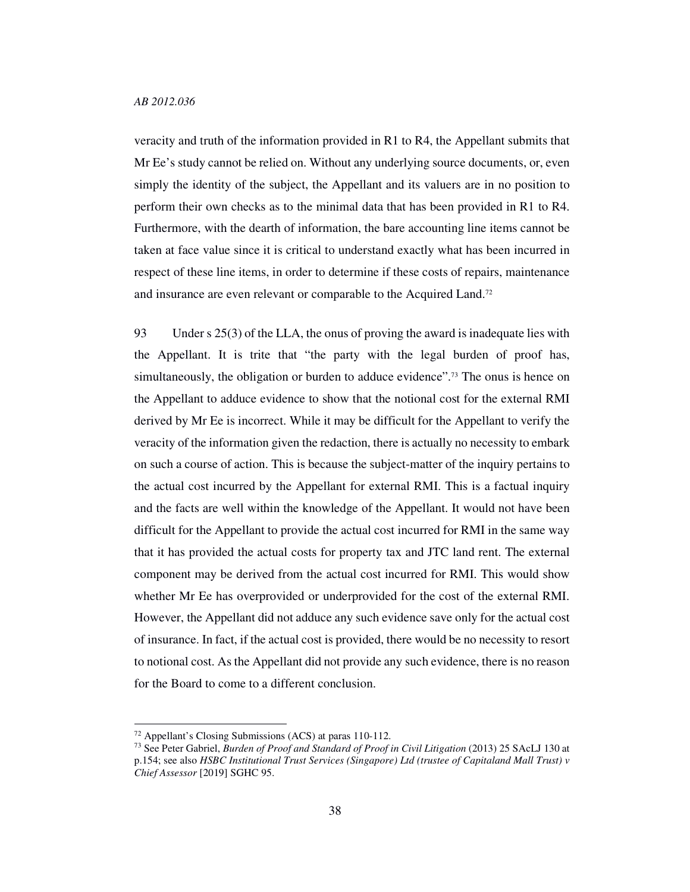veracity and truth of the information provided in R1 to R4, the Appellant submits that Mr Ee's study cannot be relied on. Without any underlying source documents, or, even simply the identity of the subject, the Appellant and its valuers are in no position to perform their own checks as to the minimal data that has been provided in R1 to R4. Furthermore, with the dearth of information, the bare accounting line items cannot be taken at face value since it is critical to understand exactly what has been incurred in respect of these line items, in order to determine if these costs of repairs, maintenance and insurance are even relevant or comparable to the Acquired Land.<sup>72</sup>

93 Under s 25(3) of the LLA, the onus of proving the award is inadequate lies with the Appellant. It is trite that "the party with the legal burden of proof has, simultaneously, the obligation or burden to adduce evidence".73 The onus is hence on the Appellant to adduce evidence to show that the notional cost for the external RMI derived by Mr Ee is incorrect. While it may be difficult for the Appellant to verify the veracity of the information given the redaction, there is actually no necessity to embark on such a course of action. This is because the subject-matter of the inquiry pertains to the actual cost incurred by the Appellant for external RMI. This is a factual inquiry and the facts are well within the knowledge of the Appellant. It would not have been difficult for the Appellant to provide the actual cost incurred for RMI in the same way that it has provided the actual costs for property tax and JTC land rent. The external component may be derived from the actual cost incurred for RMI. This would show whether Mr Ee has overprovided or underprovided for the cost of the external RMI. However, the Appellant did not adduce any such evidence save only for the actual cost of insurance. In fact, if the actual cost is provided, there would be no necessity to resort to notional cost. As the Appellant did not provide any such evidence, there is no reason for the Board to come to a different conclusion.

<sup>72</sup> Appellant's Closing Submissions (ACS) at paras 110-112.

<sup>73</sup> See Peter Gabriel, *Burden of Proof and Standard of Proof in Civil Litigation* (2013) 25 SAcLJ 130 at p.154; see also *HSBC Institutional Trust Services (Singapore) Ltd (trustee of Capitaland Mall Trust) v Chief Assessor* [2019] SGHC 95.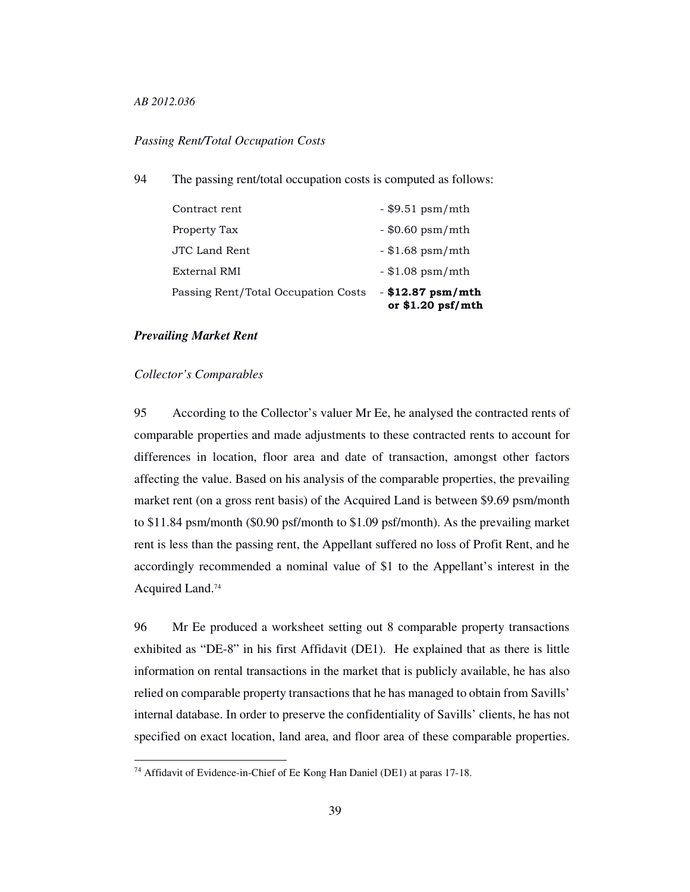# *Passing Rent/Total Occupation Costs*

94 The passing rent/total occupation costs is computed as follows:

| Passing Rent/Total Occupation Costs | $-$ \$12.87 psm/mth<br>or $$1.20$ psf/mth |
|-------------------------------------|-------------------------------------------|
| External RMI                        | $-$ \$1.08 psm/mth                        |
| JTC Land Rent                       | $-$ \$1.68 psm/mth                        |
| Property Tax                        | $-$ \$0.60 psm/mth                        |
| Contract rent                       | $-$ \$9.51 psm/mth                        |

# *Prevailing Market Rent*

### *Collector's Comparables*

-

95 According to the Collector's valuer Mr Ee, he analysed the contracted rents of comparable properties and made adjustments to these contracted rents to account for differences in location, floor area and date of transaction, amongst other factors affecting the value. Based on his analysis of the comparable properties, the prevailing market rent (on a gross rent basis) of the Acquired Land is between \$9.69 psm/month to \$11.84 psm/month (\$0.90 psf/month to \$1.09 psf/month). As the prevailing market rent is less than the passing rent, the Appellant suffered no loss of Profit Rent, and he accordingly recommended a nominal value of \$1 to the Appellant's interest in the Acquired Land.<sup>74</sup>

96 Mr Ee produced a worksheet setting out 8 comparable property transactions exhibited as "DE-8" in his first Affidavit (DE1). He explained that as there is little information on rental transactions in the market that is publicly available, he has also relied on comparable property transactions that he has managed to obtain from Savills' internal database. In order to preserve the confidentiality of Savills' clients, he has not specified on exact location, land area, and floor area of these comparable properties.

<sup>74</sup> Affidavit of Evidence-in-Chief of Ee Kong Han Daniel (DE1) at paras 17-18.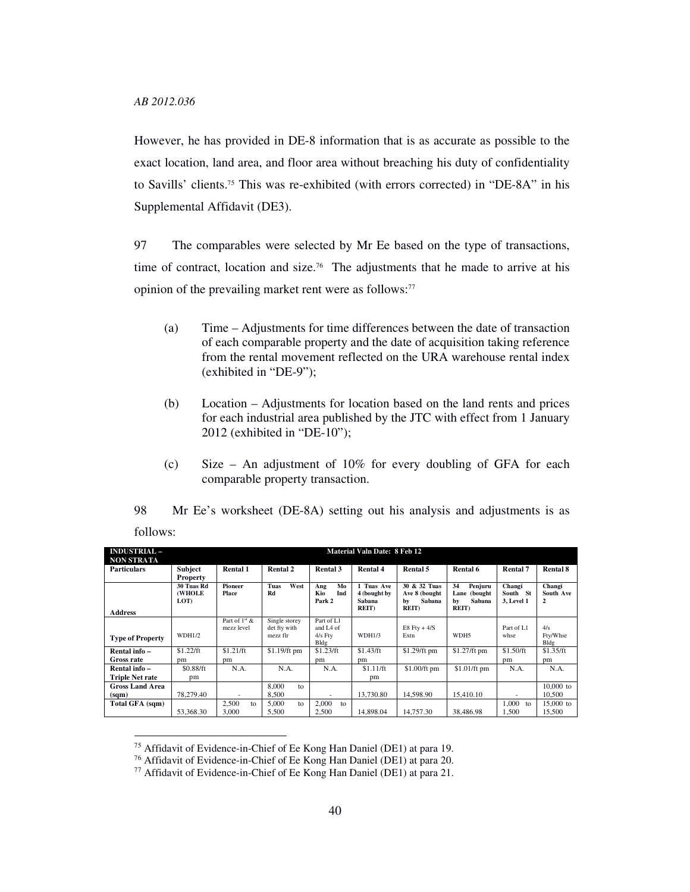-

However, he has provided in DE-8 information that is as accurate as possible to the exact location, land area, and floor area without breaching his duty of confidentiality to Savills' clients.75 This was re-exhibited (with errors corrected) in "DE-8A" in his Supplemental Affidavit (DE3).

97 The comparables were selected by Mr Ee based on the type of transactions, time of contract, location and size.<sup>76</sup> The adjustments that he made to arrive at his opinion of the prevailing market rent were as follows:<sup>77</sup>

- (a) Time Adjustments for time differences between the date of transaction of each comparable property and the date of acquisition taking reference from the rental movement reflected on the URA warehouse rental index (exhibited in "DE-9");
- (b) Location Adjustments for location based on the land rents and prices for each industrial area published by the JTC with effect from 1 January 2012 (exhibited in "DE-10");
- (c) Size An adjustment of 10% for every doubling of GFA for each comparable property transaction.

| 98       |  |  |  |  | Mr Ee's worksheet (DE-8A) setting out his analysis and adjustments is as |  |
|----------|--|--|--|--|--------------------------------------------------------------------------|--|
| follows: |  |  |  |  |                                                                          |  |

| <b>INDUSTRIAL-</b><br><b>NON STRATA</b> |                              |                                         |                                           |                                                          | <b>Material Valn Date: 8 Feb 12</b>                   |                                                                |                                                                 |                                  |                          |
|-----------------------------------------|------------------------------|-----------------------------------------|-------------------------------------------|----------------------------------------------------------|-------------------------------------------------------|----------------------------------------------------------------|-----------------------------------------------------------------|----------------------------------|--------------------------|
| <b>Particulars</b>                      | <b>Subject</b><br>Property   | <b>Rental 1</b>                         | <b>Rental 2</b>                           | Rental 3                                                 | <b>Rental 4</b>                                       | Rental 5                                                       | Rental 6                                                        | Rental 7                         | <b>Rental 8</b>          |
| <b>Address</b>                          | 30 Tuas Rd<br>(WHOLE<br>LOT) | <b>Pioneer</b><br>Place                 | West<br>Tuas<br>Rd                        | Mo<br>Ang<br>Ind<br>Kio<br>Park 2                        | 1 Tuas Ave<br>4 (bought by<br>Sabana<br><b>REIT</b> ) | 30 & 32 Tuas<br>Ave 8 (bought<br>Sabana<br>bv<br><b>REIT</b> ) | 34<br>Penjuru<br>Lane (bought)<br>Sabana<br>by<br><b>REIT</b> ) | Changi<br>South St<br>3, Level 1 | Changi<br>South Ave<br>2 |
| <b>Type of Property</b>                 | WDH1/2                       | Part of 1 <sup>st</sup> &<br>mezz level | Single storey<br>det fty with<br>mezz flr | Part of L1<br>and L <sub>4</sub> of<br>$4/s$ Fty<br>Bldg | WDH1/3                                                | E8 Fty + $4/S$<br>Extn                                         | WDH <sub>5</sub>                                                | Part of L1<br>whse               | 4/s<br>Fty/Whse<br>Bldg  |
| Rental info-<br>Gross rate              | \$1.22/ft<br>pm              | \$1.21/ft<br>pm                         | $$1.19/ft$ pm                             | \$1.23/ft<br>pm                                          | \$1.43/ft<br>pm                                       | \$1.29/ft pm                                                   | $$1.27/ft$ pm                                                   | \$1.50/ft<br>pm                  | \$1.35/ft<br>pm          |
| Rental info -<br><b>Triple Net rate</b> | \$0.88/ft<br>pm              | N.A.                                    | N.A.                                      | N.A.                                                     | \$1.11/ft<br>pm                                       | \$1.00/ft pm                                                   | \$1.01/ft pm                                                    | N.A.                             | N.A.                     |
| <b>Gross Land Area</b><br>(sqm)         | 78.279.40                    | ٠                                       | 8,000<br>to<br>8.500                      | ٠                                                        | 13.730.80                                             | 14.598.90                                                      | 15.410.10                                                       | ٠                                | $10,000$ to<br>10.500    |
| Total GFA (sqm)                         | 53,368.30                    | 2.500<br>to<br>3,000                    | 5,000<br>to<br>5.500                      | 2.000<br>to<br>2.500                                     | 14,898.04                                             | 14.757.30                                                      | 38,486.98                                                       | 1.000<br>to<br>1.500             | $15,000$ to<br>15.500    |

<sup>75</sup> Affidavit of Evidence-in-Chief of Ee Kong Han Daniel (DE1) at para 19.

<sup>76</sup> Affidavit of Evidence-in-Chief of Ee Kong Han Daniel (DE1) at para 20.

<sup>77</sup> Affidavit of Evidence-in-Chief of Ee Kong Han Daniel (DE1) at para 21.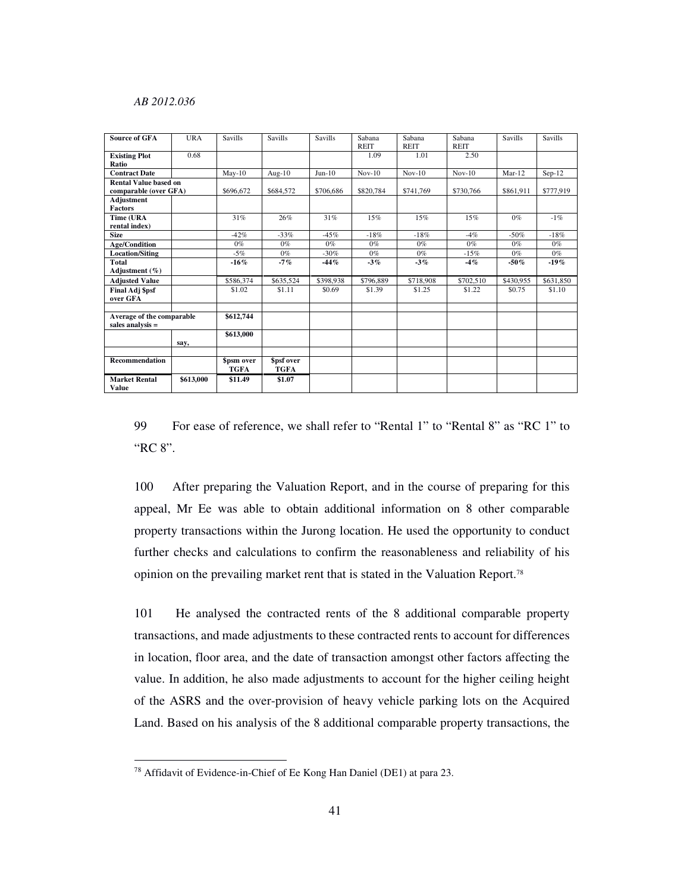| <b>Source of GFA</b>                 | <b>URA</b> | Savills    | <b>Savills</b> | Savills   | Sabana<br>REIT | Sabana<br><b>REIT</b> | Sabana<br><b>REIT</b> | <b>Savills</b> | <b>Savills</b> |
|--------------------------------------|------------|------------|----------------|-----------|----------------|-----------------------|-----------------------|----------------|----------------|
| <b>Existing Plot</b>                 | 0.68       |            |                |           | 1.09           | 1.01                  | 2.50                  |                |                |
| Ratio                                |            |            |                |           |                |                       |                       |                |                |
| <b>Contract Date</b>                 |            | $Mav-10$   | Aug- $10$      | $Jun-10$  | $Nov-10$       | $Nov-10$              | $Nov-10$              | $Mar-12$       | $Sep-12$       |
| Rental Value based on                |            |            |                |           |                |                       |                       |                |                |
| comparable (over GFA)                |            | \$696,672  | \$684,572      | \$706,686 | \$820,784      | \$741,769             | \$730,766             | \$861.911      | \$777,919      |
| Adjustment                           |            |            |                |           |                |                       |                       |                |                |
| <b>Factors</b>                       |            |            |                |           |                |                       |                       |                |                |
| Time (URA                            |            | 31%        | 26%            | 31%       | 15%            | 15%                   | 15%                   | $0\%$          | $-1\%$         |
| rental index)                        |            |            |                |           |                |                       |                       |                |                |
| <b>Size</b>                          |            | $-42%$     | $-33%$         | $-45%$    | $-18%$         | $-18%$                | $-4%$                 | $-50%$         | $-18%$         |
| <b>Age/Condition</b>                 |            | $0\%$      | $0\%$          | $0\%$     | $0\%$          | $0\%$                 | $0\%$                 | $0\%$          | $0\%$          |
| <b>Location/Siting</b>               |            | $-5%$      | $0\%$          | $-30%$    | $0\%$          | $0\%$                 | $-15%$                | $0\%$          | $0\%$          |
| <b>Total</b>                         |            | $-16\%$    | $-7%$          | -44%      | $-3%$          | $-3%$                 | $-4%$                 | $-50%$         | $-19%$         |
| Adjustment $(\% )$                   |            |            |                |           |                |                       |                       |                |                |
| <b>Adjusted Value</b>                |            | \$586,374  | \$635,524      | \$398,938 | \$796,889      | \$718,908             | \$702,510             | \$430,955      | \$631,850      |
| Final Adj \$psf<br>over GFA          |            | \$1.02     | \$1.11         | \$0.69    | \$1.39         | \$1.25                | \$1.22                | \$0.75         | \$1.10         |
|                                      |            |            |                |           |                |                       |                       |                |                |
| Average of the comparable            |            | \$612,744  |                |           |                |                       |                       |                |                |
| sales analysis $=$                   |            |            |                |           |                |                       |                       |                |                |
|                                      |            | \$613,000  |                |           |                |                       |                       |                |                |
|                                      | say,       |            |                |           |                |                       |                       |                |                |
|                                      |            |            |                |           |                |                       |                       |                |                |
| <b>Recommendation</b>                |            | \$psm over | \$psf over     |           |                |                       |                       |                |                |
|                                      |            | TGFA       | TGFA           |           |                |                       |                       |                |                |
| <b>Market Rental</b><br><b>Value</b> | \$613,000  | \$11.49    | \$1.07         |           |                |                       |                       |                |                |

99 For ease of reference, we shall refer to "Rental 1" to "Rental 8" as "RC 1" to "RC 8".

100 After preparing the Valuation Report, and in the course of preparing for this appeal, Mr Ee was able to obtain additional information on 8 other comparable property transactions within the Jurong location. He used the opportunity to conduct further checks and calculations to confirm the reasonableness and reliability of his opinion on the prevailing market rent that is stated in the Valuation Report.<sup>78</sup>

101 He analysed the contracted rents of the 8 additional comparable property transactions, and made adjustments to these contracted rents to account for differences in location, floor area, and the date of transaction amongst other factors affecting the value. In addition, he also made adjustments to account for the higher ceiling height of the ASRS and the over-provision of heavy vehicle parking lots on the Acquired Land. Based on his analysis of the 8 additional comparable property transactions, the

<sup>78</sup> Affidavit of Evidence-in-Chief of Ee Kong Han Daniel (DE1) at para 23.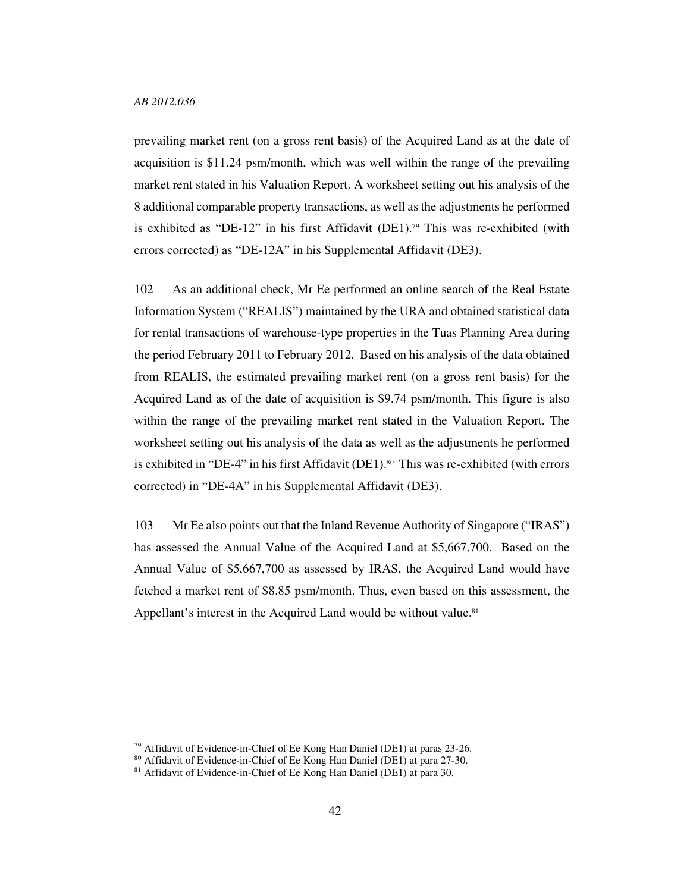-

prevailing market rent (on a gross rent basis) of the Acquired Land as at the date of acquisition is \$11.24 psm/month, which was well within the range of the prevailing market rent stated in his Valuation Report. A worksheet setting out his analysis of the 8 additional comparable property transactions, as well as the adjustments he performed is exhibited as "DE-12" in his first Affidavit (DE1).<sup>79</sup> This was re-exhibited (with errors corrected) as "DE-12A" in his Supplemental Affidavit (DE3).

102 As an additional check, Mr Ee performed an online search of the Real Estate Information System ("REALIS") maintained by the URA and obtained statistical data for rental transactions of warehouse-type properties in the Tuas Planning Area during the period February 2011 to February 2012. Based on his analysis of the data obtained from REALIS, the estimated prevailing market rent (on a gross rent basis) for the Acquired Land as of the date of acquisition is \$9.74 psm/month. This figure is also within the range of the prevailing market rent stated in the Valuation Report. The worksheet setting out his analysis of the data as well as the adjustments he performed is exhibited in "DE-4" in his first Affidavit (DE1). <sup>80</sup> This was re-exhibited (with errors corrected) in "DE-4A" in his Supplemental Affidavit (DE3).

103 Mr Ee also points out that the Inland Revenue Authority of Singapore ("IRAS") has assessed the Annual Value of the Acquired Land at \$5,667,700. Based on the Annual Value of \$5,667,700 as assessed by IRAS, the Acquired Land would have fetched a market rent of \$8.85 psm/month. Thus, even based on this assessment, the Appellant's interest in the Acquired Land would be without value.<sup>81</sup>

<sup>79</sup> Affidavit of Evidence-in-Chief of Ee Kong Han Daniel (DE1) at paras 23-26.

<sup>80</sup> Affidavit of Evidence-in-Chief of Ee Kong Han Daniel (DE1) at para 27-30.

<sup>81</sup> Affidavit of Evidence-in-Chief of Ee Kong Han Daniel (DE1) at para 30.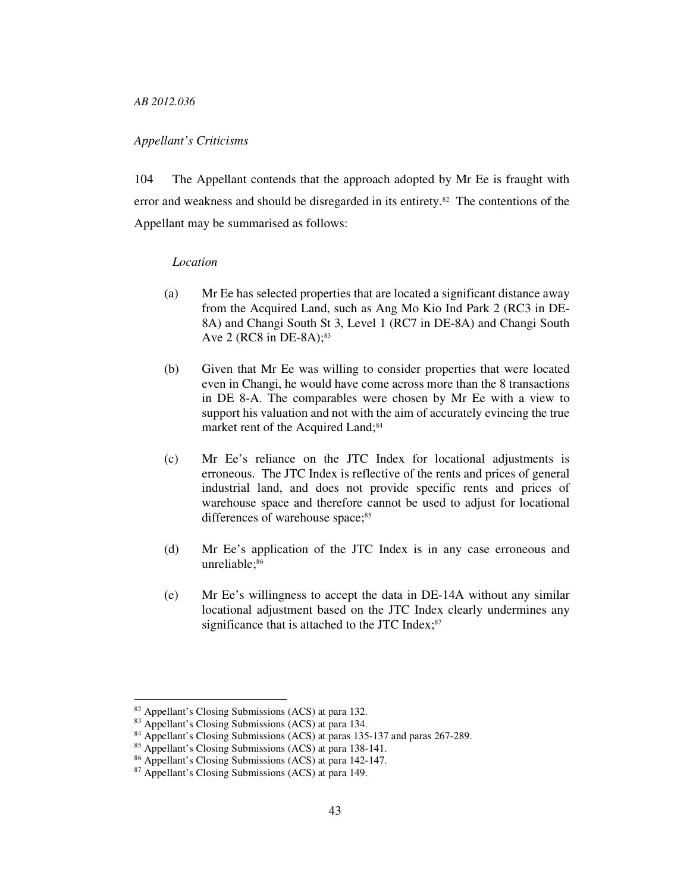## *Appellant's Criticisms*

104 The Appellant contends that the approach adopted by Mr Ee is fraught with error and weakness and should be disregarded in its entirety.<sup>82</sup> The contentions of the Appellant may be summarised as follows:

#### *Location*

- (a) Mr Ee has selected properties that are located a significant distance away from the Acquired Land, such as Ang Mo Kio Ind Park 2 (RC3 in DE-8A) and Changi South St 3, Level 1 (RC7 in DE-8A) and Changi South Ave 2 (RC8 in DE-8A); $83$
- (b) Given that Mr Ee was willing to consider properties that were located even in Changi, he would have come across more than the 8 transactions in DE 8-A. The comparables were chosen by Mr Ee with a view to support his valuation and not with the aim of accurately evincing the true market rent of the Acquired Land;<sup>84</sup>
- (c) Mr Ee's reliance on the JTC Index for locational adjustments is erroneous. The JTC Index is reflective of the rents and prices of general industrial land, and does not provide specific rents and prices of warehouse space and therefore cannot be used to adjust for locational differences of warehouse space;<sup>85</sup>
- (d) Mr Ee's application of the JTC Index is in any case erroneous and unreliable;<sup>86</sup>
- (e) Mr Ee's willingness to accept the data in DE-14A without any similar locational adjustment based on the JTC Index clearly undermines any significance that is attached to the JTC Index;<sup>87</sup>

<sup>82</sup> Appellant's Closing Submissions (ACS) at para 132.

<sup>83</sup> Appellant's Closing Submissions (ACS) at para 134.

<sup>84</sup> Appellant's Closing Submissions (ACS) at paras 135-137 and paras 267-289.

<sup>85</sup> Appellant's Closing Submissions (ACS) at para 138-141.

<sup>86</sup> Appellant's Closing Submissions (ACS) at para 142-147.

<sup>87</sup> Appellant's Closing Submissions (ACS) at para 149.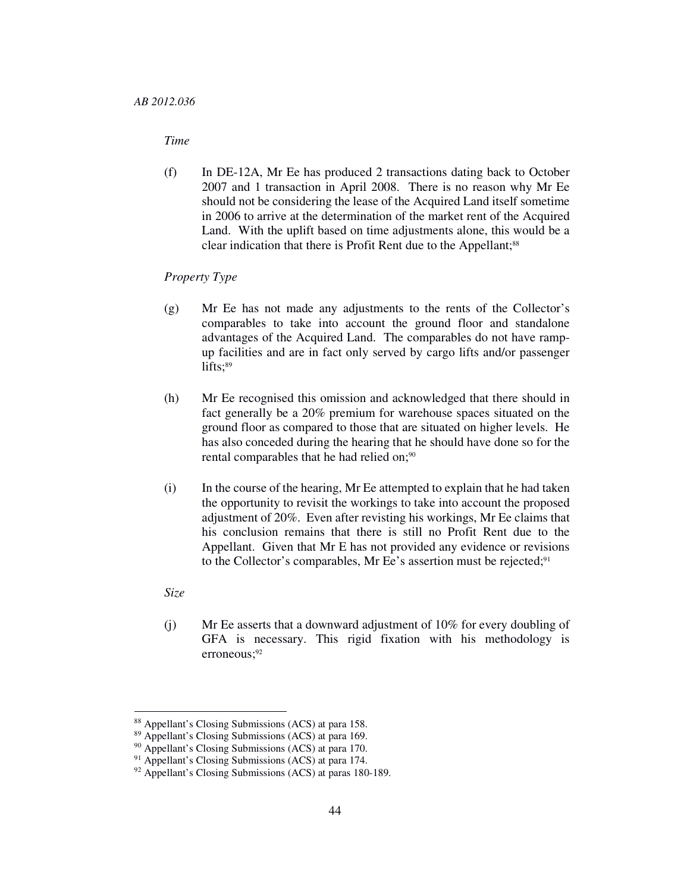## *Time*

(f) In DE-12A, Mr Ee has produced 2 transactions dating back to October 2007 and 1 transaction in April 2008. There is no reason why Mr Ee should not be considering the lease of the Acquired Land itself sometime in 2006 to arrive at the determination of the market rent of the Acquired Land. With the uplift based on time adjustments alone, this would be a clear indication that there is Profit Rent due to the Appellant;<sup>88</sup>

#### *Property Type*

- (g) Mr Ee has not made any adjustments to the rents of the Collector's comparables to take into account the ground floor and standalone advantages of the Acquired Land. The comparables do not have rampup facilities and are in fact only served by cargo lifts and/or passenger lifts;<sup>89</sup>
- (h) Mr Ee recognised this omission and acknowledged that there should in fact generally be a 20% premium for warehouse spaces situated on the ground floor as compared to those that are situated on higher levels. He has also conceded during the hearing that he should have done so for the rental comparables that he had relied on;<sup>90</sup>
- (i) In the course of the hearing, Mr Ee attempted to explain that he had taken the opportunity to revisit the workings to take into account the proposed adjustment of 20%. Even after revisting his workings, Mr Ee claims that his conclusion remains that there is still no Profit Rent due to the Appellant. Given that Mr E has not provided any evidence or revisions to the Collector's comparables, Mr Ee's assertion must be rejected;<sup>91</sup>

#### *Size*

-

(j) Mr Ee asserts that a downward adjustment of 10% for every doubling of GFA is necessary. This rigid fixation with his methodology is erroneous;<sup>92</sup>

<sup>88</sup> Appellant's Closing Submissions (ACS) at para 158.

<sup>89</sup> Appellant's Closing Submissions (ACS) at para 169.

<sup>90</sup> Appellant's Closing Submissions (ACS) at para 170.

<sup>&</sup>lt;sup>91</sup> Appellant's Closing Submissions (ACS) at para 174.

<sup>92</sup> Appellant's Closing Submissions (ACS) at paras 180-189.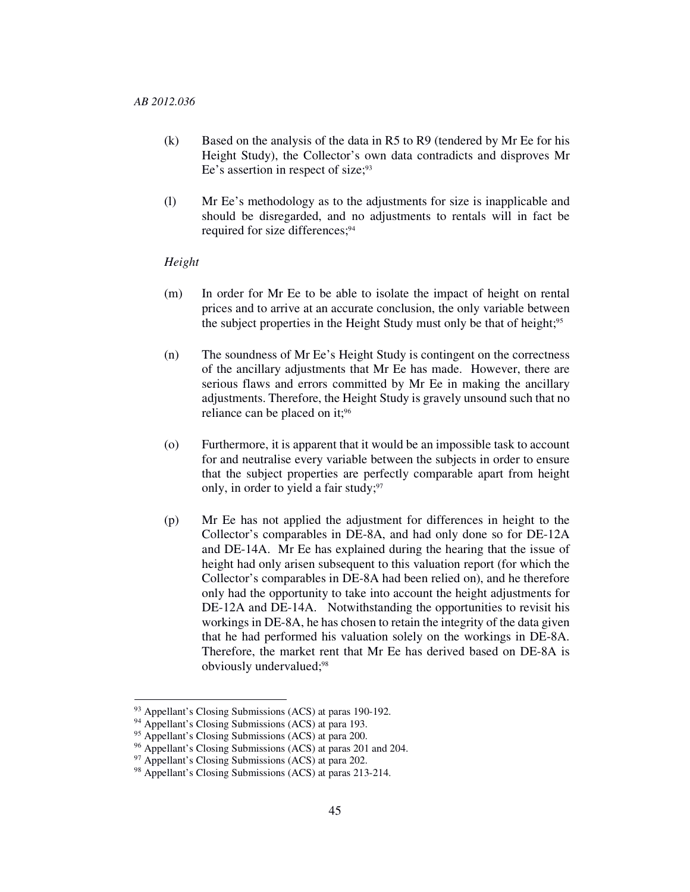- (k) Based on the analysis of the data in R5 to R9 (tendered by Mr Ee for his Height Study), the Collector's own data contradicts and disproves Mr Ee's assertion in respect of size;<sup>93</sup>
- (l) Mr Ee's methodology as to the adjustments for size is inapplicable and should be disregarded, and no adjustments to rentals will in fact be required for size differences;<sup>94</sup>

## *Height*

- (m) In order for Mr Ee to be able to isolate the impact of height on rental prices and to arrive at an accurate conclusion, the only variable between the subject properties in the Height Study must only be that of height;<sup>95</sup>
- (n) The soundness of Mr Ee's Height Study is contingent on the correctness of the ancillary adjustments that Mr Ee has made. However, there are serious flaws and errors committed by Mr Ee in making the ancillary adjustments. Therefore, the Height Study is gravely unsound such that no reliance can be placed on it;<sup>96</sup>
- (o) Furthermore, it is apparent that it would be an impossible task to account for and neutralise every variable between the subjects in order to ensure that the subject properties are perfectly comparable apart from height only, in order to yield a fair study;<sup>97</sup>
- (p) Mr Ee has not applied the adjustment for differences in height to the Collector's comparables in DE-8A, and had only done so for DE-12A and DE-14A. Mr Ee has explained during the hearing that the issue of height had only arisen subsequent to this valuation report (for which the Collector's comparables in DE-8A had been relied on), and he therefore only had the opportunity to take into account the height adjustments for DE-12A and DE-14A. Notwithstanding the opportunities to revisit his workings in DE-8A, he has chosen to retain the integrity of the data given that he had performed his valuation solely on the workings in DE-8A. Therefore, the market rent that Mr Ee has derived based on DE-8A is obviously undervalued;<sup>98</sup>

<sup>93</sup> Appellant's Closing Submissions (ACS) at paras 190-192.

<sup>94</sup> Appellant's Closing Submissions (ACS) at para 193.

<sup>&</sup>lt;sup>95</sup> Appellant's Closing Submissions (ACS) at para 200.

<sup>96</sup> Appellant's Closing Submissions (ACS) at paras 201 and 204.

<sup>&</sup>lt;sup>97</sup> Appellant's Closing Submissions (ACS) at para 202.

<sup>98</sup> Appellant's Closing Submissions (ACS) at paras 213-214.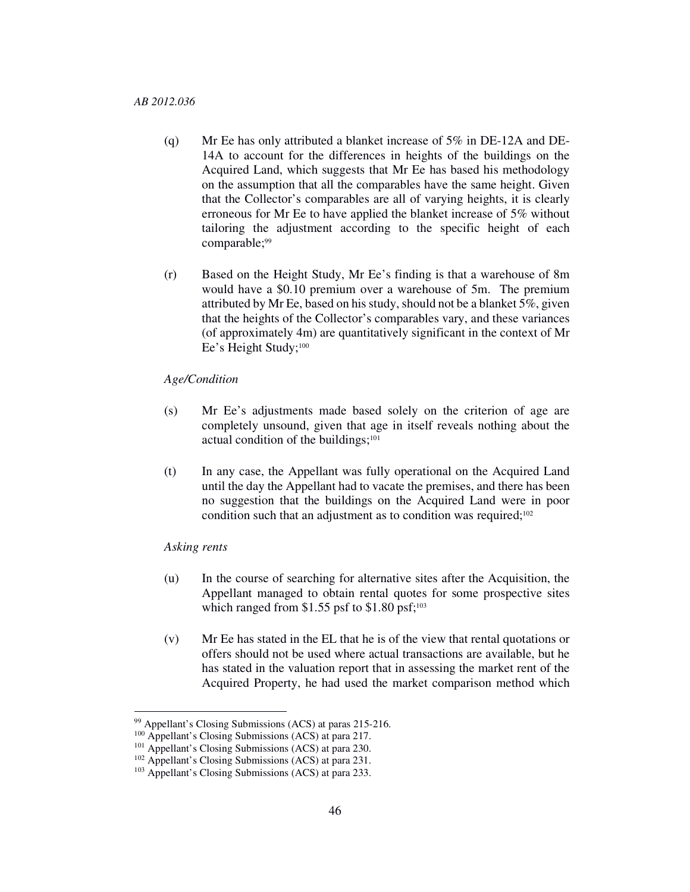- (q) Mr Ee has only attributed a blanket increase of 5% in DE-12A and DE-14A to account for the differences in heights of the buildings on the Acquired Land, which suggests that Mr Ee has based his methodology on the assumption that all the comparables have the same height. Given that the Collector's comparables are all of varying heights, it is clearly erroneous for Mr Ee to have applied the blanket increase of 5% without tailoring the adjustment according to the specific height of each comparable;<sup>99</sup>
- (r) Based on the Height Study, Mr Ee's finding is that a warehouse of 8m would have a \$0.10 premium over a warehouse of 5m. The premium attributed by Mr Ee, based on his study, should not be a blanket 5%, given that the heights of the Collector's comparables vary, and these variances (of approximately 4m) are quantitatively significant in the context of Mr Ee's Height Study;<sup>100</sup>

## *Age/Condition*

- (s) Mr Ee's adjustments made based solely on the criterion of age are completely unsound, given that age in itself reveals nothing about the actual condition of the buildings;<sup>101</sup>
- (t) In any case, the Appellant was fully operational on the Acquired Land until the day the Appellant had to vacate the premises, and there has been no suggestion that the buildings on the Acquired Land were in poor condition such that an adjustment as to condition was required;<sup>102</sup>

# *Asking rents*

- (u) In the course of searching for alternative sites after the Acquisition, the Appellant managed to obtain rental quotes for some prospective sites which ranged from  $$1.55$  psf to  $$1.80$  psf;<sup>103</sup>
- (v) Mr Ee has stated in the EL that he is of the view that rental quotations or offers should not be used where actual transactions are available, but he has stated in the valuation report that in assessing the market rent of the Acquired Property, he had used the market comparison method which

<sup>99</sup> Appellant's Closing Submissions (ACS) at paras 215-216.

<sup>100</sup> Appellant's Closing Submissions (ACS) at para 217.

<sup>&</sup>lt;sup>101</sup> Appellant's Closing Submissions (ACS) at para 230.

<sup>102</sup> Appellant's Closing Submissions (ACS) at para 231.

<sup>103</sup> Appellant's Closing Submissions (ACS) at para 233.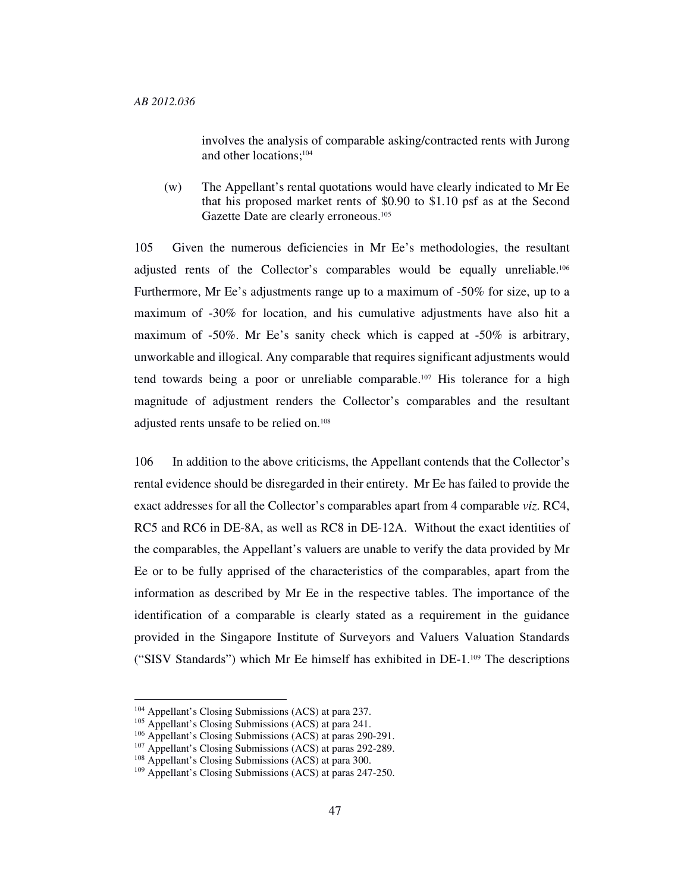involves the analysis of comparable asking/contracted rents with Jurong and other locations;<sup>104</sup>

(w) The Appellant's rental quotations would have clearly indicated to Mr Ee that his proposed market rents of \$0.90 to \$1.10 psf as at the Second Gazette Date are clearly erroneous.<sup>105</sup>

105 Given the numerous deficiencies in Mr Ee's methodologies, the resultant adjusted rents of the Collector's comparables would be equally unreliable.<sup>106</sup> Furthermore, Mr Ee's adjustments range up to a maximum of -50% for size, up to a maximum of -30% for location, and his cumulative adjustments have also hit a maximum of -50%. Mr Ee's sanity check which is capped at -50% is arbitrary, unworkable and illogical. Any comparable that requires significant adjustments would tend towards being a poor or unreliable comparable.107 His tolerance for a high magnitude of adjustment renders the Collector's comparables and the resultant adjusted rents unsafe to be relied on.<sup>108</sup>

106 In addition to the above criticisms, the Appellant contends that the Collector's rental evidence should be disregarded in their entirety. Mr Ee has failed to provide the exact addresses for all the Collector's comparables apart from 4 comparable *viz*. RC4, RC5 and RC6 in DE-8A, as well as RC8 in DE-12A. Without the exact identities of the comparables, the Appellant's valuers are unable to verify the data provided by Mr Ee or to be fully apprised of the characteristics of the comparables, apart from the information as described by Mr Ee in the respective tables. The importance of the identification of a comparable is clearly stated as a requirement in the guidance provided in the Singapore Institute of Surveyors and Valuers Valuation Standards ("SISV Standards") which Mr Ee himself has exhibited in DE-1.109 The descriptions

<sup>104</sup> Appellant's Closing Submissions (ACS) at para 237.

<sup>&</sup>lt;sup>105</sup> Appellant's Closing Submissions (ACS) at para 241.

<sup>106</sup> Appellant's Closing Submissions (ACS) at paras 290-291.

<sup>107</sup> Appellant's Closing Submissions (ACS) at paras 292-289.

<sup>108</sup> Appellant's Closing Submissions (ACS) at para 300.

<sup>109</sup> Appellant's Closing Submissions (ACS) at paras 247-250.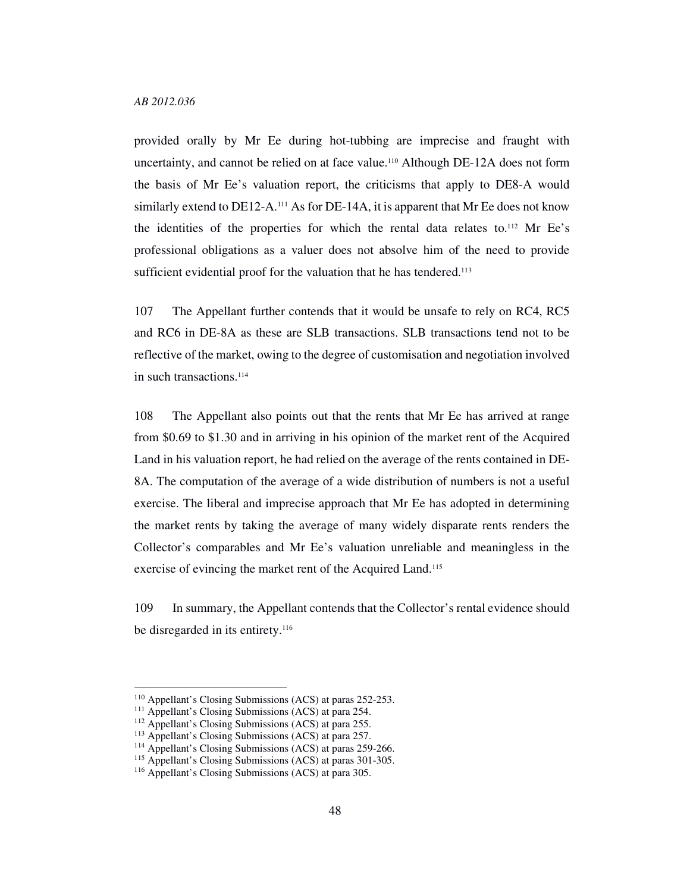provided orally by Mr Ee during hot-tubbing are imprecise and fraught with uncertainty, and cannot be relied on at face value.110 Although DE-12A does not form the basis of Mr Ee's valuation report, the criticisms that apply to DE8-A would similarly extend to DE12-A.<sup>111</sup> As for DE-14A, it is apparent that Mr Ee does not know the identities of the properties for which the rental data relates to.112 Mr Ee's professional obligations as a valuer does not absolve him of the need to provide sufficient evidential proof for the valuation that he has tendered.<sup>113</sup>

107 The Appellant further contends that it would be unsafe to rely on RC4, RC5 and RC6 in DE-8A as these are SLB transactions. SLB transactions tend not to be reflective of the market, owing to the degree of customisation and negotiation involved in such transactions.<sup>114</sup>

108 The Appellant also points out that the rents that Mr Ee has arrived at range from \$0.69 to \$1.30 and in arriving in his opinion of the market rent of the Acquired Land in his valuation report, he had relied on the average of the rents contained in DE-8A. The computation of the average of a wide distribution of numbers is not a useful exercise. The liberal and imprecise approach that Mr Ee has adopted in determining the market rents by taking the average of many widely disparate rents renders the Collector's comparables and Mr Ee's valuation unreliable and meaningless in the exercise of evincing the market rent of the Acquired Land.<sup>115</sup>

109 In summary, the Appellant contends that the Collector's rental evidence should be disregarded in its entirety.<sup>116</sup>

<sup>110</sup> Appellant's Closing Submissions (ACS) at paras 252-253.

<sup>&</sup>lt;sup>111</sup> Appellant's Closing Submissions (ACS) at para 254.

<sup>112</sup> Appellant's Closing Submissions (ACS) at para 255.

<sup>113</sup> Appellant's Closing Submissions (ACS) at para 257.

<sup>114</sup> Appellant's Closing Submissions (ACS) at paras 259-266.

<sup>115</sup> Appellant's Closing Submissions (ACS) at paras 301-305.

<sup>116</sup> Appellant's Closing Submissions (ACS) at para 305.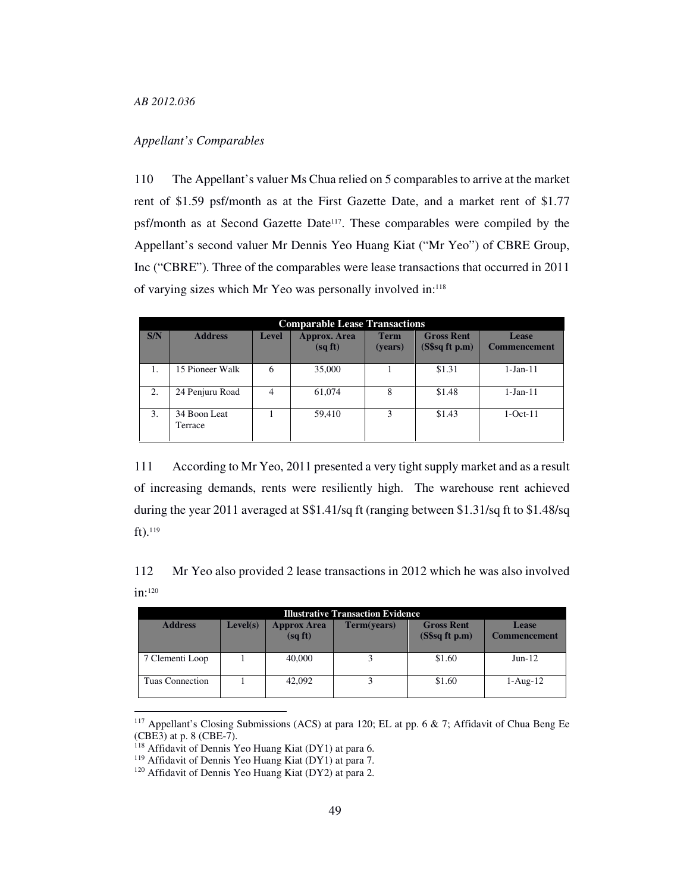## *Appellant's Comparables*

110 The Appellant's valuer Ms Chua relied on 5 comparables to arrive at the market rent of \$1.59 psf/month as at the First Gazette Date, and a market rent of \$1.77 psf/month as at Second Gazette Date<sup>117</sup>. These comparables were compiled by the Appellant's second valuer Mr Dennis Yeo Huang Kiat ("Mr Yeo") of CBRE Group, Inc ("CBRE"). Three of the comparables were lease transactions that occurred in 2011 of varying sizes which Mr Yeo was personally involved in:<sup>118</sup>

|     |                         |       | <b>Comparable Lease Transactions</b> |                        |                                          |                                     |
|-----|-------------------------|-------|--------------------------------------|------------------------|------------------------------------------|-------------------------------------|
| S/N | <b>Address</b>          | Level | <b>Approx.</b> Area<br>(sqft)        | <b>Term</b><br>(years) | <b>Gross Rent</b><br>$(S\$ sq ft p.m $)$ | <b>Lease</b><br><b>Commencement</b> |
| 1.  | 15 Pioneer Walk         | 6     | 35,000                               |                        | \$1.31                                   | $1-Jan-11$                          |
| 2.  | 24 Penjuru Road         | 4     | 61,074                               | 8                      | \$1.48                                   | $1-Jan-11$                          |
| 3.  | 34 Boon Leat<br>Terrace |       | 59.410                               | 3                      | \$1.43                                   | $1-Oct-11$                          |

111 According to Mr Yeo, 2011 presented a very tight supply market and as a result of increasing demands, rents were resiliently high. The warehouse rent achieved during the year 2011 averaged at S\$1.41/sq ft (ranging between \$1.31/sq ft to \$1.48/sq ft).<sup>119</sup>

112 Mr Yeo also provided 2 lease transactions in 2012 which he was also involved in:<sup>120</sup>

| <b>Illustrative Transaction Evidence</b> |          |                              |             |                                         |                                     |  |
|------------------------------------------|----------|------------------------------|-------------|-----------------------------------------|-------------------------------------|--|
| <b>Address</b>                           | Level(s) | <b>Approx Area</b><br>(sqft) | Term(years) | <b>Gross Rent</b><br>$(S\$ {sq}ft\ p.m) | <b>Lease</b><br><b>Commencement</b> |  |
| 7 Clementi Loop                          |          | 40,000                       |             | \$1.60                                  | $Jun-12$                            |  |
| Tuas Connection                          |          | 42,092                       |             | \$1.60                                  | $1-Aug-12$                          |  |

<sup>&</sup>lt;sup>117</sup> Appellant's Closing Submissions (ACS) at para 120; EL at pp. 6  $\&$  7; Affidavit of Chua Beng Ee (CBE3) at p. 8 (CBE-7).

<sup>118</sup> Affidavit of Dennis Yeo Huang Kiat (DY1) at para 6.

<sup>119</sup> Affidavit of Dennis Yeo Huang Kiat (DY1) at para 7.

<sup>120</sup> Affidavit of Dennis Yeo Huang Kiat (DY2) at para 2.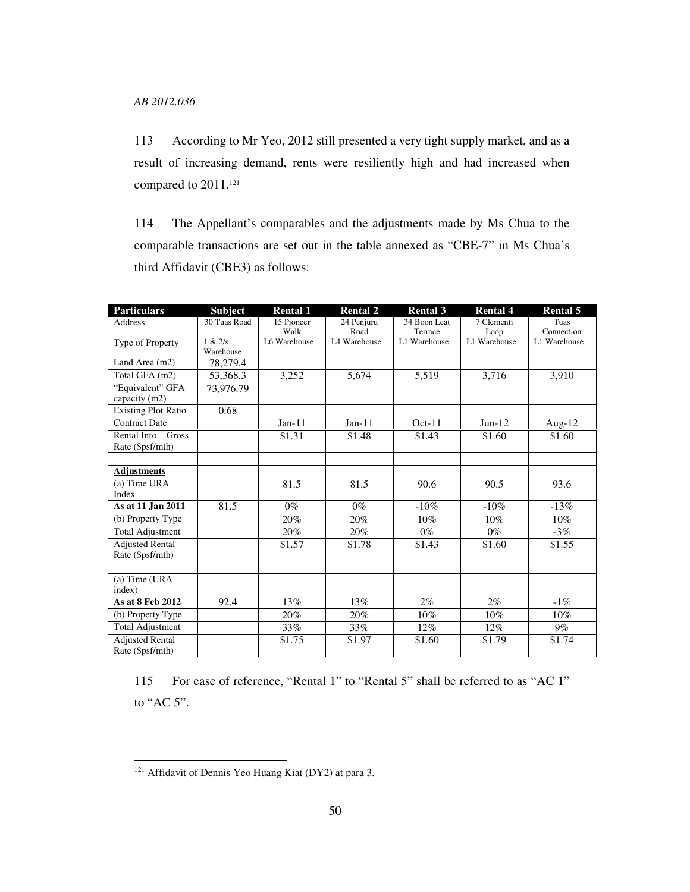113 According to Mr Yeo, 2012 still presented a very tight supply market, and as a result of increasing demand, rents were resiliently high and had increased when compared to 2011.<sup>121</sup>

114 The Appellant's comparables and the adjustments made by Ms Chua to the comparable transactions are set out in the table annexed as "CBE-7" in Ms Chua's third Affidavit (CBE3) as follows:

| <b>Particulars</b>         | <b>Subject</b> | <b>Rental 1</b> | <b>Rental 2</b> | <b>Rental 3</b> | <b>Rental 4</b> | <b>Rental 5</b> |
|----------------------------|----------------|-----------------|-----------------|-----------------|-----------------|-----------------|
| Address                    | 30 Tuas Road   | 15 Pioneer      | 24 Penjuru      | 34 Boon Leat    | 7 Clementi      | Tuas            |
|                            |                | Walk            | Road            | Terrace         | Loop            | Connection      |
| Type of Property           | 1 & 2/s        | L6 Warehouse    | L4 Warehouse    | L1 Warehouse    | L1 Warehouse    | L1 Warehouse    |
|                            | Warehouse      |                 |                 |                 |                 |                 |
| Land Area (m2)             | 78,279.4       |                 |                 |                 |                 |                 |
| Total GFA (m2)             | 53,368.3       | 3,252           | 5.674           | 5,519           | 3,716           | 3,910           |
| "Equivalent" GFA           | 73,976.79      |                 |                 |                 |                 |                 |
| capacity (m2)              |                |                 |                 |                 |                 |                 |
| <b>Existing Plot Ratio</b> | 0.68           |                 |                 |                 |                 |                 |
| <b>Contract Date</b>       |                | $Jan-11$        | $Jan-11$        | $Oct-11$        | $Jun-12$        | Aug-12          |
| Rental Info – Gross        |                | \$1.31          | \$1.48          | \$1.43          | \$1.60          | \$1.60          |
| Rate (\$psf/mth)           |                |                 |                 |                 |                 |                 |
|                            |                |                 |                 |                 |                 |                 |
| <b>Adjustments</b>         |                |                 |                 |                 |                 |                 |
| (a) Time URA               |                | 81.5            | 81.5            | 90.6            | 90.5            | 93.6            |
| Index                      |                |                 |                 |                 |                 |                 |
| As at 11 Jan 2011          | 81.5           | $0\%$           | $0\%$           | $-10%$          | $-10%$          | $-13%$          |
| (b) Property Type          |                | $20\%$          | 20%             | 10%             | 10%             | 10%             |
| <b>Total Adjustment</b>    |                | 20%             | 20%             | $0\%$           | $0\%$           | $-3%$           |
| <b>Adjusted Rental</b>     |                | \$1.57          | \$1.78          | \$1.43          | \$1.60          | \$1.55          |
| Rate (\$psf/mth)           |                |                 |                 |                 |                 |                 |
|                            |                |                 |                 |                 |                 |                 |
| $(a)$ Time (URA            |                |                 |                 |                 |                 |                 |
| index)                     |                |                 |                 |                 |                 |                 |
| As at 8 Feb 2012           | 92.4           | 13%             | 13%             | $2\%$           | $2\%$           | $-1\%$          |
| (b) Property Type          |                | 20%             | 20%             | $10\%$          | $10\%$          | 10%             |
| <b>Total Adjustment</b>    |                | 33%             | 33%             | 12%             | 12%             | $9\%$           |
| <b>Adjusted Rental</b>     |                | \$1.75          | \$1.97          | \$1.60          | \$1.79          | \$1.74          |
| Rate (\$psf/mth)           |                |                 |                 |                 |                 |                 |

115 For ease of reference, "Rental 1" to "Rental 5" shall be referred to as "AC 1" to "AC 5".

<sup>121</sup> Affidavit of Dennis Yeo Huang Kiat (DY2) at para 3.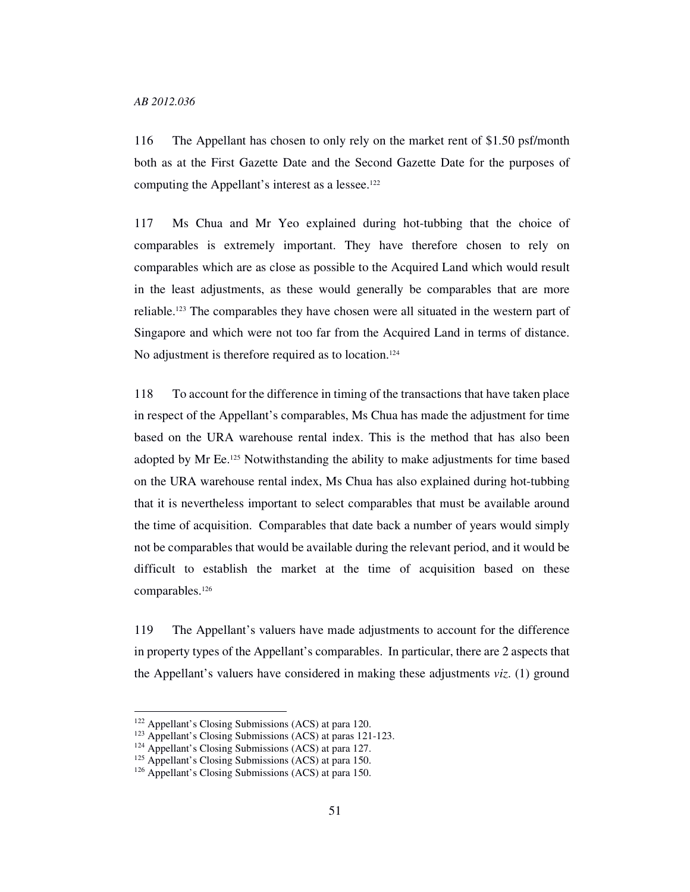116 The Appellant has chosen to only rely on the market rent of \$1.50 psf/month both as at the First Gazette Date and the Second Gazette Date for the purposes of computing the Appellant's interest as a lessee.<sup>122</sup>

117 Ms Chua and Mr Yeo explained during hot-tubbing that the choice of comparables is extremely important. They have therefore chosen to rely on comparables which are as close as possible to the Acquired Land which would result in the least adjustments, as these would generally be comparables that are more reliable.123 The comparables they have chosen were all situated in the western part of Singapore and which were not too far from the Acquired Land in terms of distance. No adjustment is therefore required as to location.<sup>124</sup>

118 To account for the difference in timing of the transactions that have taken place in respect of the Appellant's comparables, Ms Chua has made the adjustment for time based on the URA warehouse rental index. This is the method that has also been adopted by Mr Ee.125 Notwithstanding the ability to make adjustments for time based on the URA warehouse rental index, Ms Chua has also explained during hot-tubbing that it is nevertheless important to select comparables that must be available around the time of acquisition. Comparables that date back a number of years would simply not be comparables that would be available during the relevant period, and it would be difficult to establish the market at the time of acquisition based on these comparables.<sup>126</sup>

119 The Appellant's valuers have made adjustments to account for the difference in property types of the Appellant's comparables. In particular, there are 2 aspects that the Appellant's valuers have considered in making these adjustments *viz*. (1) ground

<sup>122</sup> Appellant's Closing Submissions (ACS) at para 120.

<sup>123</sup> Appellant's Closing Submissions (ACS) at paras 121-123.

<sup>124</sup> Appellant's Closing Submissions (ACS) at para 127.

<sup>&</sup>lt;sup>125</sup> Appellant's Closing Submissions (ACS) at para 150.

<sup>126</sup> Appellant's Closing Submissions (ACS) at para 150.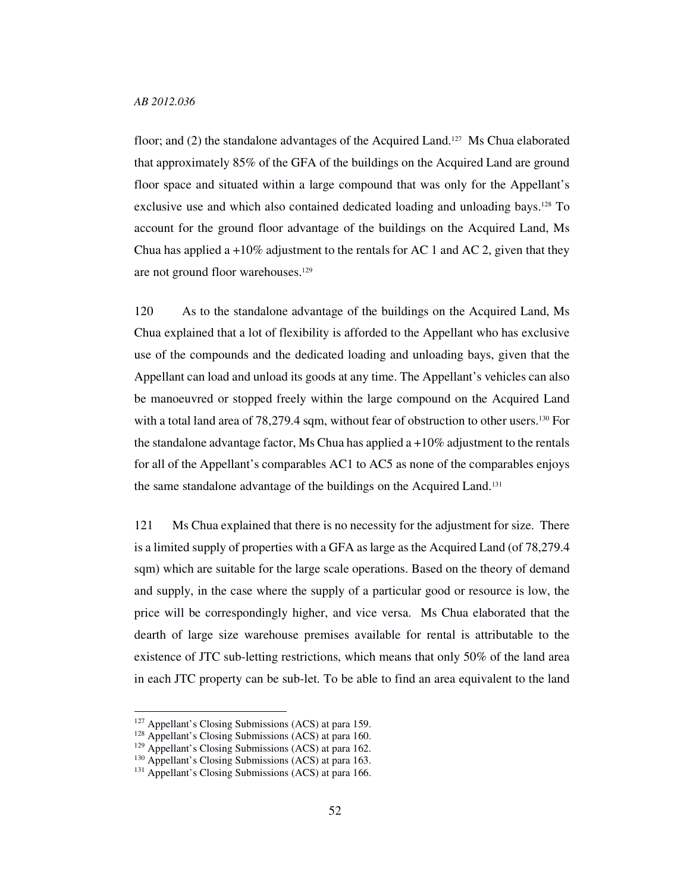floor; and (2) the standalone advantages of the Acquired Land.127 Ms Chua elaborated that approximately 85% of the GFA of the buildings on the Acquired Land are ground floor space and situated within a large compound that was only for the Appellant's exclusive use and which also contained dedicated loading and unloading bays.128 To account for the ground floor advantage of the buildings on the Acquired Land, Ms Chua has applied a  $+10\%$  adjustment to the rentals for AC 1 and AC 2, given that they are not ground floor warehouses.<sup>129</sup>

120 As to the standalone advantage of the buildings on the Acquired Land, Ms Chua explained that a lot of flexibility is afforded to the Appellant who has exclusive use of the compounds and the dedicated loading and unloading bays, given that the Appellant can load and unload its goods at any time. The Appellant's vehicles can also be manoeuvred or stopped freely within the large compound on the Acquired Land with a total land area of 78,279.4 sqm, without fear of obstruction to other users.<sup>130</sup> For the standalone advantage factor, Ms Chua has applied a  $+10\%$  adjustment to the rentals for all of the Appellant's comparables AC1 to AC5 as none of the comparables enjoys the same standalone advantage of the buildings on the Acquired Land.<sup>131</sup>

121 Ms Chua explained that there is no necessity for the adjustment for size. There is a limited supply of properties with a GFA as large as the Acquired Land (of 78,279.4 sqm) which are suitable for the large scale operations. Based on the theory of demand and supply, in the case where the supply of a particular good or resource is low, the price will be correspondingly higher, and vice versa. Ms Chua elaborated that the dearth of large size warehouse premises available for rental is attributable to the existence of JTC sub-letting restrictions, which means that only 50% of the land area in each JTC property can be sub-let. To be able to find an area equivalent to the land

<sup>127</sup> Appellant's Closing Submissions (ACS) at para 159.

<sup>&</sup>lt;sup>128</sup> Appellant's Closing Submissions (ACS) at para 160.

<sup>129</sup> Appellant's Closing Submissions (ACS) at para 162.

<sup>&</sup>lt;sup>130</sup> Appellant's Closing Submissions (ACS) at para 163.

<sup>&</sup>lt;sup>131</sup> Appellant's Closing Submissions (ACS) at para 166.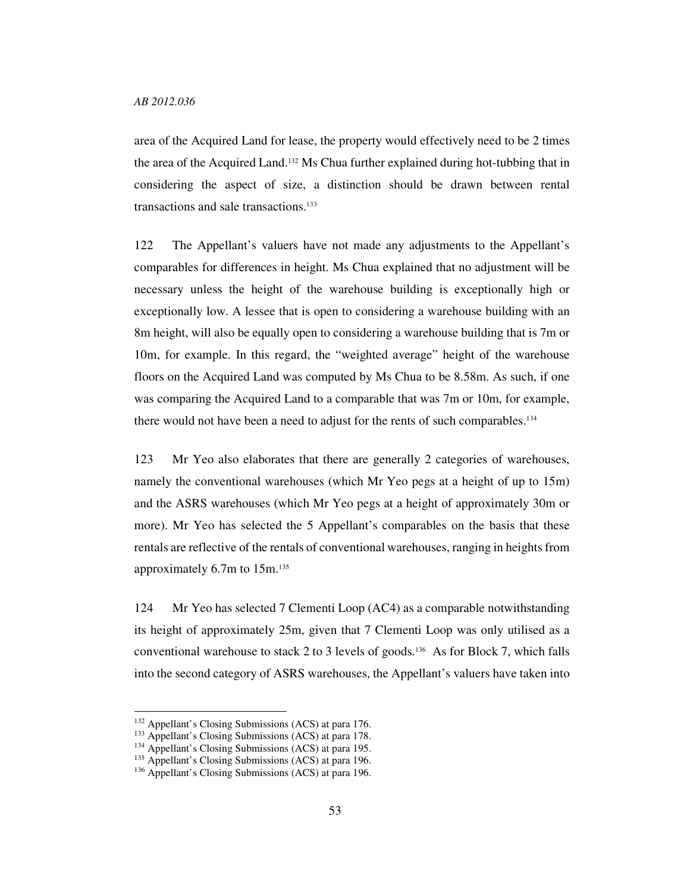area of the Acquired Land for lease, the property would effectively need to be 2 times the area of the Acquired Land.132 Ms Chua further explained during hot-tubbing that in considering the aspect of size, a distinction should be drawn between rental transactions and sale transactions.<sup>133</sup>

122 The Appellant's valuers have not made any adjustments to the Appellant's comparables for differences in height. Ms Chua explained that no adjustment will be necessary unless the height of the warehouse building is exceptionally high or exceptionally low. A lessee that is open to considering a warehouse building with an 8m height, will also be equally open to considering a warehouse building that is 7m or 10m, for example. In this regard, the "weighted average" height of the warehouse floors on the Acquired Land was computed by Ms Chua to be 8.58m. As such, if one was comparing the Acquired Land to a comparable that was 7m or 10m, for example, there would not have been a need to adjust for the rents of such comparables.<sup>134</sup>

123 Mr Yeo also elaborates that there are generally 2 categories of warehouses, namely the conventional warehouses (which Mr Yeo pegs at a height of up to 15m) and the ASRS warehouses (which Mr Yeo pegs at a height of approximately 30m or more). Mr Yeo has selected the 5 Appellant's comparables on the basis that these rentals are reflective of the rentals of conventional warehouses, ranging in heights from approximately 6.7m to 15m.<sup>135</sup>

124 Mr Yeo has selected 7 Clementi Loop (AC4) as a comparable notwithstanding its height of approximately 25m, given that 7 Clementi Loop was only utilised as a conventional warehouse to stack 2 to 3 levels of goods.<sup>136</sup> As for Block 7, which falls into the second category of ASRS warehouses, the Appellant's valuers have taken into

<sup>132</sup> Appellant's Closing Submissions (ACS) at para 176.

<sup>&</sup>lt;sup>133</sup> Appellant's Closing Submissions (ACS) at para 178.

<sup>134</sup> Appellant's Closing Submissions (ACS) at para 195.

<sup>&</sup>lt;sup>135</sup> Appellant's Closing Submissions (ACS) at para 196.

<sup>136</sup> Appellant's Closing Submissions (ACS) at para 196.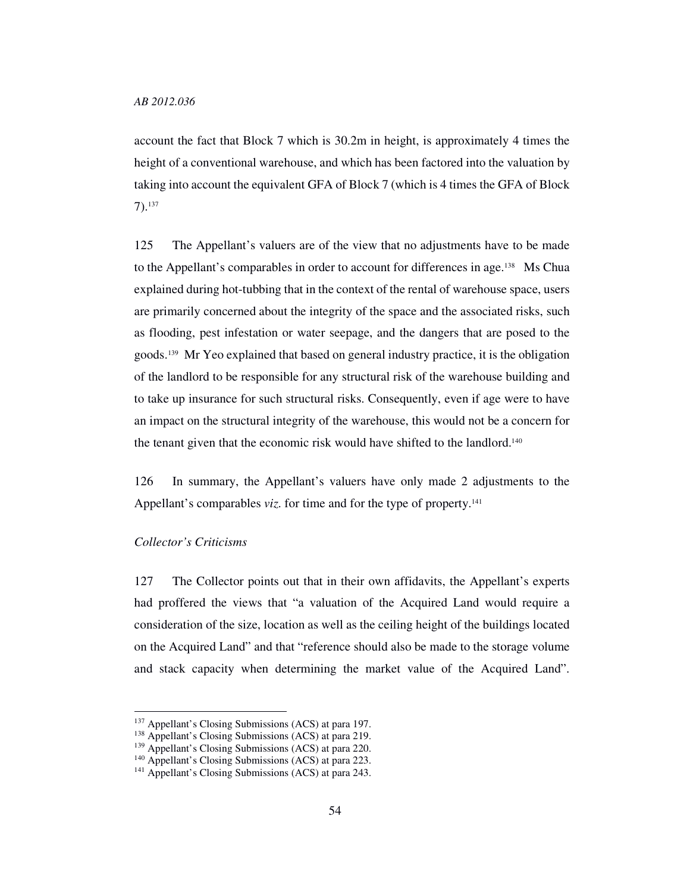account the fact that Block 7 which is 30.2m in height, is approximately 4 times the height of a conventional warehouse, and which has been factored into the valuation by taking into account the equivalent GFA of Block 7 (which is 4 times the GFA of Block 7).<sup>137</sup>

125 The Appellant's valuers are of the view that no adjustments have to be made to the Appellant's comparables in order to account for differences in age.138 Ms Chua explained during hot-tubbing that in the context of the rental of warehouse space, users are primarily concerned about the integrity of the space and the associated risks, such as flooding, pest infestation or water seepage, and the dangers that are posed to the goods.139 Mr Yeo explained that based on general industry practice, it is the obligation of the landlord to be responsible for any structural risk of the warehouse building and to take up insurance for such structural risks. Consequently, even if age were to have an impact on the structural integrity of the warehouse, this would not be a concern for the tenant given that the economic risk would have shifted to the landlord.<sup>140</sup>

126 In summary, the Appellant's valuers have only made 2 adjustments to the Appellant's comparables *viz*. for time and for the type of property.<sup>141</sup>

### *Collector's Criticisms*

-

127 The Collector points out that in their own affidavits, the Appellant's experts had proffered the views that "a valuation of the Acquired Land would require a consideration of the size, location as well as the ceiling height of the buildings located on the Acquired Land" and that "reference should also be made to the storage volume and stack capacity when determining the market value of the Acquired Land".

<sup>&</sup>lt;sup>137</sup> Appellant's Closing Submissions (ACS) at para 197.

<sup>138</sup> Appellant's Closing Submissions (ACS) at para 219.

<sup>139</sup> Appellant's Closing Submissions (ACS) at para 220.

<sup>140</sup> Appellant's Closing Submissions (ACS) at para 223.

<sup>141</sup> Appellant's Closing Submissions (ACS) at para 243.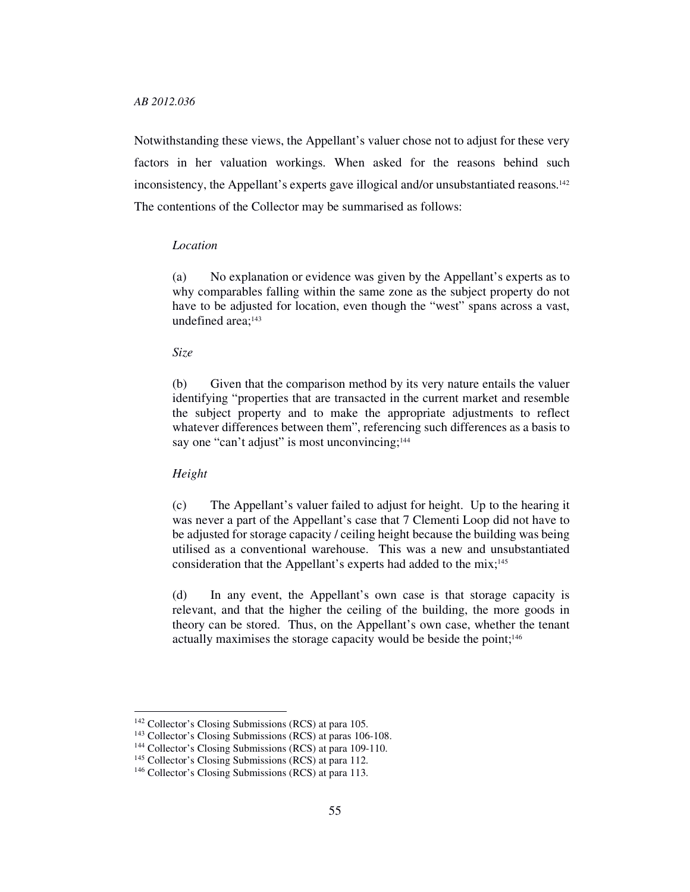Notwithstanding these views, the Appellant's valuer chose not to adjust for these very factors in her valuation workings. When asked for the reasons behind such inconsistency, the Appellant's experts gave illogical and/or unsubstantiated reasons.<sup>142</sup> The contentions of the Collector may be summarised as follows:

# *Location*

(a) No explanation or evidence was given by the Appellant's experts as to why comparables falling within the same zone as the subject property do not have to be adjusted for location, even though the "west" spans across a vast, undefined area;<sup>143</sup>

# *Size*

(b) Given that the comparison method by its very nature entails the valuer identifying "properties that are transacted in the current market and resemble the subject property and to make the appropriate adjustments to reflect whatever differences between them", referencing such differences as a basis to say one "can't adjust" is most unconvincing;<sup>144</sup>

# *Height*

-

(c) The Appellant's valuer failed to adjust for height. Up to the hearing it was never a part of the Appellant's case that 7 Clementi Loop did not have to be adjusted for storage capacity / ceiling height because the building was being utilised as a conventional warehouse. This was a new and unsubstantiated consideration that the Appellant's experts had added to the mix;<sup>145</sup>

(d) In any event, the Appellant's own case is that storage capacity is relevant, and that the higher the ceiling of the building, the more goods in theory can be stored. Thus, on the Appellant's own case, whether the tenant actually maximises the storage capacity would be beside the point;<sup>146</sup>

<sup>142</sup> Collector's Closing Submissions (RCS) at para 105.

<sup>143</sup> Collector's Closing Submissions (RCS) at paras 106-108.

<sup>144</sup> Collector's Closing Submissions (RCS) at para 109-110.

<sup>&</sup>lt;sup>145</sup> Collector's Closing Submissions (RCS) at para 112.

<sup>146</sup> Collector's Closing Submissions (RCS) at para 113.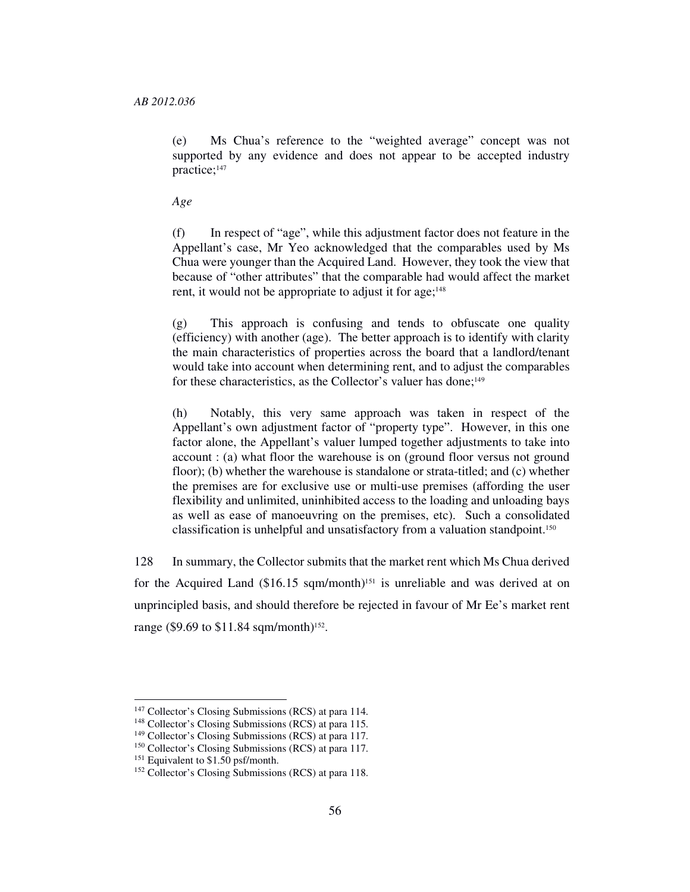(e) Ms Chua's reference to the "weighted average" concept was not supported by any evidence and does not appear to be accepted industry practice;<sup>147</sup>

*Age* 

(f) In respect of "age", while this adjustment factor does not feature in the Appellant's case, Mr Yeo acknowledged that the comparables used by Ms Chua were younger than the Acquired Land. However, they took the view that because of "other attributes" that the comparable had would affect the market rent, it would not be appropriate to adjust it for age;<sup>148</sup>

(g) This approach is confusing and tends to obfuscate one quality (efficiency) with another (age). The better approach is to identify with clarity the main characteristics of properties across the board that a landlord/tenant would take into account when determining rent, and to adjust the comparables for these characteristics, as the Collector's valuer has done;<sup>149</sup>

(h) Notably, this very same approach was taken in respect of the Appellant's own adjustment factor of "property type". However, in this one factor alone, the Appellant's valuer lumped together adjustments to take into account : (a) what floor the warehouse is on (ground floor versus not ground floor); (b) whether the warehouse is standalone or strata-titled; and (c) whether the premises are for exclusive use or multi-use premises (affording the user flexibility and unlimited, uninhibited access to the loading and unloading bays as well as ease of manoeuvring on the premises, etc). Such a consolidated classification is unhelpful and unsatisfactory from a valuation standpoint.<sup>150</sup>

128 In summary, the Collector submits that the market rent which Ms Chua derived for the Acquired Land  $($16.15$  sqm/month)<sup>151</sup> is unreliable and was derived at on unprincipled basis, and should therefore be rejected in favour of Mr Ee's market rent range (\$9.69 to \$11.84 sqm/month)<sup>152</sup>.

<sup>&</sup>lt;sup>147</sup> Collector's Closing Submissions (RCS) at para 114.

<sup>148</sup> Collector's Closing Submissions (RCS) at para 115.

<sup>149</sup> Collector's Closing Submissions (RCS) at para 117.

<sup>150</sup> Collector's Closing Submissions (RCS) at para 117.

<sup>&</sup>lt;sup>151</sup> Equivalent to \$1.50 psf/month.

<sup>152</sup> Collector's Closing Submissions (RCS) at para 118.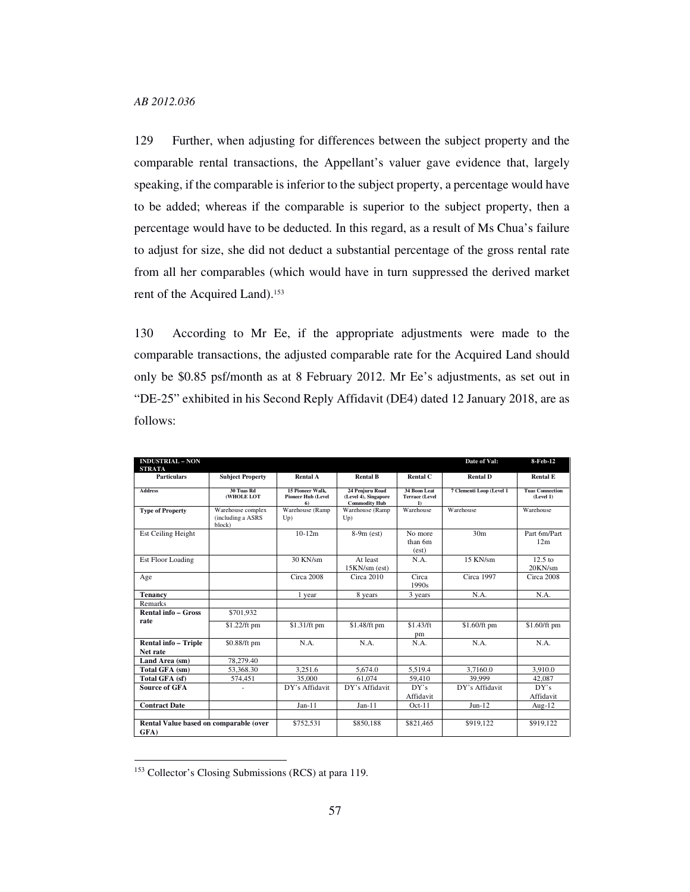129 Further, when adjusting for differences between the subject property and the comparable rental transactions, the Appellant's valuer gave evidence that, largely speaking, if the comparable is inferior to the subject property, a percentage would have to be added; whereas if the comparable is superior to the subject property, then a percentage would have to be deducted. In this regard, as a result of Ms Chua's failure to adjust for size, she did not deduct a substantial percentage of the gross rental rate from all her comparables (which would have in turn suppressed the derived market rent of the Acquired Land).<sup>153</sup>

130 According to Mr Ee, if the appropriate adjustments were made to the comparable transactions, the adjusted comparable rate for the Acquired Land should only be \$0.85 psf/month as at 8 February 2012. Mr Ee's adjustments, as set out in "DE-25" exhibited in his Second Reply Affidavit (DE4) dated 12 January 2018, are as follows:

| <b>INDUSTRIAL - NON</b><br><b>STRATA</b>       |                                                   |                                                     |                                                                 |                                                       | Date of Val:             | 8-Feb-12                            |
|------------------------------------------------|---------------------------------------------------|-----------------------------------------------------|-----------------------------------------------------------------|-------------------------------------------------------|--------------------------|-------------------------------------|
| <b>Particulars</b>                             | <b>Subject Property</b>                           | <b>Rental A</b>                                     | <b>Rental B</b>                                                 | <b>Rental C</b>                                       | <b>Rental D</b>          | <b>Rental E</b>                     |
| <b>Address</b>                                 | 30 Tuas Rd<br>(WHOLE LOT                          | 15 Pioneer Walk.<br><b>Pioneer Hub (Level</b><br>6) | 24 Peniuru Road<br>(Level 4), Singapore<br><b>Commodity Hub</b> | 34 Boon Leat<br><b>Terrace (Level</b><br>$\mathbf{D}$ | 7 Clementi Loop (Level 1 | <b>Tuas Connection</b><br>(Level 1) |
| <b>Type of Property</b>                        | Warehouse complex<br>(including a ASRS)<br>block) | Warehouse (Ramp<br>Up)                              | Warehouse (Ramp<br>Up)                                          | Warehouse                                             | Warehouse                | Warehouse                           |
| Est Ceiling Height                             |                                                   | $10-12m$                                            | $8-9m$ (est)                                                    | No more<br>than 6m<br>(est)                           | 30 <sub>m</sub>          | Part 6m/Part<br>12m                 |
| Est Floor Loading                              |                                                   | 30 KN/sm                                            | At least<br>15KN/sm (est)                                       | N.A.                                                  | 15 KN/sm                 | $12.5$ to<br>20KN/sm                |
| Age                                            |                                                   | Circa 2008                                          | Circa 2010                                                      | Circa<br>1990s                                        | Circa 1997               | Circa 2008                          |
| <b>Tenancy</b>                                 |                                                   | 1 year                                              | 8 years                                                         | 3 years                                               | N.A.                     | N.A.                                |
| Remarks                                        |                                                   |                                                     |                                                                 |                                                       |                          |                                     |
| <b>Rental info - Gross</b>                     | \$701,932                                         |                                                     |                                                                 |                                                       |                          |                                     |
| rate                                           | \$1.22/ft pm                                      | \$1.31/ft pm                                        | \$1.48/ft pm                                                    | \$1.43/ft<br>pm                                       | \$1.60/ft pm             | \$1.60/ft pm                        |
| <b>Rental info - Triple</b><br>Net rate        | \$0.88/ft pm                                      | N.A.                                                | N.A.                                                            | N.A.                                                  | N.A.                     | N.A.                                |
| Land Area (sm)                                 | 78.279.40                                         |                                                     |                                                                 |                                                       |                          |                                     |
| Total GFA (sm)                                 | 53,368.30                                         | 3,251.6                                             | 5.674.0                                                         | 5,519.4                                               | 3,7160.0                 | 3.910.0                             |
| Total GFA (sf)                                 | 574,451                                           | 35,000                                              | 61.074                                                          | 59.410                                                | 39,999                   | 42.087                              |
| <b>Source of GFA</b>                           | ٠                                                 | DY's Affidavit                                      | DY's Affidavit                                                  | DY's<br>Affidavit                                     | DY's Affidavit           | DY's<br>Affidavit                   |
| <b>Contract Date</b>                           |                                                   | $Jan-11$                                            | $Jan-11$                                                        | $Oct-11$                                              | $Jun-12$                 | Aug- $12$                           |
|                                                |                                                   |                                                     |                                                                 |                                                       |                          |                                     |
| Rental Value based on comparable (over<br>GFA) |                                                   | \$752,531                                           | \$850,188                                                       | \$821,465                                             | \$919,122                | \$919,122                           |

<sup>153</sup> Collector's Closing Submissions (RCS) at para 119.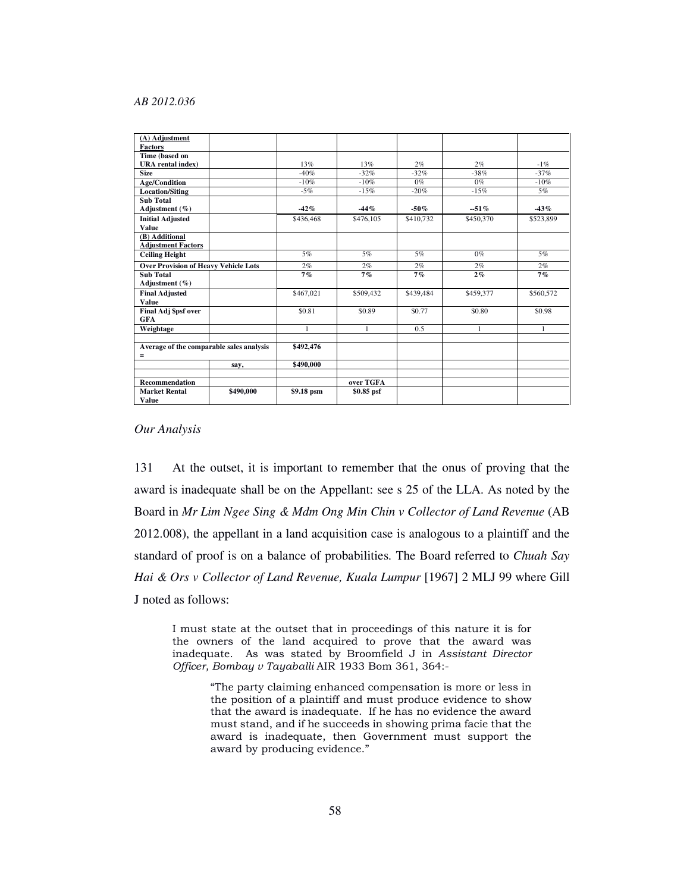| (A) Adjustment                              |           |              |              |           |           |              |
|---------------------------------------------|-----------|--------------|--------------|-----------|-----------|--------------|
| <b>Factors</b>                              |           |              |              |           |           |              |
| Time (based on                              |           |              |              |           |           |              |
| <b>URA</b> rental index)                    |           | 13%          | 13%          | 2%        | 2%        | $-1\%$       |
| <b>Size</b>                                 |           | $-40%$       | $-32%$       | $-32%$    | $-38%$    | $-37%$       |
| <b>Age/Condition</b>                        |           | $-10%$       | $-10%$       | $0\%$     | $0\%$     | $-10%$       |
| <b>Location/Siting</b>                      |           | $-5%$        | $-15%$       | $-20%$    | $-15%$    | 5%           |
| <b>Sub Total</b>                            |           |              |              |           |           |              |
| Adjustment $(\% )$                          |           | $-42%$       | $-44%$       | $-50\%$   | $-51%$    | $-43%$       |
| <b>Initial Adjusted</b>                     |           | \$436,468    | \$476,105    | \$410,732 | \$450,370 | \$523,899    |
| Value                                       |           |              |              |           |           |              |
| (B) Additional                              |           |              |              |           |           |              |
| <b>Adjustment Factors</b>                   |           |              |              |           |           |              |
| <b>Ceiling Height</b>                       |           | 5%           | 5%           | 5%        | $0\%$     | 5%           |
| <b>Over Provision of Heavy Vehicle Lots</b> |           | 2%           | 2%           | 2%        | 2%        | 2%           |
| <b>Sub Total</b>                            |           | 7%           | 7%           | 7%        | 2%        | 7%           |
| Adjustment $(\% )$                          |           |              |              |           |           |              |
| <b>Final Adjusted</b>                       |           | \$467,021    | \$509,432    | \$439,484 | \$459,377 | \$560,572    |
| Value                                       |           |              |              |           |           |              |
| Final Adj \$psf over                        |           | \$0.81       | \$0.89       | \$0.77    | \$0.80    | \$0.98       |
| <b>GFA</b>                                  |           |              |              |           |           |              |
| Weightage                                   |           | $\mathbf{1}$ | $\mathbf{1}$ | 0.5       | 1         | $\mathbf{1}$ |
|                                             |           |              |              |           |           |              |
| Average of the comparable sales analysis    |           | \$492,476    |              |           |           |              |
| =                                           |           |              |              |           |           |              |
|                                             | say,      | \$490,000    |              |           |           |              |
|                                             |           |              |              |           |           |              |
| <b>Recommendation</b>                       |           |              | over TGFA    |           |           |              |
| <b>Market Rental</b>                        | \$490,000 | \$9.18 psm   | \$0.85 psf   |           |           |              |
| Value                                       |           |              |              |           |           |              |

# *Our Analysis*

131 At the outset, it is important to remember that the onus of proving that the award is inadequate shall be on the Appellant: see s 25 of the LLA. As noted by the Board in *Mr Lim Ngee Sing & Mdm Ong Min Chin v Collector of Land Revenue* (AB 2012.008), the appellant in a land acquisition case is analogous to a plaintiff and the standard of proof is on a balance of probabilities. The Board referred to *Chuah Say Hai & Ors v Collector of Land Revenue, Kuala Lumpur* [1967] 2 MLJ 99 where Gill J noted as follows:

I must state at the outset that in proceedings of this nature it is for the owners of the land acquired to prove that the award was inadequate. As was stated by Broomfield J in Assistant Director Officer, Bombay v Tayaballi AIR 1933 Bom 361, 364:-

> "The party claiming enhanced compensation is more or less in the position of a plaintiff and must produce evidence to show that the award is inadequate. If he has no evidence the award must stand, and if he succeeds in showing prima facie that the award is inadequate, then Government must support the award by producing evidence."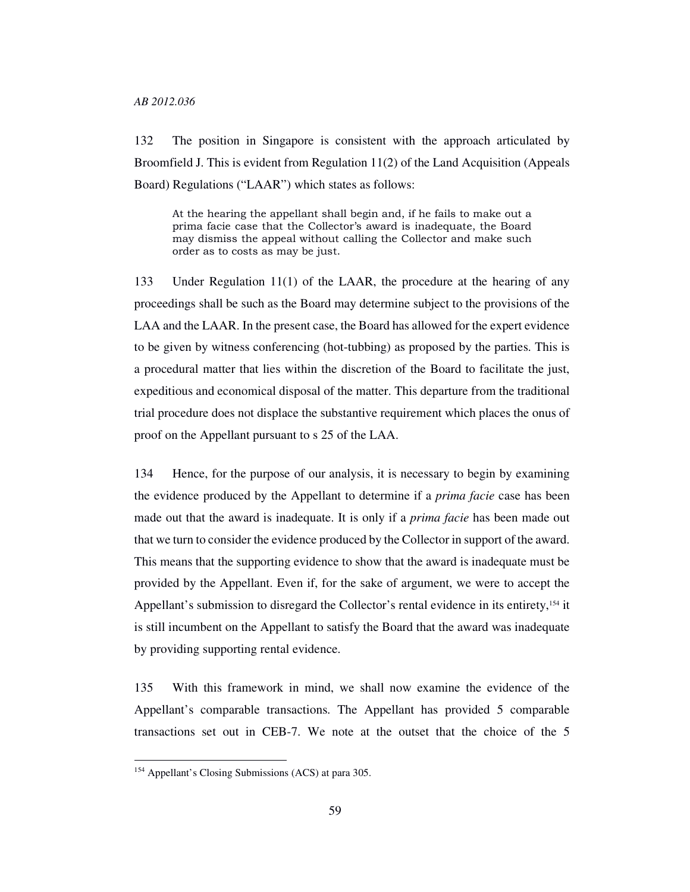132 The position in Singapore is consistent with the approach articulated by Broomfield J. This is evident from Regulation 11(2) of the Land Acquisition (Appeals Board) Regulations ("LAAR") which states as follows:

At the hearing the appellant shall begin and, if he fails to make out a prima facie case that the Collector's award is inadequate, the Board may dismiss the appeal without calling the Collector and make such order as to costs as may be just.

133 Under Regulation 11(1) of the LAAR, the procedure at the hearing of any proceedings shall be such as the Board may determine subject to the provisions of the LAA and the LAAR. In the present case, the Board has allowed for the expert evidence to be given by witness conferencing (hot-tubbing) as proposed by the parties. This is a procedural matter that lies within the discretion of the Board to facilitate the just, expeditious and economical disposal of the matter. This departure from the traditional trial procedure does not displace the substantive requirement which places the onus of proof on the Appellant pursuant to s 25 of the LAA.

134 Hence, for the purpose of our analysis, it is necessary to begin by examining the evidence produced by the Appellant to determine if a *prima facie* case has been made out that the award is inadequate. It is only if a *prima facie* has been made out that we turn to consider the evidence produced by the Collector in support of the award. This means that the supporting evidence to show that the award is inadequate must be provided by the Appellant. Even if, for the sake of argument, we were to accept the Appellant's submission to disregard the Collector's rental evidence in its entirety,<sup>154</sup> it is still incumbent on the Appellant to satisfy the Board that the award was inadequate by providing supporting rental evidence.

135 With this framework in mind, we shall now examine the evidence of the Appellant's comparable transactions. The Appellant has provided 5 comparable transactions set out in CEB-7. We note at the outset that the choice of the 5

<sup>154</sup> Appellant's Closing Submissions (ACS) at para 305.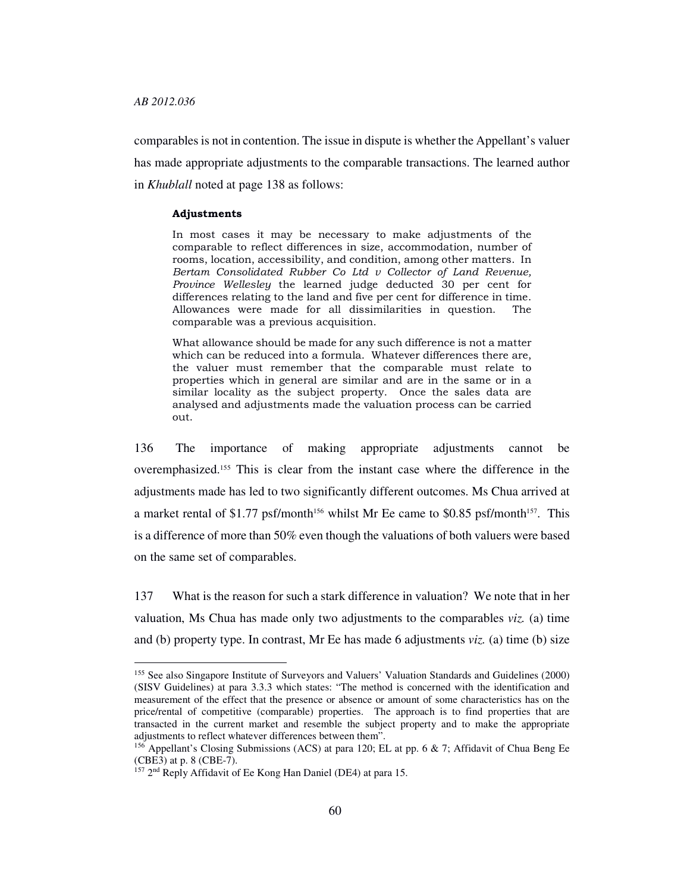-

comparables is not in contention. The issue in dispute is whether the Appellant's valuer has made appropriate adjustments to the comparable transactions. The learned author in *Khublall* noted at page 138 as follows:

#### Adjustments

In most cases it may be necessary to make adjustments of the comparable to reflect differences in size, accommodation, number of rooms, location, accessibility, and condition, among other matters. In Bertam Consolidated Rubber Co Ltd v Collector of Land Revenue, Province Wellesley the learned judge deducted 30 per cent for differences relating to the land and five per cent for difference in time. Allowances were made for all dissimilarities in question. The comparable was a previous acquisition.

What allowance should be made for any such difference is not a matter which can be reduced into a formula. Whatever differences there are, the valuer must remember that the comparable must relate to properties which in general are similar and are in the same or in a similar locality as the subject property. Once the sales data are analysed and adjustments made the valuation process can be carried out.

136 The importance of making appropriate adjustments cannot be overemphasized.155 This is clear from the instant case where the difference in the adjustments made has led to two significantly different outcomes. Ms Chua arrived at a market rental of \$1.77 psf/month<sup>156</sup> whilst Mr Ee came to \$0.85 psf/month<sup>157</sup>. This is a difference of more than 50% even though the valuations of both valuers were based on the same set of comparables.

137 What is the reason for such a stark difference in valuation? We note that in her valuation, Ms Chua has made only two adjustments to the comparables *viz.* (a) time and (b) property type. In contrast, Mr Ee has made 6 adjustments *viz.* (a) time (b) size

<sup>155</sup> See also Singapore Institute of Surveyors and Valuers' Valuation Standards and Guidelines (2000) (SISV Guidelines) at para 3.3.3 which states: "The method is concerned with the identification and measurement of the effect that the presence or absence or amount of some characteristics has on the price/rental of competitive (comparable) properties. The approach is to find properties that are transacted in the current market and resemble the subject property and to make the appropriate adjustments to reflect whatever differences between them".

<sup>&</sup>lt;sup>156</sup> Appellant's Closing Submissions (ACS) at para 120; EL at pp. 6  $\&$  7; Affidavit of Chua Beng Ee (CBE3) at p. 8 (CBE-7).

<sup>&</sup>lt;sup>157</sup> 2<sup>nd</sup> Reply Affidavit of Ee Kong Han Daniel (DE4) at para 15.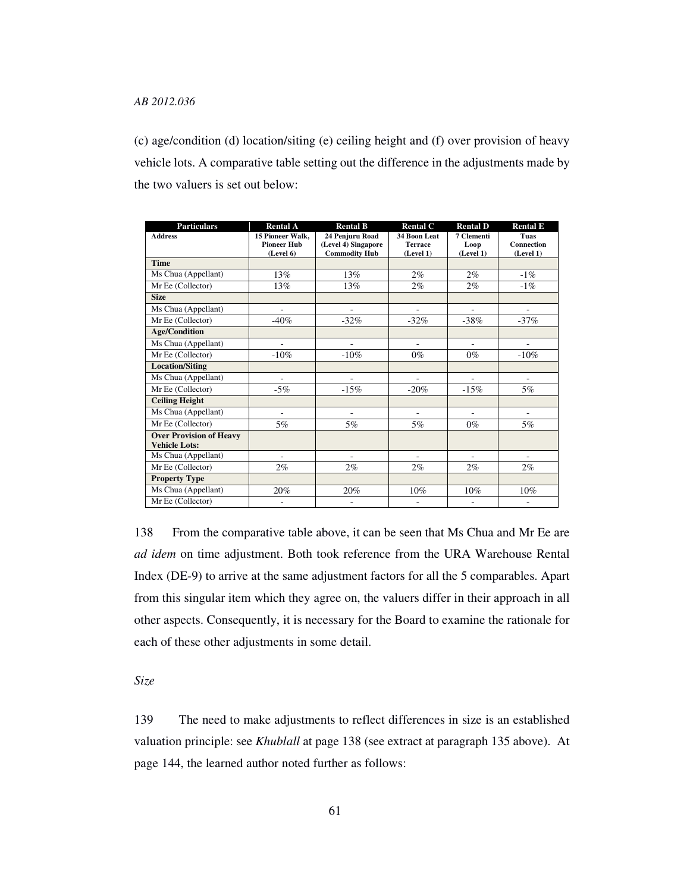(c) age/condition (d) location/siting (e) ceiling height and (f) over provision of heavy vehicle lots. A comparative table setting out the difference in the adjustments made by the two valuers is set out below:

| <b>Particulars</b>                                     | <b>Rental A</b>                        | <b>Rental B</b>                        | <b>Rental C</b>                | <b>Rental D</b>    | <b>Rental E</b>    |
|--------------------------------------------------------|----------------------------------------|----------------------------------------|--------------------------------|--------------------|--------------------|
| <b>Address</b>                                         | 15 Pioneer Walk.<br><b>Pioneer Hub</b> | 24 Penjuru Road<br>(Level 4) Singapore | 34 Boon Leat<br><b>Terrace</b> | 7 Clementi<br>Loop | Tuas<br>Connection |
|                                                        | (Level 6)                              | <b>Commodity Hub</b>                   | (Level 1)                      | (Level 1)          | (Level 1)          |
| <b>Time</b>                                            |                                        |                                        |                                |                    |                    |
| Ms Chua (Appellant)                                    | 13%                                    | 13%                                    | $2\%$                          | $2\%$              | $-1\%$             |
| Mr Ee (Collector)                                      | 13%                                    | 13%                                    | $2\%$                          | 2%                 | $-1\%$             |
| <b>Size</b>                                            |                                        |                                        |                                |                    |                    |
| Ms Chua (Appellant)                                    |                                        |                                        |                                |                    |                    |
| Mr Ee (Collector)                                      | $-40%$                                 | $-32%$                                 | $-32%$                         | $-38%$             | $-37%$             |
| <b>Age/Condition</b>                                   |                                        |                                        |                                |                    |                    |
| Ms Chua (Appellant)                                    |                                        |                                        | L                              |                    |                    |
| Mr Ee (Collector)                                      | $-10%$                                 | $-10%$                                 | $0\%$                          | $0\%$              | $-10%$             |
| <b>Location/Siting</b>                                 |                                        |                                        |                                |                    |                    |
| Ms Chua (Appellant)                                    | ٠                                      |                                        |                                |                    |                    |
| Mr Ee (Collector)                                      | $-5%$                                  | $-15%$                                 | $-20%$                         | $-15%$             | $5\%$              |
| <b>Ceiling Height</b>                                  |                                        |                                        |                                |                    |                    |
| Ms Chua (Appellant)                                    | ä,                                     | ä,                                     | ä,                             | ÷                  | ÷                  |
| Mr Ee (Collector)                                      | 5%                                     | 5%                                     | 5%                             | $0\%$              | 5%                 |
| <b>Over Provision of Heavy</b><br><b>Vehicle Lots:</b> |                                        |                                        |                                |                    |                    |
| Ms Chua (Appellant)                                    | ٠                                      | ٠                                      | ۰                              |                    |                    |
| Mr Ee (Collector)                                      | 2%                                     | $2\%$                                  | 2%                             | $2\%$              | 2%                 |
| <b>Property Type</b>                                   |                                        |                                        |                                |                    |                    |
| Ms Chua (Appellant)                                    | 20%                                    | 20%                                    | 10%                            | 10%                | 10%                |
| Mr Ee (Collector)                                      |                                        |                                        |                                |                    |                    |

138 From the comparative table above, it can be seen that Ms Chua and Mr Ee are *ad idem* on time adjustment. Both took reference from the URA Warehouse Rental Index (DE-9) to arrive at the same adjustment factors for all the 5 comparables. Apart from this singular item which they agree on, the valuers differ in their approach in all other aspects. Consequently, it is necessary for the Board to examine the rationale for each of these other adjustments in some detail.

*Size* 

139 The need to make adjustments to reflect differences in size is an established valuation principle: see *Khublall* at page 138 (see extract at paragraph 135 above). At page 144, the learned author noted further as follows: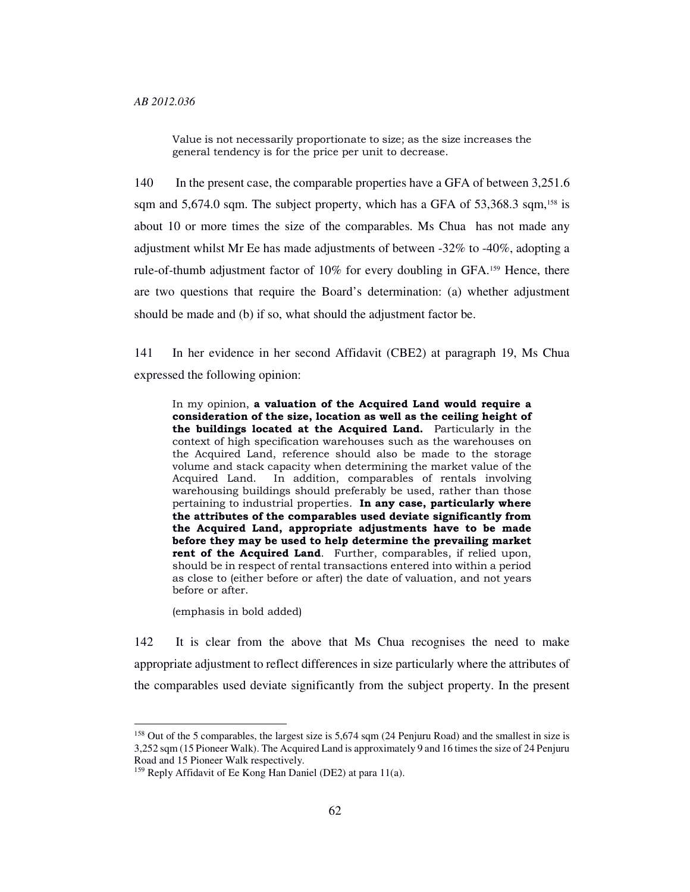Value is not necessarily proportionate to size; as the size increases the general tendency is for the price per unit to decrease.

140 In the present case, the comparable properties have a GFA of between 3,251.6 sqm and  $5,674.0$  sqm. The subject property, which has a GFA of  $53,368.3$  sqm,<sup>158</sup> is about 10 or more times the size of the comparables. Ms Chua has not made any adjustment whilst Mr Ee has made adjustments of between -32% to -40%, adopting a rule-of-thumb adjustment factor of 10% for every doubling in GFA.159 Hence, there are two questions that require the Board's determination: (a) whether adjustment should be made and (b) if so, what should the adjustment factor be.

141 In her evidence in her second Affidavit (CBE2) at paragraph 19, Ms Chua expressed the following opinion:

In my opinion, a valuation of the Acquired Land would require a consideration of the size, location as well as the ceiling height of the buildings located at the Acquired Land. Particularly in the context of high specification warehouses such as the warehouses on the Acquired Land, reference should also be made to the storage volume and stack capacity when determining the market value of the Acquired Land. In addition, comparables of rentals involving warehousing buildings should preferably be used, rather than those pertaining to industrial properties. In any case, particularly where the attributes of the comparables used deviate significantly from the Acquired Land, appropriate adjustments have to be made before they may be used to help determine the prevailing market rent of the Acquired Land. Further, comparables, if relied upon, should be in respect of rental transactions entered into within a period as close to (either before or after) the date of valuation, and not years before or after.

(emphasis in bold added)

-

142 It is clear from the above that Ms Chua recognises the need to make appropriate adjustment to reflect differences in size particularly where the attributes of the comparables used deviate significantly from the subject property. In the present

<sup>&</sup>lt;sup>158</sup> Out of the 5 comparables, the largest size is 5,674 sqm (24 Penjuru Road) and the smallest in size is 3,252 sqm (15 Pioneer Walk). The Acquired Land is approximately 9 and 16 times the size of 24 Penjuru Road and 15 Pioneer Walk respectively.

<sup>159</sup> Reply Affidavit of Ee Kong Han Daniel (DE2) at para 11(a).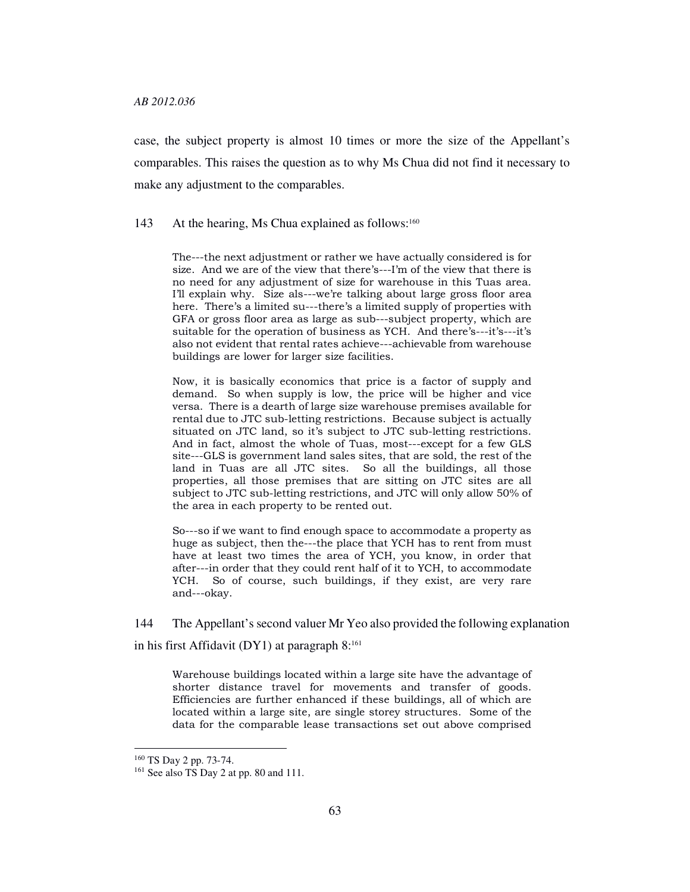case, the subject property is almost 10 times or more the size of the Appellant's comparables. This raises the question as to why Ms Chua did not find it necessary to make any adjustment to the comparables.

143 At the hearing, Ms Chua explained as follows:<sup>160</sup>

The---the next adjustment or rather we have actually considered is for size. And we are of the view that there's---I'm of the view that there is no need for any adjustment of size for warehouse in this Tuas area. I'll explain why. Size als---we're talking about large gross floor area here. There's a limited su---there's a limited supply of properties with GFA or gross floor area as large as sub---subject property, which are suitable for the operation of business as YCH. And there's---it's---it's also not evident that rental rates achieve---achievable from warehouse buildings are lower for larger size facilities.

Now, it is basically economics that price is a factor of supply and demand. So when supply is low, the price will be higher and vice versa. There is a dearth of large size warehouse premises available for rental due to JTC sub-letting restrictions. Because subject is actually situated on JTC land, so it's subject to JTC sub-letting restrictions. And in fact, almost the whole of Tuas, most---except for a few GLS site---GLS is government land sales sites, that are sold, the rest of the land in Tuas are all JTC sites. So all the buildings, all those properties, all those premises that are sitting on JTC sites are all subject to JTC sub-letting restrictions, and JTC will only allow 50% of the area in each property to be rented out.

So---so if we want to find enough space to accommodate a property as huge as subject, then the---the place that YCH has to rent from must have at least two times the area of YCH, you know, in order that after---in order that they could rent half of it to YCH, to accommodate YCH. So of course, such buildings, if they exist, are very rare and---okay.

144 The Appellant's second valuer Mr Yeo also provided the following explanation in his first Affidavit (DY1) at paragraph  $8:161$ 

Warehouse buildings located within a large site have the advantage of shorter distance travel for movements and transfer of goods. Efficiencies are further enhanced if these buildings, all of which are located within a large site, are single storey structures. Some of the data for the comparable lease transactions set out above comprised

<sup>160</sup> TS Day 2 pp. 73-74.

<sup>&</sup>lt;sup>161</sup> See also TS Day 2 at pp. 80 and 111.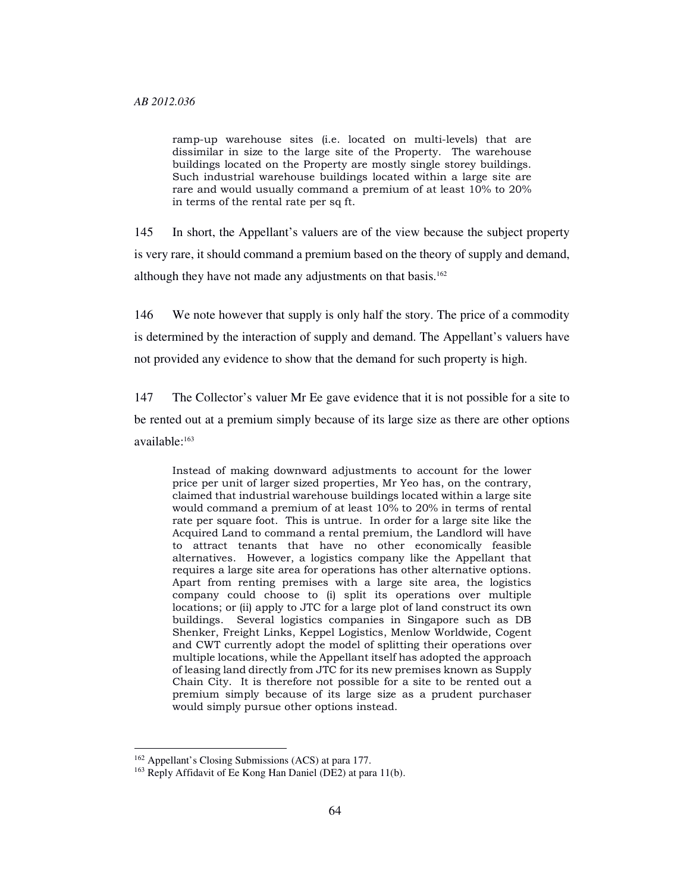ramp-up warehouse sites (i.e. located on multi-levels) that are dissimilar in size to the large site of the Property. The warehouse buildings located on the Property are mostly single storey buildings. Such industrial warehouse buildings located within a large site are rare and would usually command a premium of at least 10% to 20% in terms of the rental rate per sq ft.

145 In short, the Appellant's valuers are of the view because the subject property is very rare, it should command a premium based on the theory of supply and demand, although they have not made any adjustments on that basis.<sup>162</sup>

146 We note however that supply is only half the story. The price of a commodity is determined by the interaction of supply and demand. The Appellant's valuers have not provided any evidence to show that the demand for such property is high.

147 The Collector's valuer Mr Ee gave evidence that it is not possible for a site to be rented out at a premium simply because of its large size as there are other options available:<sup>163</sup>

Instead of making downward adjustments to account for the lower price per unit of larger sized properties, Mr Yeo has, on the contrary, claimed that industrial warehouse buildings located within a large site would command a premium of at least 10% to 20% in terms of rental rate per square foot. This is untrue. In order for a large site like the Acquired Land to command a rental premium, the Landlord will have to attract tenants that have no other economically feasible alternatives. However, a logistics company like the Appellant that requires a large site area for operations has other alternative options. Apart from renting premises with a large site area, the logistics company could choose to (i) split its operations over multiple locations; or (ii) apply to JTC for a large plot of land construct its own buildings. Several logistics companies in Singapore such as DB Shenker, Freight Links, Keppel Logistics, Menlow Worldwide, Cogent and CWT currently adopt the model of splitting their operations over multiple locations, while the Appellant itself has adopted the approach of leasing land directly from JTC for its new premises known as Supply Chain City. It is therefore not possible for a site to be rented out a premium simply because of its large size as a prudent purchaser would simply pursue other options instead.

<sup>162</sup> Appellant's Closing Submissions (ACS) at para 177.

<sup>163</sup> Reply Affidavit of Ee Kong Han Daniel (DE2) at para 11(b).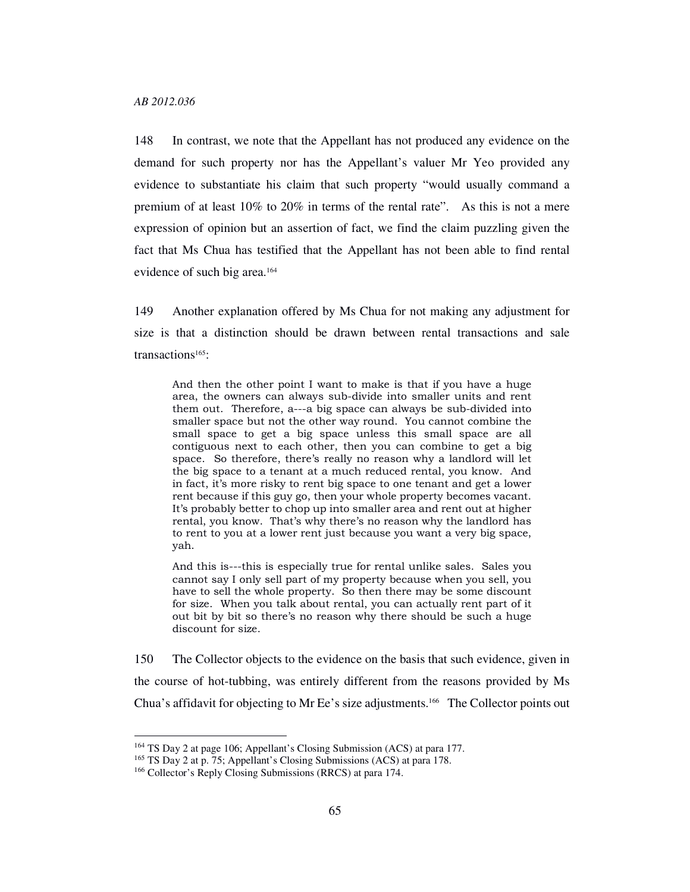148 In contrast, we note that the Appellant has not produced any evidence on the demand for such property nor has the Appellant's valuer Mr Yeo provided any evidence to substantiate his claim that such property "would usually command a premium of at least 10% to 20% in terms of the rental rate". As this is not a mere expression of opinion but an assertion of fact, we find the claim puzzling given the fact that Ms Chua has testified that the Appellant has not been able to find rental evidence of such big area.<sup>164</sup>

149 Another explanation offered by Ms Chua for not making any adjustment for size is that a distinction should be drawn between rental transactions and sale transactions<sup>165</sup>:

And then the other point I want to make is that if you have a huge area, the owners can always sub-divide into smaller units and rent them out. Therefore, a---a big space can always be sub-divided into smaller space but not the other way round. You cannot combine the small space to get a big space unless this small space are all contiguous next to each other, then you can combine to get a big space. So therefore, there's really no reason why a landlord will let the big space to a tenant at a much reduced rental, you know. And in fact, it's more risky to rent big space to one tenant and get a lower rent because if this guy go, then your whole property becomes vacant. It's probably better to chop up into smaller area and rent out at higher rental, you know. That's why there's no reason why the landlord has to rent to you at a lower rent just because you want a very big space, yah.

And this is---this is especially true for rental unlike sales. Sales you cannot say I only sell part of my property because when you sell, you have to sell the whole property. So then there may be some discount for size. When you talk about rental, you can actually rent part of it out bit by bit so there's no reason why there should be such a huge discount for size.

150 The Collector objects to the evidence on the basis that such evidence, given in the course of hot-tubbing, was entirely different from the reasons provided by Ms Chua's affidavit for objecting to Mr Ee's size adjustments.166 The Collector points out

<sup>164</sup> TS Day 2 at page 106; Appellant's Closing Submission (ACS) at para 177.

<sup>165</sup> TS Day 2 at p. 75; Appellant's Closing Submissions (ACS) at para 178.

<sup>166</sup> Collector's Reply Closing Submissions (RRCS) at para 174.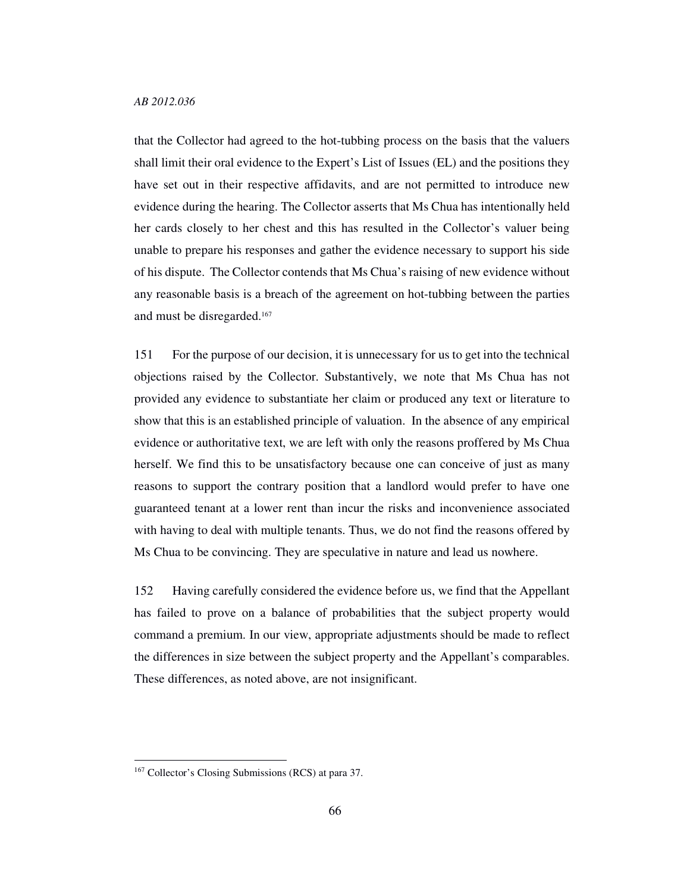that the Collector had agreed to the hot-tubbing process on the basis that the valuers shall limit their oral evidence to the Expert's List of Issues (EL) and the positions they have set out in their respective affidavits, and are not permitted to introduce new evidence during the hearing. The Collector asserts that Ms Chua has intentionally held her cards closely to her chest and this has resulted in the Collector's valuer being unable to prepare his responses and gather the evidence necessary to support his side of his dispute. The Collector contends that Ms Chua's raising of new evidence without any reasonable basis is a breach of the agreement on hot-tubbing between the parties and must be disregarded.<sup>167</sup>

151 For the purpose of our decision, it is unnecessary for us to get into the technical objections raised by the Collector. Substantively, we note that Ms Chua has not provided any evidence to substantiate her claim or produced any text or literature to show that this is an established principle of valuation. In the absence of any empirical evidence or authoritative text, we are left with only the reasons proffered by Ms Chua herself. We find this to be unsatisfactory because one can conceive of just as many reasons to support the contrary position that a landlord would prefer to have one guaranteed tenant at a lower rent than incur the risks and inconvenience associated with having to deal with multiple tenants. Thus, we do not find the reasons offered by Ms Chua to be convincing. They are speculative in nature and lead us nowhere.

152 Having carefully considered the evidence before us, we find that the Appellant has failed to prove on a balance of probabilities that the subject property would command a premium. In our view, appropriate adjustments should be made to reflect the differences in size between the subject property and the Appellant's comparables. These differences, as noted above, are not insignificant.

<sup>167</sup> Collector's Closing Submissions (RCS) at para 37.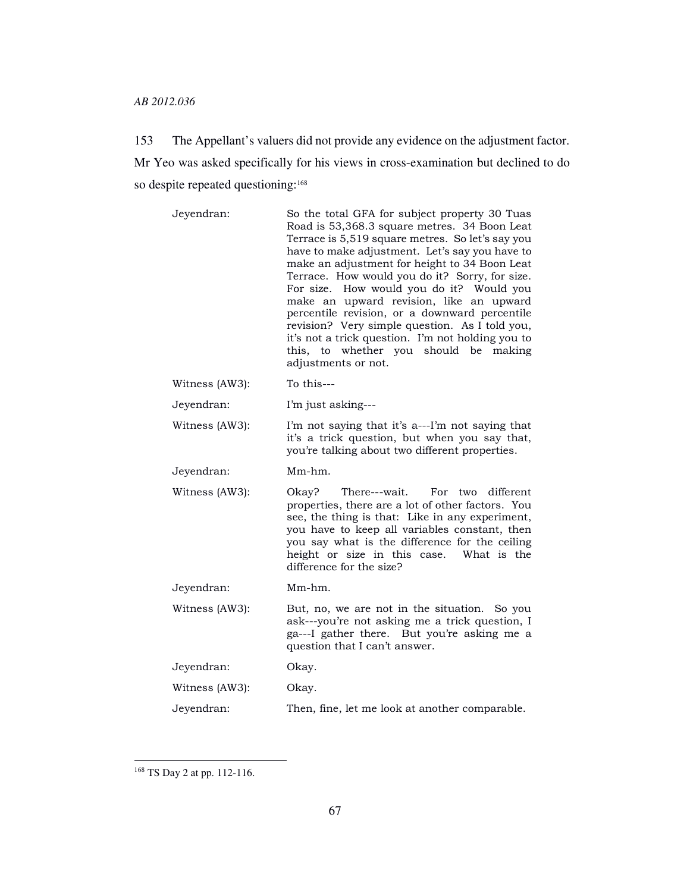153 The Appellant's valuers did not provide any evidence on the adjustment factor. Mr Yeo was asked specifically for his views in cross-examination but declined to do so despite repeated questioning:<sup>168</sup>

| Jeyendran:     | So the total GFA for subject property 30 Tuas<br>Road is 53,368.3 square metres. 34 Boon Leat<br>Terrace is 5,519 square metres. So let's say you<br>have to make adjustment. Let's say you have to<br>make an adjustment for height to 34 Boon Leat<br>Terrace. How would you do it? Sorry, for size.<br>For size. How would you do it? Would you<br>make an upward revision, like an upward<br>percentile revision, or a downward percentile<br>revision? Very simple question. As I told you,<br>it's not a trick question. I'm not holding you to<br>this, to whether you should be<br>making<br>adjustments or not. |
|----------------|--------------------------------------------------------------------------------------------------------------------------------------------------------------------------------------------------------------------------------------------------------------------------------------------------------------------------------------------------------------------------------------------------------------------------------------------------------------------------------------------------------------------------------------------------------------------------------------------------------------------------|
| Witness (AW3): | To this---                                                                                                                                                                                                                                                                                                                                                                                                                                                                                                                                                                                                               |
| Jeyendran:     | I'm just asking---                                                                                                                                                                                                                                                                                                                                                                                                                                                                                                                                                                                                       |
| Witness (AW3): | I'm not saying that it's a---I'm not saying that<br>it's a trick question, but when you say that,<br>you're talking about two different properties.                                                                                                                                                                                                                                                                                                                                                                                                                                                                      |
| Jeyendran:     | Mm-hm.                                                                                                                                                                                                                                                                                                                                                                                                                                                                                                                                                                                                                   |
|                |                                                                                                                                                                                                                                                                                                                                                                                                                                                                                                                                                                                                                          |
| Witness (AW3): | Okav?<br>There---wait.<br>For<br>different<br>two<br>properties, there are a lot of other factors. You<br>see, the thing is that: Like in any experiment,<br>you have to keep all variables constant, then<br>you say what is the difference for the ceiling<br>height or size in this case.<br>What is the<br>difference for the size?                                                                                                                                                                                                                                                                                  |
| Jeyendran:     | Mm-hm.                                                                                                                                                                                                                                                                                                                                                                                                                                                                                                                                                                                                                   |
| Witness (AW3): | But, no, we are not in the situation. So you<br>ask---you're not asking me a trick question, I<br>ga---I gather there. But you're asking me a<br>question that I can't answer.                                                                                                                                                                                                                                                                                                                                                                                                                                           |
| Jeyendran:     | Okay.                                                                                                                                                                                                                                                                                                                                                                                                                                                                                                                                                                                                                    |
| Witness (AW3): | Okay.                                                                                                                                                                                                                                                                                                                                                                                                                                                                                                                                                                                                                    |

<sup>168</sup> TS Day 2 at pp. 112-116.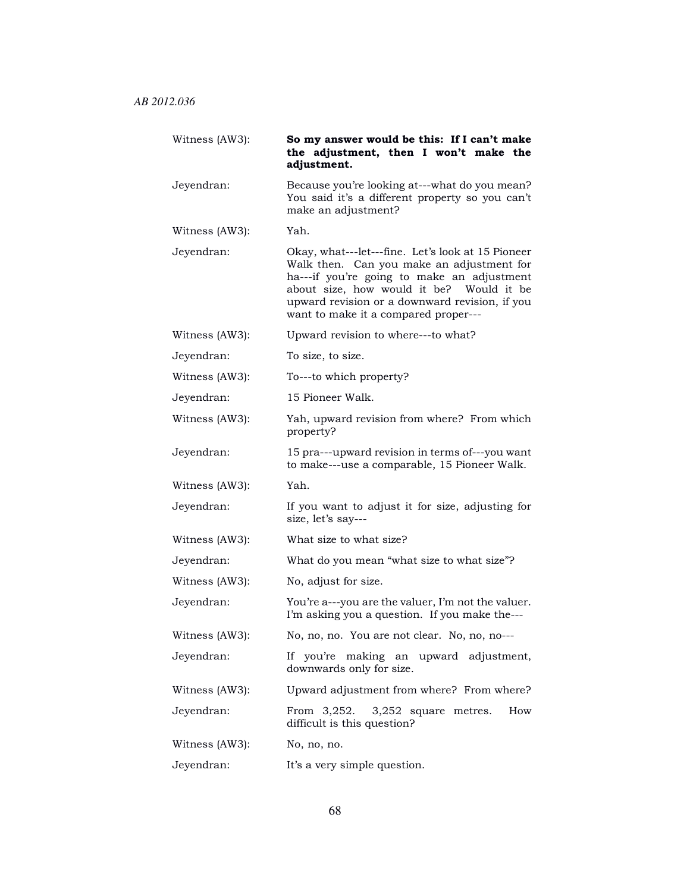| Witness (AW3): | So my answer would be this: If I can't make<br>the adjustment, then I won't make the<br>adjustment.                                                                                                                                                                                |
|----------------|------------------------------------------------------------------------------------------------------------------------------------------------------------------------------------------------------------------------------------------------------------------------------------|
| Jeyendran:     | Because you're looking at---what do you mean?<br>You said it's a different property so you can't<br>make an adjustment?                                                                                                                                                            |
| Witness (AW3): | Yah.                                                                                                                                                                                                                                                                               |
| Jeyendran:     | Okay, what---let---fine. Let's look at 15 Pioneer<br>Walk then. Can you make an adjustment for<br>ha---if you're going to make an adjustment<br>about size, how would it be? Would it be<br>upward revision or a downward revision, if you<br>want to make it a compared proper--- |
| Witness (AW3): | Upward revision to where---to what?                                                                                                                                                                                                                                                |
| Jeyendran:     | To size, to size.                                                                                                                                                                                                                                                                  |
| Witness (AW3): | To---to which property?                                                                                                                                                                                                                                                            |
| Jeyendran:     | 15 Pioneer Walk.                                                                                                                                                                                                                                                                   |
| Witness (AW3): | Yah, upward revision from where? From which<br>property?                                                                                                                                                                                                                           |
| Jeyendran:     | 15 pra---upward revision in terms of---you want<br>to make---use a comparable, 15 Pioneer Walk.                                                                                                                                                                                    |
| Witness (AW3): | Yah.                                                                                                                                                                                                                                                                               |
| Jeyendran:     | If you want to adjust it for size, adjusting for<br>size, let's say---                                                                                                                                                                                                             |
| Witness (AW3): | What size to what size?                                                                                                                                                                                                                                                            |
| Jeyendran:     | What do you mean "what size to what size"?                                                                                                                                                                                                                                         |
| Witness (AW3): | No, adjust for size.                                                                                                                                                                                                                                                               |
| Jeyendran:     | You're a---you are the valuer, I'm not the valuer.<br>I'm asking you a question. If you make the---                                                                                                                                                                                |
| Witness (AW3): | No, no, no. You are not clear. No, no, no---                                                                                                                                                                                                                                       |
| Jeyendran:     | If you're making an upward adjustment,<br>downwards only for size.                                                                                                                                                                                                                 |
| Witness (AW3): | Upward adjustment from where? From where?                                                                                                                                                                                                                                          |
| Jeyendran:     | From $3,252$ . $3,252$ square metres.<br>How<br>difficult is this question?                                                                                                                                                                                                        |
| Witness (AW3): | No, no, no.                                                                                                                                                                                                                                                                        |
| Jeyendran:     | It's a very simple question.                                                                                                                                                                                                                                                       |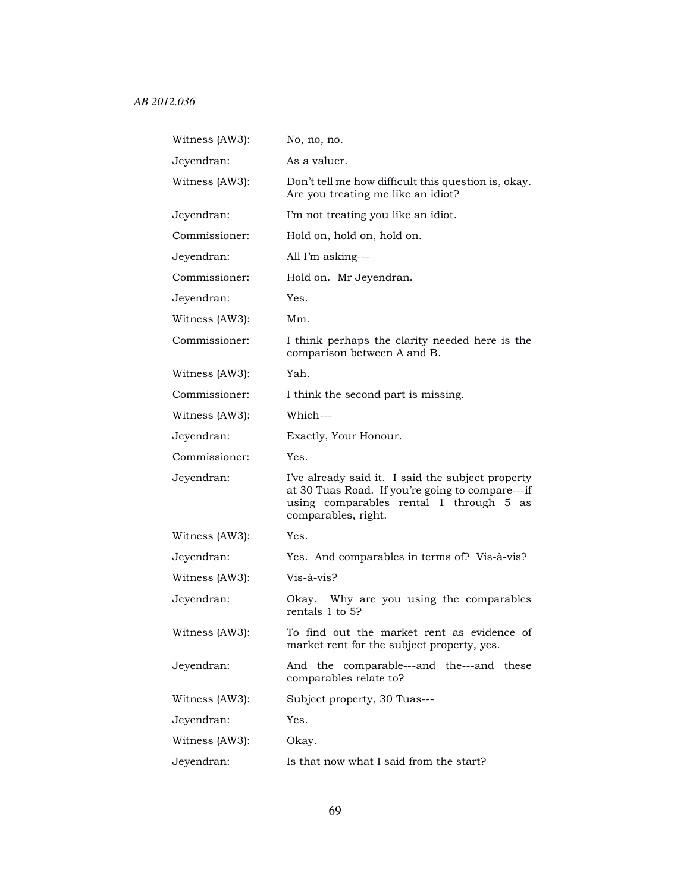| Witness (AW3): | No, no, no.                                                                                                                                                             |
|----------------|-------------------------------------------------------------------------------------------------------------------------------------------------------------------------|
| Jeyendran:     | As a valuer.                                                                                                                                                            |
| Witness (AW3): | Don't tell me how difficult this question is, okay.<br>Are you treating me like an idiot?                                                                               |
| Jeyendran:     | I'm not treating you like an idiot.                                                                                                                                     |
| Commissioner:  | Hold on, hold on, hold on.                                                                                                                                              |
| Jeyendran:     | All I'm asking---                                                                                                                                                       |
| Commissioner:  | Hold on. Mr Jeyendran.                                                                                                                                                  |
| Jeyendran:     | Yes.                                                                                                                                                                    |
| Witness (AW3): | Mm.                                                                                                                                                                     |
| Commissioner:  | I think perhaps the clarity needed here is the<br>comparison between A and B.                                                                                           |
| Witness (AW3): | Yah.                                                                                                                                                                    |
| Commissioner:  | I think the second part is missing.                                                                                                                                     |
| Witness (AW3): | Which---                                                                                                                                                                |
| Jeyendran:     | Exactly, Your Honour.                                                                                                                                                   |
| Commissioner:  | Yes.                                                                                                                                                                    |
| Jeyendran:     | I've already said it. I said the subject property<br>at 30 Tuas Road. If you're going to compare---if<br>using comparables rental 1 through 5 as<br>comparables, right. |
| Witness (AW3): | Yes.                                                                                                                                                                    |
| Jeyendran:     | Yes. And comparables in terms of? Vis-à-vis?                                                                                                                            |
| Witness (AW3): | Vis-à-vis?                                                                                                                                                              |
| Jeyendran:     | Okay. Why are you using the comparables<br>rentals 1 to 5?                                                                                                              |
| Witness (AW3): | To find out the market rent as evidence of<br>market rent for the subject property, yes.                                                                                |
| Jeyendran:     | comparable---and the---and these<br>And the<br>comparables relate to?                                                                                                   |
| Witness (AW3): | Subject property, 30 Tuas---                                                                                                                                            |
| Jeyendran:     | Yes.                                                                                                                                                                    |
| Witness (AW3): | Okay.                                                                                                                                                                   |
| Jeyendran:     | Is that now what I said from the start?                                                                                                                                 |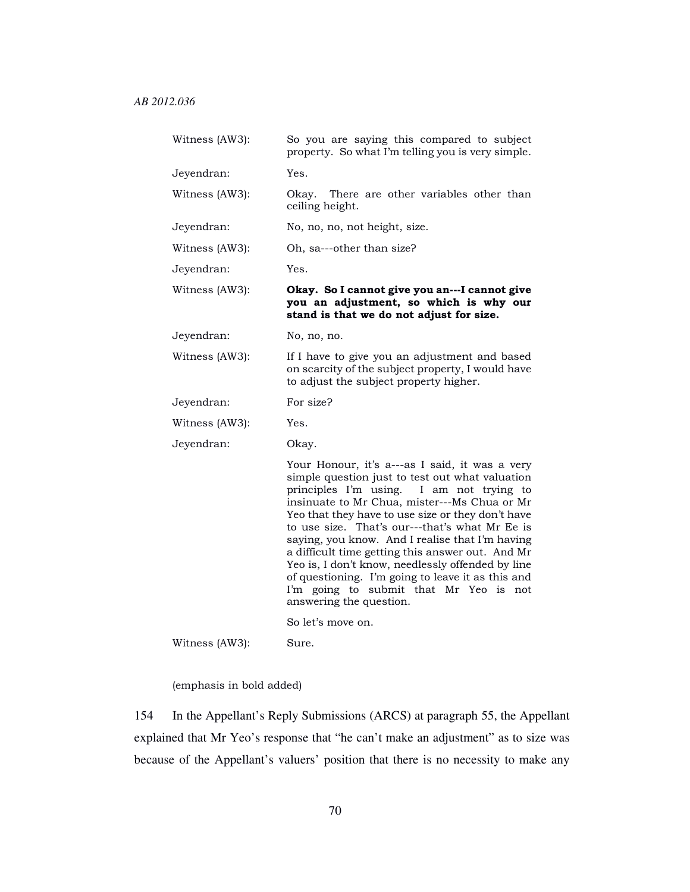| Witness (AW3): | So you are saying this compared to subject<br>property. So what I'm telling you is very simple.                                                                                                                                                                                                                                                                                                                                                                                                                                             |
|----------------|---------------------------------------------------------------------------------------------------------------------------------------------------------------------------------------------------------------------------------------------------------------------------------------------------------------------------------------------------------------------------------------------------------------------------------------------------------------------------------------------------------------------------------------------|
| Jeyendran:     | Yes.                                                                                                                                                                                                                                                                                                                                                                                                                                                                                                                                        |
| Witness (AW3): | Okay. There are other variables other than<br>ceiling height.                                                                                                                                                                                                                                                                                                                                                                                                                                                                               |
| Jeyendran:     | No, no, no, not height, size.                                                                                                                                                                                                                                                                                                                                                                                                                                                                                                               |
| Witness (AW3): | Oh, sa---other than size?                                                                                                                                                                                                                                                                                                                                                                                                                                                                                                                   |
| Jeyendran:     | Yes.                                                                                                                                                                                                                                                                                                                                                                                                                                                                                                                                        |
| Witness (AW3): | Okay. So I cannot give you an---I cannot give<br>you an adjustment, so which is why our<br>stand is that we do not adjust for size.                                                                                                                                                                                                                                                                                                                                                                                                         |
| Jeyendran:     | No, no, no.                                                                                                                                                                                                                                                                                                                                                                                                                                                                                                                                 |
| Witness (AW3): | If I have to give you an adjustment and based<br>on scarcity of the subject property, I would have<br>to adjust the subject property higher.                                                                                                                                                                                                                                                                                                                                                                                                |
| Jeyendran:     | For size?                                                                                                                                                                                                                                                                                                                                                                                                                                                                                                                                   |
| Witness (AW3): | Yes.                                                                                                                                                                                                                                                                                                                                                                                                                                                                                                                                        |
| Jeyendran:     | Okay.                                                                                                                                                                                                                                                                                                                                                                                                                                                                                                                                       |
|                | Your Honour, it's a---as I said, it was a very                                                                                                                                                                                                                                                                                                                                                                                                                                                                                              |
|                | simple question just to test out what valuation<br>principles I'm using.<br>I am not trying to<br>insinuate to Mr Chua, mister---Ms Chua or Mr<br>Yeo that they have to use size or they don't have<br>to use size. That's our---that's what Mr Ee is<br>saying, you know. And I realise that I'm having<br>a difficult time getting this answer out. And Mr<br>Yeo is, I don't know, needlessly offended by line<br>of questioning. I'm going to leave it as this and<br>I'm going to submit that Mr Yeo is not<br>answering the question. |
| Witness (AW3): | So let's move on.                                                                                                                                                                                                                                                                                                                                                                                                                                                                                                                           |

(emphasis in bold added)

154 In the Appellant's Reply Submissions (ARCS) at paragraph 55, the Appellant explained that Mr Yeo's response that "he can't make an adjustment" as to size was because of the Appellant's valuers' position that there is no necessity to make any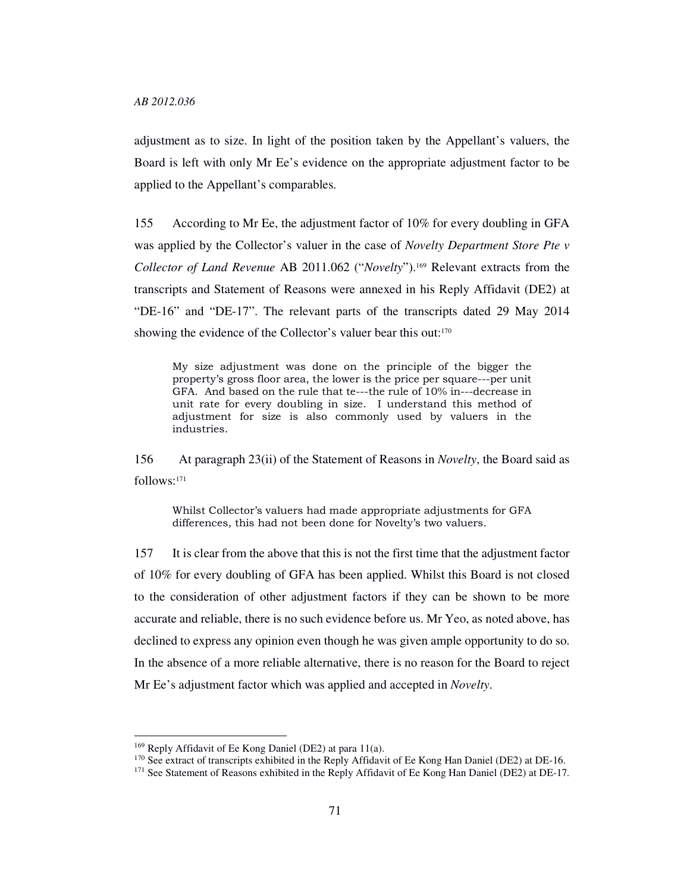adjustment as to size. In light of the position taken by the Appellant's valuers, the Board is left with only Mr Ee's evidence on the appropriate adjustment factor to be applied to the Appellant's comparables.

155 According to Mr Ee, the adjustment factor of 10% for every doubling in GFA was applied by the Collector's valuer in the case of *Novelty Department Store Pte v Collector of Land Revenue* AB 2011.062 ("*Novelty*").169 Relevant extracts from the transcripts and Statement of Reasons were annexed in his Reply Affidavit (DE2) at "DE-16" and "DE-17". The relevant parts of the transcripts dated 29 May 2014 showing the evidence of the Collector's valuer bear this out:<sup>170</sup>

My size adjustment was done on the principle of the bigger the property's gross floor area, the lower is the price per square---per unit GFA. And based on the rule that te---the rule of 10% in---decrease in unit rate for every doubling in size. I understand this method of adjustment for size is also commonly used by valuers in the industries.

156 At paragraph 23(ii) of the Statement of Reasons in *Novelty*, the Board said as follows:<sup>171</sup>

Whilst Collector's valuers had made appropriate adjustments for GFA differences, this had not been done for Novelty's two valuers.

157 It is clear from the above that this is not the first time that the adjustment factor of 10% for every doubling of GFA has been applied. Whilst this Board is not closed to the consideration of other adjustment factors if they can be shown to be more accurate and reliable, there is no such evidence before us. Mr Yeo, as noted above, has declined to express any opinion even though he was given ample opportunity to do so. In the absence of a more reliable alternative, there is no reason for the Board to reject Mr Ee's adjustment factor which was applied and accepted in *Novelty*.

<sup>169</sup> Reply Affidavit of Ee Kong Daniel (DE2) at para 11(a).

<sup>&</sup>lt;sup>170</sup> See extract of transcripts exhibited in the Reply Affidavit of Ee Kong Han Daniel (DE2) at DE-16.

<sup>&</sup>lt;sup>171</sup> See Statement of Reasons exhibited in the Reply Affidavit of Ee Kong Han Daniel (DE2) at DE-17.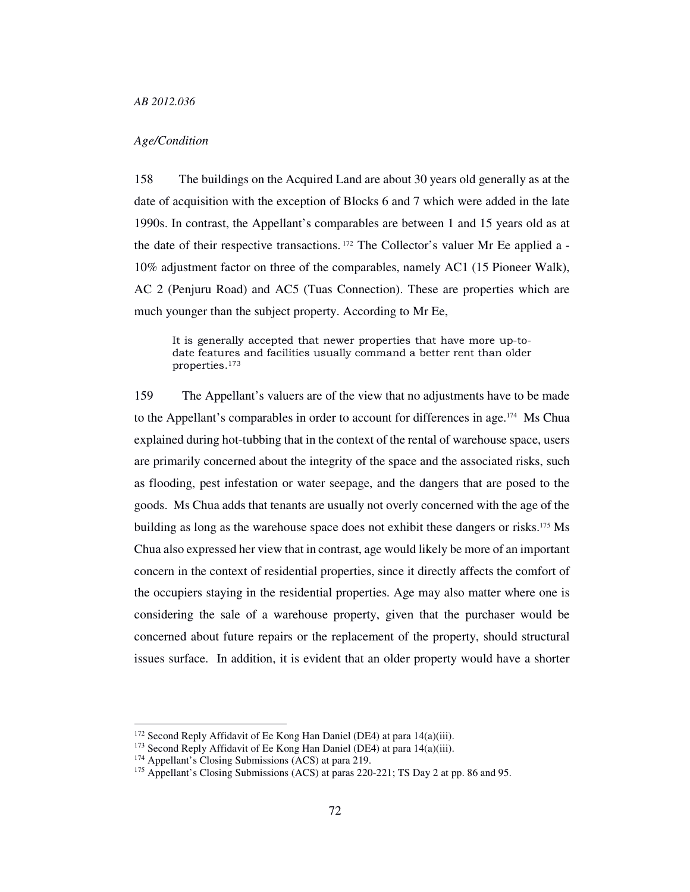## *Age/Condition*

158 The buildings on the Acquired Land are about 30 years old generally as at the date of acquisition with the exception of Blocks 6 and 7 which were added in the late 1990s. In contrast, the Appellant's comparables are between 1 and 15 years old as at the date of their respective transactions. 172 The Collector's valuer Mr Ee applied a - 10% adjustment factor on three of the comparables, namely AC1 (15 Pioneer Walk), AC 2 (Penjuru Road) and AC5 (Tuas Connection). These are properties which are much younger than the subject property. According to Mr Ee,

It is generally accepted that newer properties that have more up-todate features and facilities usually command a better rent than older properties.<sup>173</sup>

159 The Appellant's valuers are of the view that no adjustments have to be made to the Appellant's comparables in order to account for differences in age.174 Ms Chua explained during hot-tubbing that in the context of the rental of warehouse space, users are primarily concerned about the integrity of the space and the associated risks, such as flooding, pest infestation or water seepage, and the dangers that are posed to the goods. Ms Chua adds that tenants are usually not overly concerned with the age of the building as long as the warehouse space does not exhibit these dangers or risks.175 Ms Chua also expressed her view that in contrast, age would likely be more of an important concern in the context of residential properties, since it directly affects the comfort of the occupiers staying in the residential properties. Age may also matter where one is considering the sale of a warehouse property, given that the purchaser would be concerned about future repairs or the replacement of the property, should structural issues surface. In addition, it is evident that an older property would have a shorter

<sup>&</sup>lt;sup>172</sup> Second Reply Affidavit of Ee Kong Han Daniel (DE4) at para 14(a)(iii).

<sup>&</sup>lt;sup>173</sup> Second Reply Affidavit of Ee Kong Han Daniel (DE4) at para 14(a)(iii).

<sup>174</sup> Appellant's Closing Submissions (ACS) at para 219.

<sup>&</sup>lt;sup>175</sup> Appellant's Closing Submissions (ACS) at paras 220-221; TS Day 2 at pp. 86 and 95.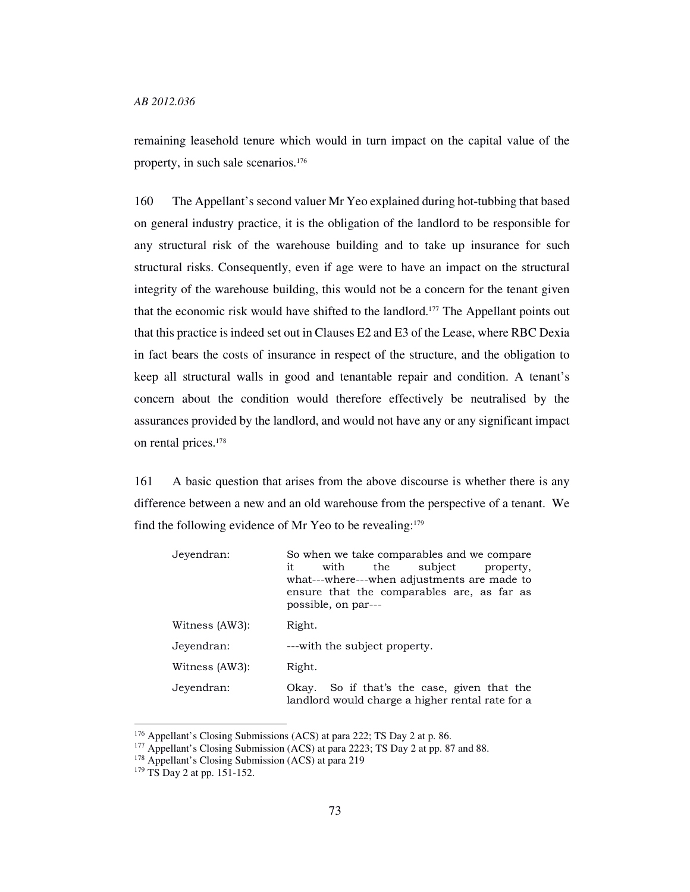remaining leasehold tenure which would in turn impact on the capital value of the property, in such sale scenarios.<sup>176</sup>

160 The Appellant's second valuer Mr Yeo explained during hot-tubbing that based on general industry practice, it is the obligation of the landlord to be responsible for any structural risk of the warehouse building and to take up insurance for such structural risks. Consequently, even if age were to have an impact on the structural integrity of the warehouse building, this would not be a concern for the tenant given that the economic risk would have shifted to the landlord.177 The Appellant points out that this practice is indeed set out in Clauses E2 and E3 of the Lease, where RBC Dexia in fact bears the costs of insurance in respect of the structure, and the obligation to keep all structural walls in good and tenantable repair and condition. A tenant's concern about the condition would therefore effectively be neutralised by the assurances provided by the landlord, and would not have any or any significant impact on rental prices.<sup>178</sup>

161 A basic question that arises from the above discourse is whether there is any difference between a new and an old warehouse from the perspective of a tenant. We find the following evidence of Mr Yeo to be revealing:<sup>179</sup>

| Jeyendran:     | So when we take comparables and we compare.<br>with<br>the subject<br>it<br>property,<br>what---where---when adjustments are made to<br>ensure that the comparables are, as far as<br>possible, on par--- |  |  |  |  |  |
|----------------|-----------------------------------------------------------------------------------------------------------------------------------------------------------------------------------------------------------|--|--|--|--|--|
| Witness (AW3): | Right.                                                                                                                                                                                                    |  |  |  |  |  |
| Jeyendran:     | ---with the subject property.                                                                                                                                                                             |  |  |  |  |  |
| Witness (AW3): | Right.                                                                                                                                                                                                    |  |  |  |  |  |
| Jeyendran:     | So if that's the case, given that the<br>Okav.<br>landlord would charge a higher rental rate for a                                                                                                        |  |  |  |  |  |

<sup>&</sup>lt;sup>176</sup> Appellant's Closing Submissions (ACS) at para 222; TS Day 2 at p. 86.

<sup>&</sup>lt;sup>177</sup> Appellant's Closing Submission (ACS) at para 2223; TS Day 2 at pp. 87 and 88.

<sup>&</sup>lt;sup>178</sup> Appellant's Closing Submission (ACS) at para 219

<sup>&</sup>lt;sup>179</sup> TS Day 2 at pp. 151-152.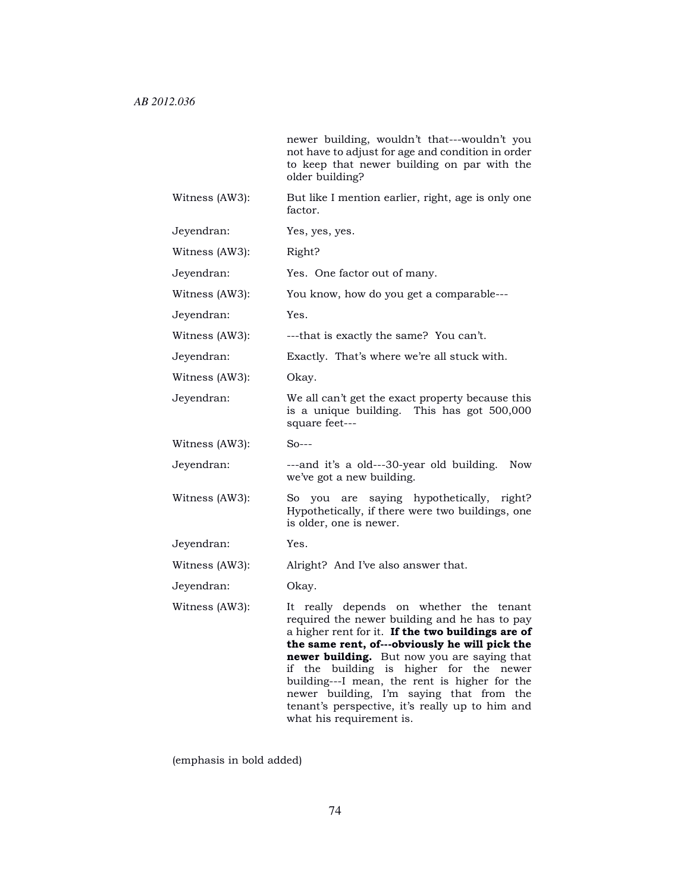|                | newer building, wouldn't that---wouldn't you<br>not have to adjust for age and condition in order<br>to keep that newer building on par with the<br>older building?                                                                                                                                                                                                                                                                                                   |  |  |  |  |
|----------------|-----------------------------------------------------------------------------------------------------------------------------------------------------------------------------------------------------------------------------------------------------------------------------------------------------------------------------------------------------------------------------------------------------------------------------------------------------------------------|--|--|--|--|
| Witness (AW3): | But like I mention earlier, right, age is only one<br>factor.                                                                                                                                                                                                                                                                                                                                                                                                         |  |  |  |  |
| Jeyendran:     | Yes, yes, yes.                                                                                                                                                                                                                                                                                                                                                                                                                                                        |  |  |  |  |
| Witness (AW3): | Right?                                                                                                                                                                                                                                                                                                                                                                                                                                                                |  |  |  |  |
| Jeyendran:     | Yes. One factor out of many.                                                                                                                                                                                                                                                                                                                                                                                                                                          |  |  |  |  |
| Witness (AW3): | You know, how do you get a comparable---                                                                                                                                                                                                                                                                                                                                                                                                                              |  |  |  |  |
| Jeyendran:     | Yes.                                                                                                                                                                                                                                                                                                                                                                                                                                                                  |  |  |  |  |
| Witness (AW3): | ---that is exactly the same? You can't.                                                                                                                                                                                                                                                                                                                                                                                                                               |  |  |  |  |
| Jeyendran:     | Exactly. That's where we're all stuck with.                                                                                                                                                                                                                                                                                                                                                                                                                           |  |  |  |  |
| Witness (AW3): | Okay.                                                                                                                                                                                                                                                                                                                                                                                                                                                                 |  |  |  |  |
| Jeyendran:     | We all can't get the exact property because this<br>is a unique building. This has got 500,000<br>square feet---                                                                                                                                                                                                                                                                                                                                                      |  |  |  |  |
| Witness (AW3): | $So--$                                                                                                                                                                                                                                                                                                                                                                                                                                                                |  |  |  |  |
| Jeyendran:     | ---and it's a old---30-year old building. Now<br>we've got a new building.                                                                                                                                                                                                                                                                                                                                                                                            |  |  |  |  |
| Witness (AW3): | So you are saying hypothetically, right?<br>Hypothetically, if there were two buildings, one<br>is older, one is newer.                                                                                                                                                                                                                                                                                                                                               |  |  |  |  |
| Jeyendran:     | Yes.                                                                                                                                                                                                                                                                                                                                                                                                                                                                  |  |  |  |  |
| Witness (AW3): | Alright? And I've also answer that.                                                                                                                                                                                                                                                                                                                                                                                                                                   |  |  |  |  |
| Jeyendran:     | Okay.                                                                                                                                                                                                                                                                                                                                                                                                                                                                 |  |  |  |  |
| Witness (AW3): | It really depends on whether the tenant<br>required the newer building and he has to pay<br>a higher rent for it. If the two buildings are of<br>the same rent, of---obviously he will pick the<br><b>newer building.</b> But now you are saying that<br>building<br>higher<br>for<br>if<br>is<br>the<br>the<br>newer<br>building---I mean, the rent is higher for the<br>newer building, I'm saying that from the<br>tenant's perspective, it's really up to him and |  |  |  |  |
|                | what his requirement is.                                                                                                                                                                                                                                                                                                                                                                                                                                              |  |  |  |  |

(emphasis in bold added)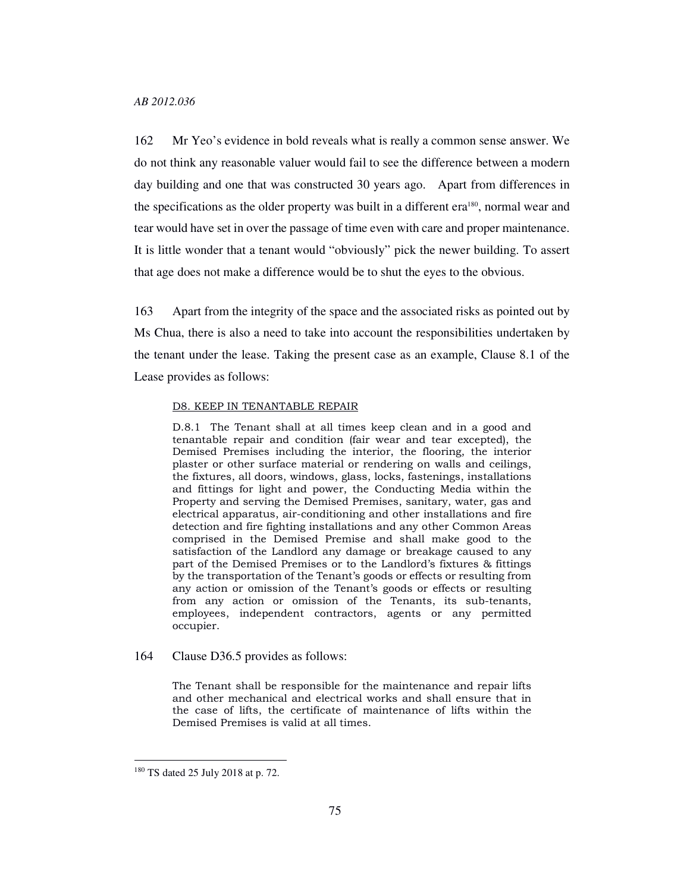162 Mr Yeo's evidence in bold reveals what is really a common sense answer. We do not think any reasonable valuer would fail to see the difference between a modern day building and one that was constructed 30 years ago. Apart from differences in the specifications as the older property was built in a different era180, normal wear and tear would have set in over the passage of time even with care and proper maintenance. It is little wonder that a tenant would "obviously" pick the newer building. To assert that age does not make a difference would be to shut the eyes to the obvious.

163 Apart from the integrity of the space and the associated risks as pointed out by Ms Chua, there is also a need to take into account the responsibilities undertaken by the tenant under the lease. Taking the present case as an example, Clause 8.1 of the Lease provides as follows:

#### D8. KEEP IN TENANTABLE REPAIR

D.8.1 The Tenant shall at all times keep clean and in a good and tenantable repair and condition (fair wear and tear excepted), the Demised Premises including the interior, the flooring, the interior plaster or other surface material or rendering on walls and ceilings, the fixtures, all doors, windows, glass, locks, fastenings, installations and fittings for light and power, the Conducting Media within the Property and serving the Demised Premises, sanitary, water, gas and electrical apparatus, air-conditioning and other installations and fire detection and fire fighting installations and any other Common Areas comprised in the Demised Premise and shall make good to the satisfaction of the Landlord any damage or breakage caused to any part of the Demised Premises or to the Landlord's fixtures & fittings by the transportation of the Tenant's goods or effects or resulting from any action or omission of the Tenant's goods or effects or resulting from any action or omission of the Tenants, its sub-tenants, employees, independent contractors, agents or any permitted occupier.

#### 164 Clause D36.5 provides as follows:

The Tenant shall be responsible for the maintenance and repair lifts and other mechanical and electrical works and shall ensure that in the case of lifts, the certificate of maintenance of lifts within the Demised Premises is valid at all times.

<sup>180</sup> TS dated 25 July 2018 at p. 72.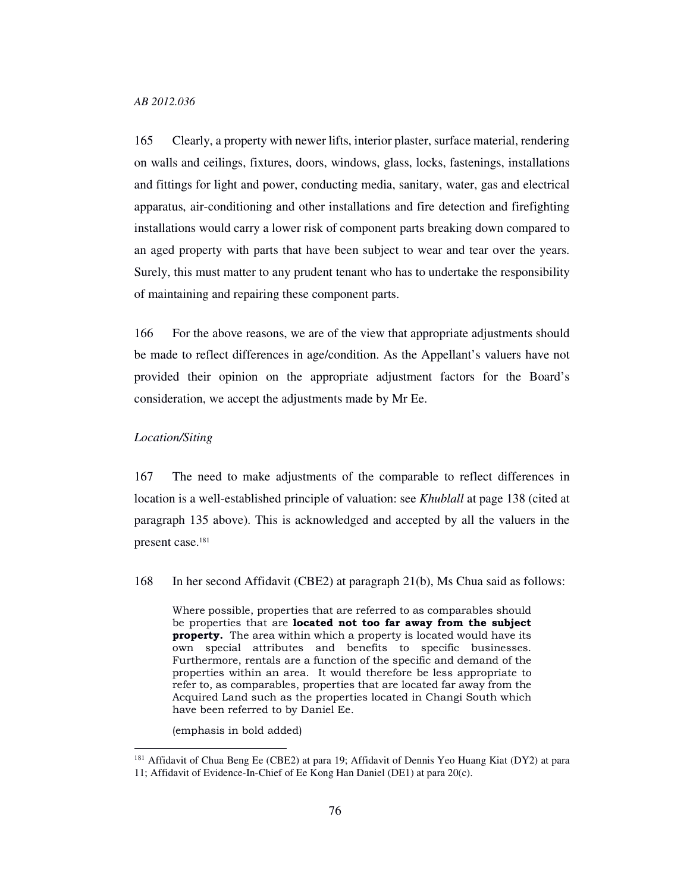165 Clearly, a property with newer lifts, interior plaster, surface material, rendering on walls and ceilings, fixtures, doors, windows, glass, locks, fastenings, installations and fittings for light and power, conducting media, sanitary, water, gas and electrical apparatus, air-conditioning and other installations and fire detection and firefighting installations would carry a lower risk of component parts breaking down compared to an aged property with parts that have been subject to wear and tear over the years. Surely, this must matter to any prudent tenant who has to undertake the responsibility of maintaining and repairing these component parts.

166 For the above reasons, we are of the view that appropriate adjustments should be made to reflect differences in age/condition. As the Appellant's valuers have not provided their opinion on the appropriate adjustment factors for the Board's consideration, we accept the adjustments made by Mr Ee.

#### *Location/Siting*

-

167 The need to make adjustments of the comparable to reflect differences in location is a well-established principle of valuation: see *Khublall* at page 138 (cited at paragraph 135 above). This is acknowledged and accepted by all the valuers in the present case.<sup>181</sup>

168 In her second Affidavit (CBE2) at paragraph 21(b), Ms Chua said as follows:

Where possible, properties that are referred to as comparables should be properties that are located not too far away from the subject property. The area within which a property is located would have its own special attributes and benefits to specific businesses. Furthermore, rentals are a function of the specific and demand of the properties within an area. It would therefore be less appropriate to refer to, as comparables, properties that are located far away from the Acquired Land such as the properties located in Changi South which have been referred to by Daniel Ee.

(emphasis in bold added)

<sup>181</sup> Affidavit of Chua Beng Ee (CBE2) at para 19; Affidavit of Dennis Yeo Huang Kiat (DY2) at para

<sup>11;</sup> Affidavit of Evidence-In-Chief of Ee Kong Han Daniel (DE1) at para 20(c).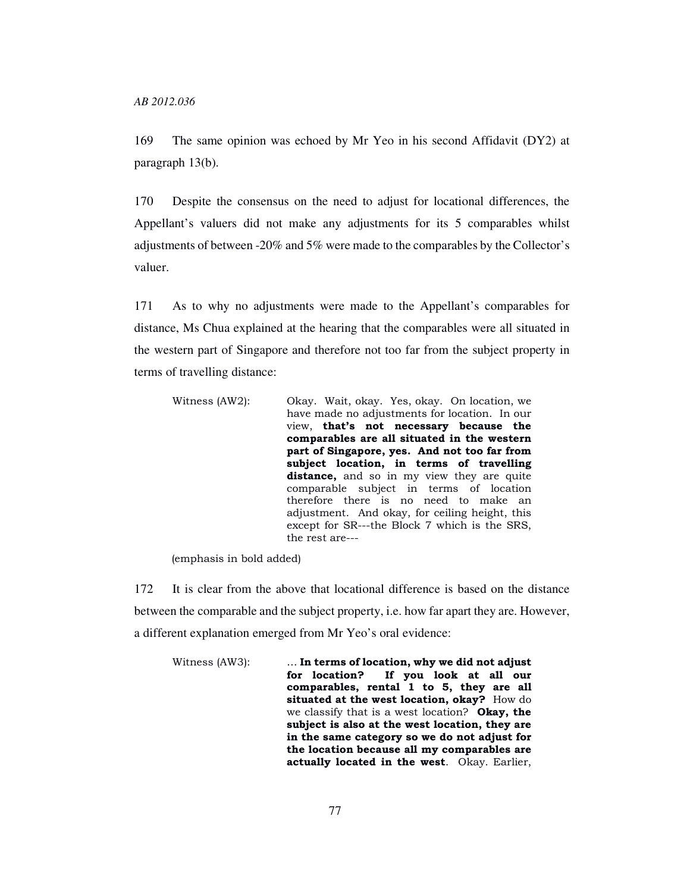169 The same opinion was echoed by Mr Yeo in his second Affidavit (DY2) at paragraph 13(b).

170 Despite the consensus on the need to adjust for locational differences, the Appellant's valuers did not make any adjustments for its 5 comparables whilst adjustments of between -20% and 5% were made to the comparables by the Collector's valuer.

171 As to why no adjustments were made to the Appellant's comparables for distance, Ms Chua explained at the hearing that the comparables were all situated in the western part of Singapore and therefore not too far from the subject property in terms of travelling distance:

| Witness (AW2): | Okay. Wait, okay. Yes, okay. On location, we      |
|----------------|---------------------------------------------------|
|                | have made no adjustments for location. In our     |
|                | view, that's not necessary because the            |
|                | comparables are all situated in the western       |
|                | part of Singapore, yes. And not too far from      |
|                | subject location, in terms of travelling          |
|                | <b>distance,</b> and so in my view they are quite |
|                | comparable subject in terms of location           |
|                | therefore there is no need to make an             |
|                | adjustment. And okay, for ceiling height, this    |
|                | except for SR---the Block 7 which is the SRS,     |
|                | the rest are---                                   |

(emphasis in bold added)

172 It is clear from the above that locational difference is based on the distance between the comparable and the subject property, i.e. how far apart they are. However, a different explanation emerged from Mr Yeo's oral evidence:

Witness (AW3): ... In terms of location, why we did not adjust for location? If you look at all our comparables, rental 1 to 5, they are all situated at the west location, okay? How do we classify that is a west location? Okay, the subject is also at the west location, they are in the same category so we do not adjust for the location because all my comparables are actually located in the west. Okay. Earlier,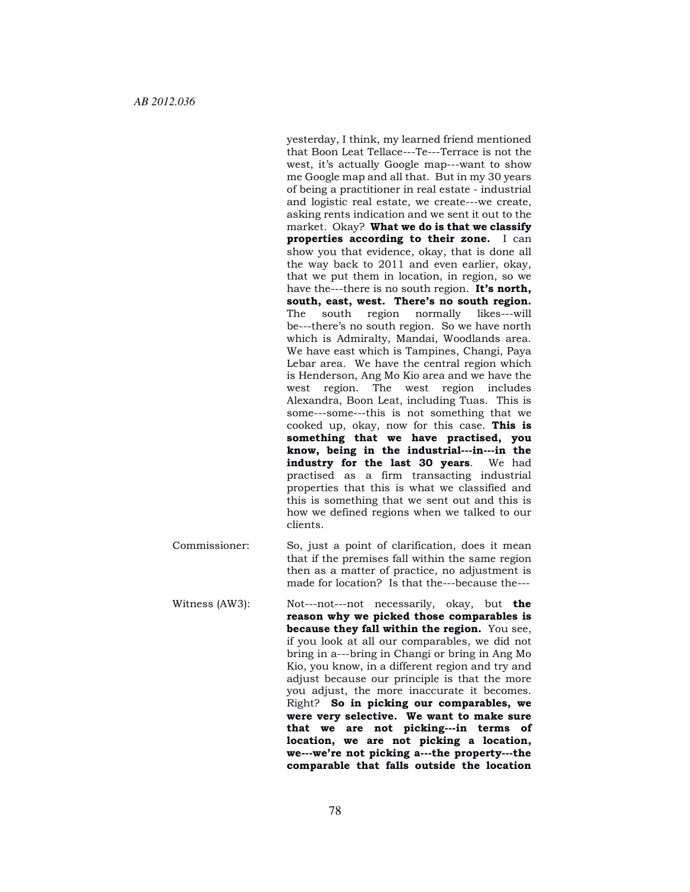yesterday, I think, my learned friend mentioned that Boon Leat Tellace---Te---Terrace is not the west, it's actually Google map---want to show me Google map and all that. But in my 30 years of being a practitioner in real estate - industrial and logistic real estate, we create---we create, asking rents indication and we sent it out to the market. Okay? What we do is that we classify properties according to their zone. I can show you that evidence, okay, that is done all the way back to 2011 and even earlier, okay, that we put them in location, in region, so we have the---there is no south region. It's north, south, east, west. There's no south region. The south region normally likes---will be---there's no south region. So we have north which is Admiralty, Mandai, Woodlands area. We have east which is Tampines, Changi, Paya Lebar area. We have the central region which is Henderson, Ang Mo Kio area and we have the west region. The west region includes Alexandra, Boon Leat, including Tuas. This is some---some---this is not something that we cooked up, okay, now for this case. This is something that we have practised, you know, being in the industrial---in---in the industry for the last 30 years. We had practised as a firm transacting industrial properties that this is what we classified and this is something that we sent out and this is how we defined regions when we talked to our clients.

- Commissioner: So, just a point of clarification, does it mean that if the premises fall within the same region then as a matter of practice, no adjustment is made for location? Is that the---because the---
- Witness (AW3): Not---not---not necessarily, okay, but the reason why we picked those comparables is because they fall within the region. You see, if you look at all our comparables, we did not bring in a---bring in Changi or bring in Ang Mo Kio, you know, in a different region and try and adjust because our principle is that the more you adjust, the more inaccurate it becomes. Right? So in picking our comparables, we were very selective. We want to make sure that we are not picking---in terms of location, we are not picking a location, we---we're not picking a---the property---the comparable that falls outside the location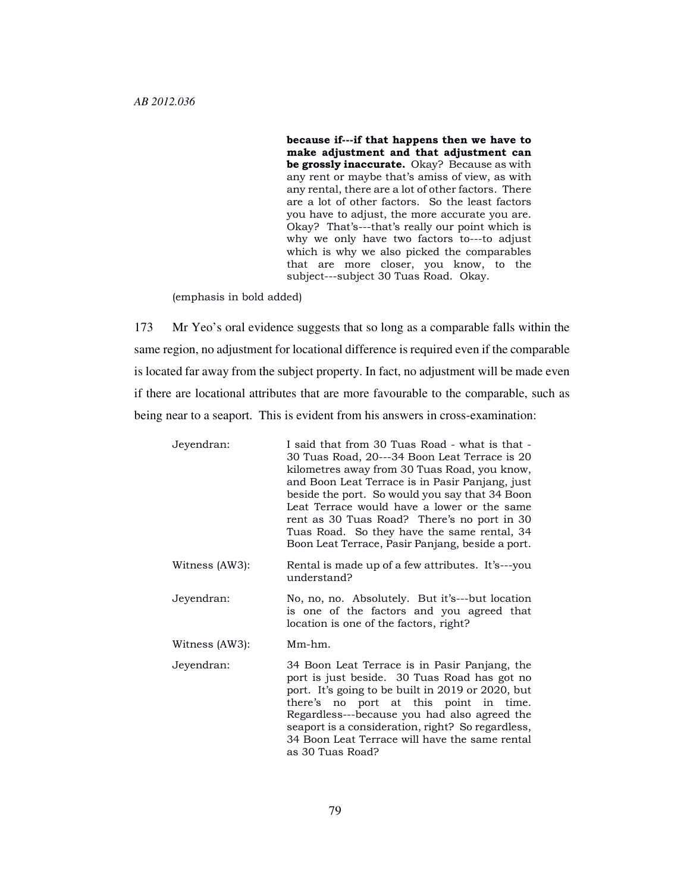because if---if that happens then we have to make adjustment and that adjustment can be grossly inaccurate. Okay? Because as with any rent or maybe that's amiss of view, as with any rental, there are a lot of other factors. There are a lot of other factors. So the least factors you have to adjust, the more accurate you are. Okay? That's---that's really our point which is why we only have two factors to---to adjust which is why we also picked the comparables that are more closer, you know, to the subject---subject 30 Tuas Road. Okay.

(emphasis in bold added)

173 Mr Yeo's oral evidence suggests that so long as a comparable falls within the same region, no adjustment for locational difference is required even if the comparable is located far away from the subject property. In fact, no adjustment will be made even if there are locational attributes that are more favourable to the comparable, such as being near to a seaport. This is evident from his answers in cross-examination:

| Jeyendran:     | I said that from 30 Tuas Road - what is that -<br>30 Tuas Road, 20---34 Boon Leat Terrace is 20<br>kilometres away from 30 Tuas Road, you know,<br>and Boon Leat Terrace is in Pasir Panjang, just<br>beside the port. So would you say that 34 Boon<br>Leat Terrace would have a lower or the same<br>rent as 30 Tuas Road? There's no port in 30<br>Tuas Road. So they have the same rental, 34<br>Boon Leat Terrace, Pasir Panjang, beside a port. |
|----------------|-------------------------------------------------------------------------------------------------------------------------------------------------------------------------------------------------------------------------------------------------------------------------------------------------------------------------------------------------------------------------------------------------------------------------------------------------------|
| Witness (AW3): | Rental is made up of a few attributes. It's---you<br>understand?                                                                                                                                                                                                                                                                                                                                                                                      |
| Jeyendran:     | No, no, no. Absolutely. But it's---but location<br>is one of the factors and you agreed that<br>location is one of the factors, right?                                                                                                                                                                                                                                                                                                                |
| Witness (AW3): | Mm-hm.                                                                                                                                                                                                                                                                                                                                                                                                                                                |
| Jeyendran:     | 34 Boon Leat Terrace is in Pasir Panjang, the<br>port is just beside. 30 Tuas Road has got no<br>port. It's going to be built in 2019 or 2020, but<br>there's no port at this point in time.<br>Regardless---because you had also agreed the<br>seaport is a consideration, right? So regardless,<br>34 Boon Leat Terrace will have the same rental<br>as 30 Tuas Road?                                                                               |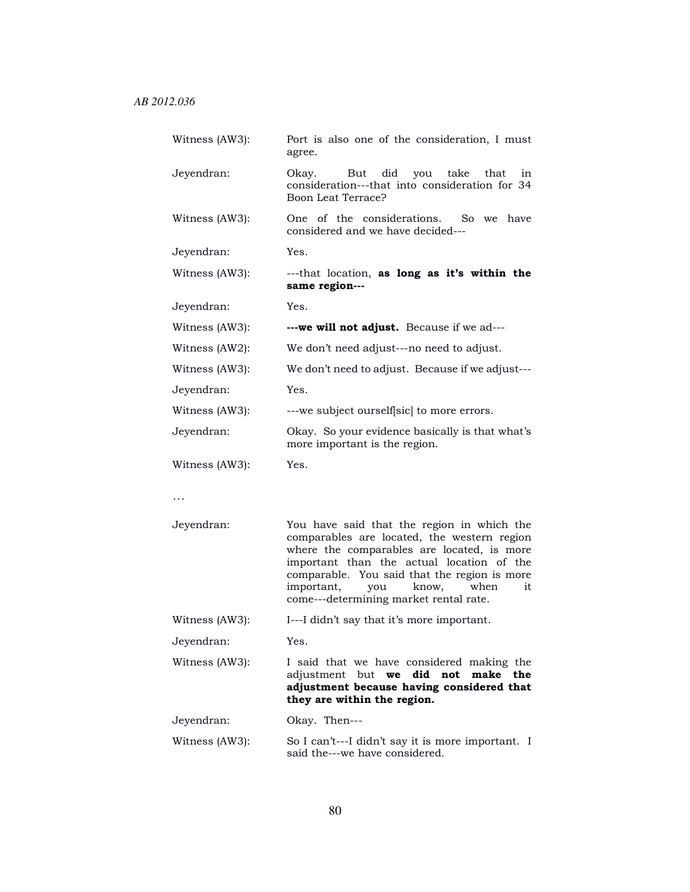| Witness (AW3): | Port is also one of the consideration, I must<br>agree.                                                         |  |  |  |  |  |
|----------------|-----------------------------------------------------------------------------------------------------------------|--|--|--|--|--|
| Jeyendran:     | did you take that<br>Okay.<br>But<br>in<br>consideration---that into consideration for 34<br>Boon Leat Terrace? |  |  |  |  |  |
| Witness (AW3): | One of the considerations. So we have<br>considered and we have decided---                                      |  |  |  |  |  |
| Jeyendran:     | Yes.                                                                                                            |  |  |  |  |  |
| Witness (AW3): | ---that location, as long as it's within the<br>same region---                                                  |  |  |  |  |  |
| Jeyendran:     | Yes.                                                                                                            |  |  |  |  |  |
| Witness (AW3): | ---we will not adjust. Because if we ad---                                                                      |  |  |  |  |  |
| Witness (AW2): | We don't need adjust---no need to adjust.                                                                       |  |  |  |  |  |
| Witness (AW3): | We don't need to adjust. Because if we adjust---                                                                |  |  |  |  |  |
| Jeyendran:     | Yes.                                                                                                            |  |  |  |  |  |
| Witness (AW3): | ---we subject ourself sic to more errors.                                                                       |  |  |  |  |  |
| Jeyendran:     | Okay. So your evidence basically is that what's<br>more important is the region.                                |  |  |  |  |  |
| Witness (AW3): | Yes.                                                                                                            |  |  |  |  |  |

…

| Jeyendran: | You have said that the region in which the   |
|------------|----------------------------------------------|
|            | comparables are located, the western region  |
|            | where the comparables are located, is more   |
|            | important than the actual location of the    |
|            | comparable. You said that the region is more |
|            | important, you know, when it                 |
|            | come---determining market rental rate.       |

Witness (AW3): I---I didn't say that it's more important.

Jeyendran: Yes.

Witness (AW3): I said that we have considered making the adjustment but we did not make the adjustment because having considered that they are within the region.

Jeyendran: Okay. Then---

Witness (AW3): So I can't---I didn't say it is more important. I said the---we have considered.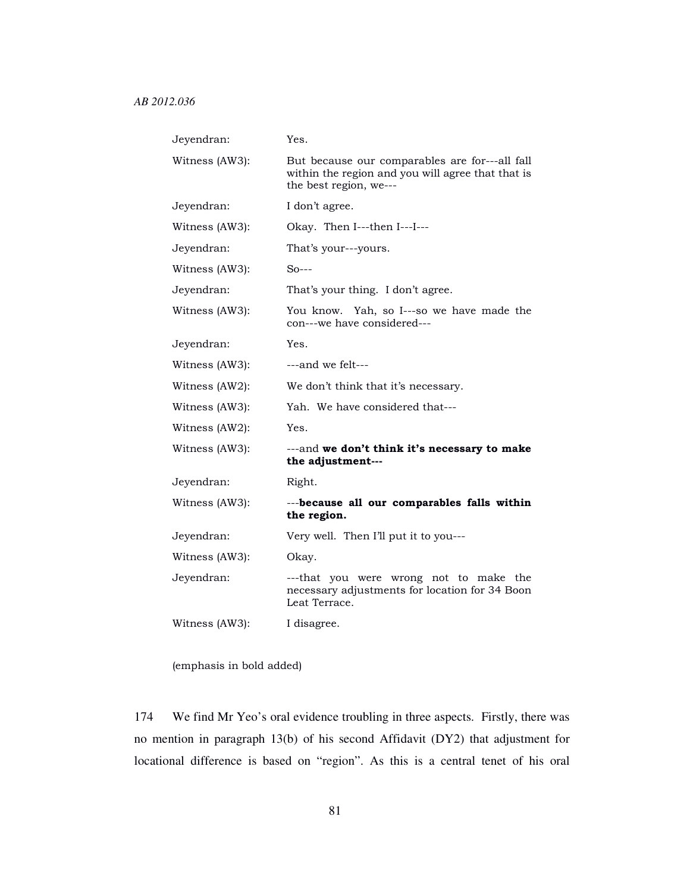| Jeyendran:     | Yes.                                                                                                                          |
|----------------|-------------------------------------------------------------------------------------------------------------------------------|
| Witness (AW3): | But because our comparables are for---all fall<br>within the region and you will agree that that is<br>the best region, we--- |
| Jeyendran:     | I don't agree.                                                                                                                |
| Witness (AW3): | Okay. Then I---then I---I---                                                                                                  |
| Jeyendran:     | That's your---yours.                                                                                                          |
| Witness (AW3): | $So--$                                                                                                                        |
| Jeyendran:     | That's your thing. I don't agree.                                                                                             |
| Witness (AW3): | You know. Yah, so I---so we have made the<br>con---we have considered---                                                      |
| Jeyendran:     | Yes.                                                                                                                          |
| Witness (AW3): | ---and we felt---                                                                                                             |
| Witness (AW2): | We don't think that it's necessary.                                                                                           |
| Witness (AW3): | Yah. We have considered that---                                                                                               |
| Witness (AW2): | Yes.                                                                                                                          |
| Witness (AW3): | --- and we don't think it's necessary to make<br>the adjustment---                                                            |
| Jeyendran:     | Right.                                                                                                                        |
| Witness (AW3): | ---because all our comparables falls within<br>the region.                                                                    |
| Jeyendran:     | Very well. Then I'll put it to you---                                                                                         |
| Witness (AW3): | Okay.                                                                                                                         |
| Jeyendran:     | ---that you were wrong not to make the<br>necessary adjustments for location for 34 Boon<br>Leat Terrace.                     |
| Witness (AW3): | I disagree.                                                                                                                   |

(emphasis in bold added)

174 We find Mr Yeo's oral evidence troubling in three aspects. Firstly, there was no mention in paragraph 13(b) of his second Affidavit (DY2) that adjustment for locational difference is based on "region". As this is a central tenet of his oral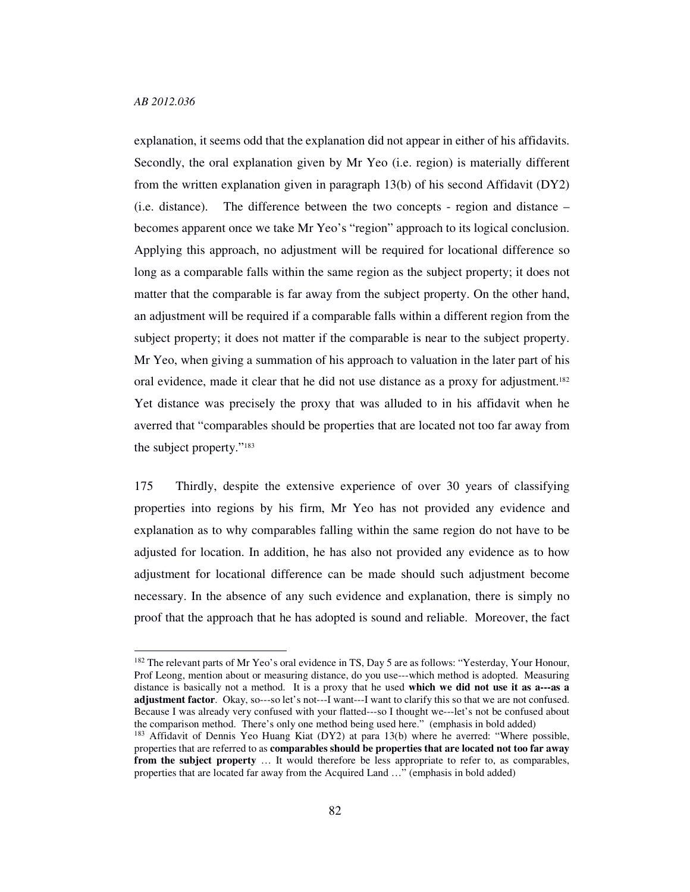-

explanation, it seems odd that the explanation did not appear in either of his affidavits. Secondly, the oral explanation given by Mr Yeo (i.e. region) is materially different from the written explanation given in paragraph 13(b) of his second Affidavit (DY2) (i.e. distance). The difference between the two concepts - region and distance – becomes apparent once we take Mr Yeo's "region" approach to its logical conclusion. Applying this approach, no adjustment will be required for locational difference so long as a comparable falls within the same region as the subject property; it does not matter that the comparable is far away from the subject property. On the other hand, an adjustment will be required if a comparable falls within a different region from the subject property; it does not matter if the comparable is near to the subject property. Mr Yeo, when giving a summation of his approach to valuation in the later part of his oral evidence, made it clear that he did not use distance as a proxy for adjustment.<sup>182</sup> Yet distance was precisely the proxy that was alluded to in his affidavit when he averred that "comparables should be properties that are located not too far away from the subject property."<sup>183</sup>

175 Thirdly, despite the extensive experience of over 30 years of classifying properties into regions by his firm, Mr Yeo has not provided any evidence and explanation as to why comparables falling within the same region do not have to be adjusted for location. In addition, he has also not provided any evidence as to how adjustment for locational difference can be made should such adjustment become necessary. In the absence of any such evidence and explanation, there is simply no proof that the approach that he has adopted is sound and reliable. Moreover, the fact

<sup>&</sup>lt;sup>182</sup> The relevant parts of Mr Yeo's oral evidence in TS, Day 5 are as follows: "Yesterday, Your Honour, Prof Leong, mention about or measuring distance, do you use---which method is adopted. Measuring distance is basically not a method. It is a proxy that he used **which we did not use it as a---as a adjustment factor**. Okay, so---so let's not---I want---I want to clarify this so that we are not confused. Because I was already very confused with your flatted---so I thought we---let's not be confused about the comparison method. There's only one method being used here." (emphasis in bold added)

<sup>&</sup>lt;sup>183</sup> Affidavit of Dennis Yeo Huang Kiat (DY2) at para 13(b) where he averred: "Where possible, properties that are referred to as **comparables should be properties that are located not too far away from the subject property** ... It would therefore be less appropriate to refer to, as comparables, properties that are located far away from the Acquired Land …" (emphasis in bold added)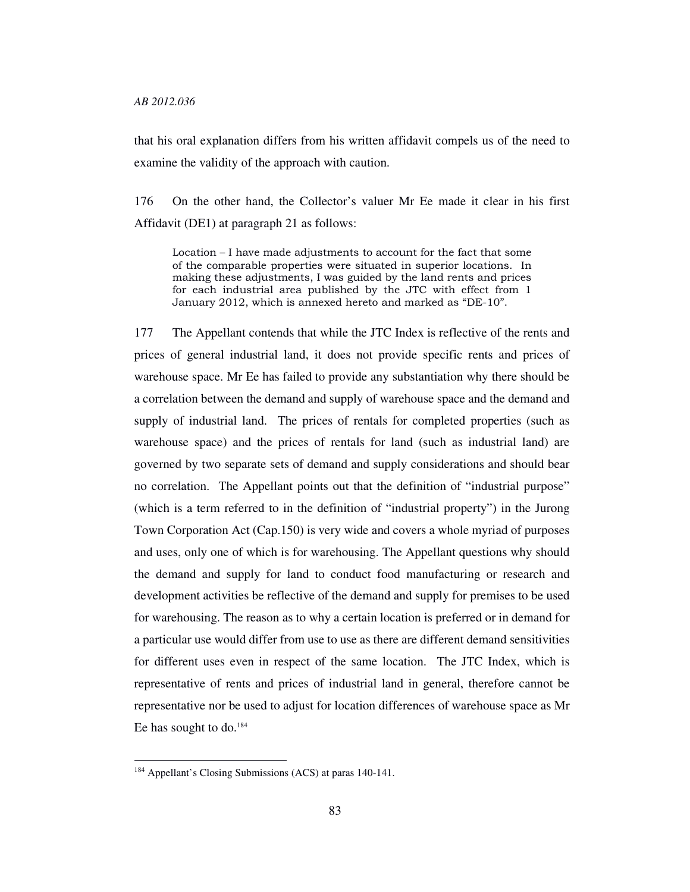that his oral explanation differs from his written affidavit compels us of the need to examine the validity of the approach with caution.

176 On the other hand, the Collector's valuer Mr Ee made it clear in his first Affidavit (DE1) at paragraph 21 as follows:

Location – I have made adjustments to account for the fact that some of the comparable properties were situated in superior locations. In making these adjustments, I was guided by the land rents and prices for each industrial area published by the JTC with effect from 1 January 2012, which is annexed hereto and marked as "DE-10".

177 The Appellant contends that while the JTC Index is reflective of the rents and prices of general industrial land, it does not provide specific rents and prices of warehouse space. Mr Ee has failed to provide any substantiation why there should be a correlation between the demand and supply of warehouse space and the demand and supply of industrial land. The prices of rentals for completed properties (such as warehouse space) and the prices of rentals for land (such as industrial land) are governed by two separate sets of demand and supply considerations and should bear no correlation. The Appellant points out that the definition of "industrial purpose" (which is a term referred to in the definition of "industrial property") in the Jurong Town Corporation Act (Cap.150) is very wide and covers a whole myriad of purposes and uses, only one of which is for warehousing. The Appellant questions why should the demand and supply for land to conduct food manufacturing or research and development activities be reflective of the demand and supply for premises to be used for warehousing. The reason as to why a certain location is preferred or in demand for a particular use would differ from use to use as there are different demand sensitivities for different uses even in respect of the same location. The JTC Index, which is representative of rents and prices of industrial land in general, therefore cannot be representative nor be used to adjust for location differences of warehouse space as Mr Ee has sought to do.<sup>184</sup>

<sup>184</sup> Appellant's Closing Submissions (ACS) at paras 140-141.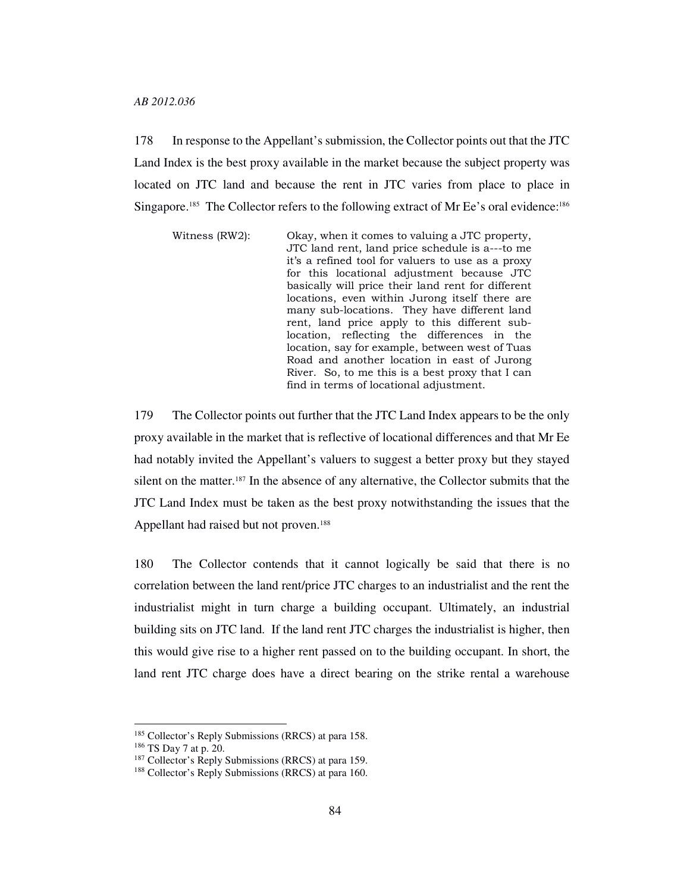178 In response to the Appellant's submission, the Collector points out that the JTC Land Index is the best proxy available in the market because the subject property was located on JTC land and because the rent in JTC varies from place to place in Singapore.<sup>185</sup> The Collector refers to the following extract of Mr Ee's oral evidence:<sup>186</sup>

Witness (RW2): Okay, when it comes to valuing a JTC property, JTC land rent, land price schedule is a---to me it's a refined tool for valuers to use as a proxy for this locational adjustment because JTC basically will price their land rent for different locations, even within Jurong itself there are many sub-locations. They have different land rent, land price apply to this different sublocation, reflecting the differences in the location, say for example, between west of Tuas Road and another location in east of Jurong River. So, to me this is a best proxy that I can find in terms of locational adjustment.

179 The Collector points out further that the JTC Land Index appears to be the only proxy available in the market that is reflective of locational differences and that Mr Ee had notably invited the Appellant's valuers to suggest a better proxy but they stayed silent on the matter.187 In the absence of any alternative, the Collector submits that the JTC Land Index must be taken as the best proxy notwithstanding the issues that the Appellant had raised but not proven.<sup>188</sup>

180 The Collector contends that it cannot logically be said that there is no correlation between the land rent/price JTC charges to an industrialist and the rent the industrialist might in turn charge a building occupant. Ultimately, an industrial building sits on JTC land. If the land rent JTC charges the industrialist is higher, then this would give rise to a higher rent passed on to the building occupant. In short, the land rent JTC charge does have a direct bearing on the strike rental a warehouse

<sup>&</sup>lt;sup>185</sup> Collector's Reply Submissions (RRCS) at para 158.

<sup>186</sup> TS Day 7 at p. 20.

<sup>&</sup>lt;sup>187</sup> Collector's Reply Submissions (RRCS) at para 159.

<sup>188</sup> Collector's Reply Submissions (RRCS) at para 160.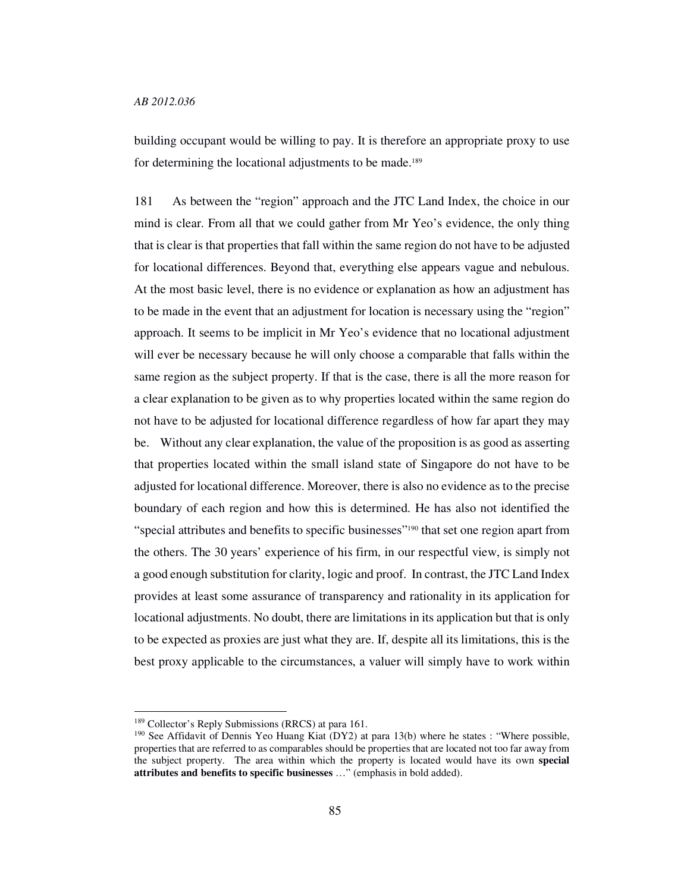building occupant would be willing to pay. It is therefore an appropriate proxy to use for determining the locational adjustments to be made.<sup>189</sup>

181 As between the "region" approach and the JTC Land Index, the choice in our mind is clear. From all that we could gather from Mr Yeo's evidence, the only thing that is clear is that properties that fall within the same region do not have to be adjusted for locational differences. Beyond that, everything else appears vague and nebulous. At the most basic level, there is no evidence or explanation as how an adjustment has to be made in the event that an adjustment for location is necessary using the "region" approach. It seems to be implicit in Mr Yeo's evidence that no locational adjustment will ever be necessary because he will only choose a comparable that falls within the same region as the subject property. If that is the case, there is all the more reason for a clear explanation to be given as to why properties located within the same region do not have to be adjusted for locational difference regardless of how far apart they may be. Without any clear explanation, the value of the proposition is as good as asserting that properties located within the small island state of Singapore do not have to be adjusted for locational difference. Moreover, there is also no evidence as to the precise boundary of each region and how this is determined. He has also not identified the "special attributes and benefits to specific businesses"190 that set one region apart from the others. The 30 years' experience of his firm, in our respectful view, is simply not a good enough substitution for clarity, logic and proof. In contrast, the JTC Land Index provides at least some assurance of transparency and rationality in its application for locational adjustments. No doubt, there are limitations in its application but that is only to be expected as proxies are just what they are. If, despite all its limitations, this is the best proxy applicable to the circumstances, a valuer will simply have to work within

<sup>&</sup>lt;sup>189</sup> Collector's Reply Submissions (RRCS) at para 161.

<sup>&</sup>lt;sup>190</sup> See Affidavit of Dennis Yeo Huang Kiat (DY2) at para 13(b) where he states : "Where possible, properties that are referred to as comparables should be properties that are located not too far away from the subject property. The area within which the property is located would have its own **special attributes and benefits to specific businesses** …" (emphasis in bold added).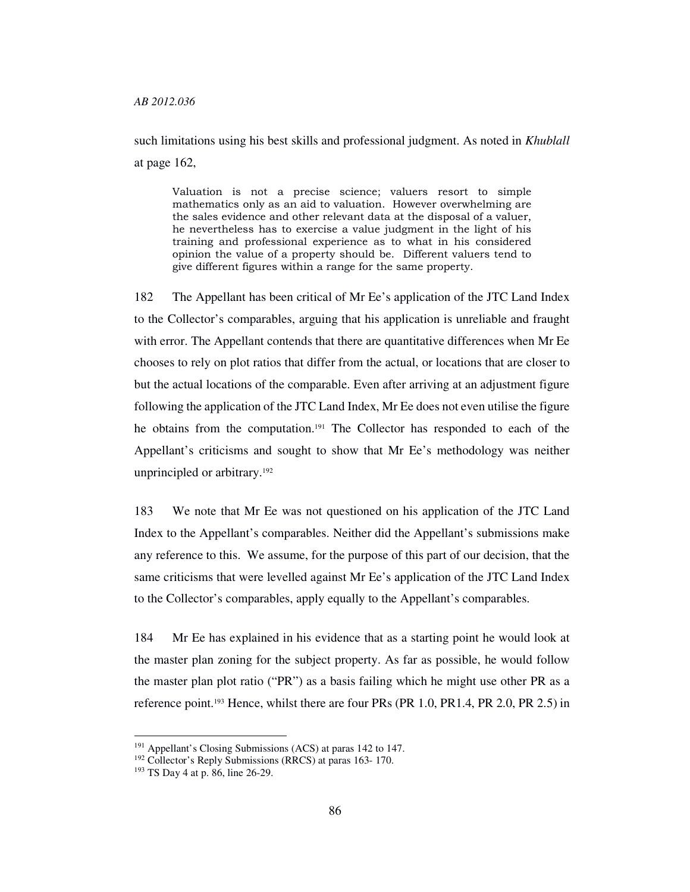such limitations using his best skills and professional judgment. As noted in *Khublall*  at page 162,

Valuation is not a precise science; valuers resort to simple mathematics only as an aid to valuation. However overwhelming are the sales evidence and other relevant data at the disposal of a valuer, he nevertheless has to exercise a value judgment in the light of his training and professional experience as to what in his considered opinion the value of a property should be. Different valuers tend to give different figures within a range for the same property.

182 The Appellant has been critical of Mr Ee's application of the JTC Land Index to the Collector's comparables, arguing that his application is unreliable and fraught with error. The Appellant contends that there are quantitative differences when Mr Ee chooses to rely on plot ratios that differ from the actual, or locations that are closer to but the actual locations of the comparable. Even after arriving at an adjustment figure following the application of the JTC Land Index, Mr Ee does not even utilise the figure he obtains from the computation.191 The Collector has responded to each of the Appellant's criticisms and sought to show that Mr Ee's methodology was neither unprincipled or arbitrary.<sup>192</sup>

183 We note that Mr Ee was not questioned on his application of the JTC Land Index to the Appellant's comparables. Neither did the Appellant's submissions make any reference to this. We assume, for the purpose of this part of our decision, that the same criticisms that were levelled against Mr Ee's application of the JTC Land Index to the Collector's comparables, apply equally to the Appellant's comparables.

184 Mr Ee has explained in his evidence that as a starting point he would look at the master plan zoning for the subject property. As far as possible, he would follow the master plan plot ratio ("PR") as a basis failing which he might use other PR as a reference point.193 Hence, whilst there are four PRs (PR 1.0, PR1.4, PR 2.0, PR 2.5) in

<sup>&</sup>lt;sup>191</sup> Appellant's Closing Submissions (ACS) at paras 142 to 147.

<sup>192</sup> Collector's Reply Submissions (RRCS) at paras 163- 170.

<sup>193</sup> TS Day 4 at p. 86, line 26-29.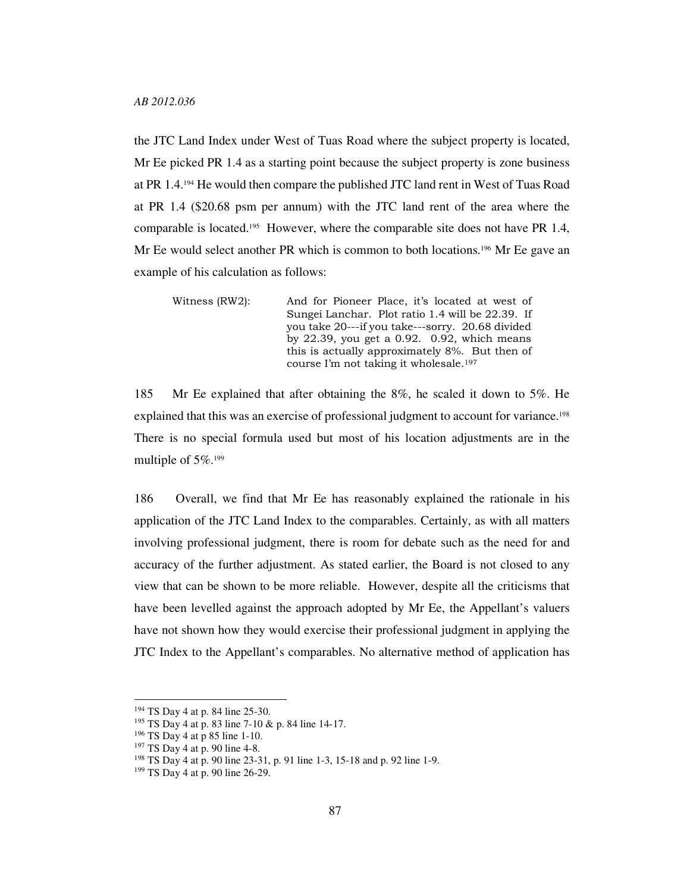the JTC Land Index under West of Tuas Road where the subject property is located, Mr Ee picked PR 1.4 as a starting point because the subject property is zone business at PR 1.4.194 He would then compare the published JTC land rent in West of Tuas Road at PR 1.4 (\$20.68 psm per annum) with the JTC land rent of the area where the comparable is located.195 However, where the comparable site does not have PR 1.4, Mr Ee would select another PR which is common to both locations.196 Mr Ee gave an example of his calculation as follows:

Witness (RW2): And for Pioneer Place, it's located at west of Sungei Lanchar. Plot ratio 1.4 will be 22.39. If you take 20---if you take---sorry. 20.68 divided by 22.39, you get a 0.92. 0.92, which means this is actually approximately 8%. But then of course I'm not taking it wholesale.<sup>197</sup>

185 Mr Ee explained that after obtaining the 8%, he scaled it down to 5%. He explained that this was an exercise of professional judgment to account for variance.<sup>198</sup> There is no special formula used but most of his location adjustments are in the multiple of 5%.<sup>199</sup>

186 Overall, we find that Mr Ee has reasonably explained the rationale in his application of the JTC Land Index to the comparables. Certainly, as with all matters involving professional judgment, there is room for debate such as the need for and accuracy of the further adjustment. As stated earlier, the Board is not closed to any view that can be shown to be more reliable. However, despite all the criticisms that have been levelled against the approach adopted by Mr Ee, the Appellant's valuers have not shown how they would exercise their professional judgment in applying the JTC Index to the Appellant's comparables. No alternative method of application has

<sup>194</sup> TS Day 4 at p. 84 line 25-30.

<sup>195</sup> TS Day 4 at p. 83 line 7-10 & p. 84 line 14-17.

<sup>196</sup> TS Day 4 at p 85 line 1-10.

<sup>197</sup> TS Day 4 at p. 90 line 4-8.

<sup>198</sup> TS Day 4 at p. 90 line 23-31, p. 91 line 1-3, 15-18 and p. 92 line 1-9.

<sup>199</sup> TS Day 4 at p. 90 line 26-29.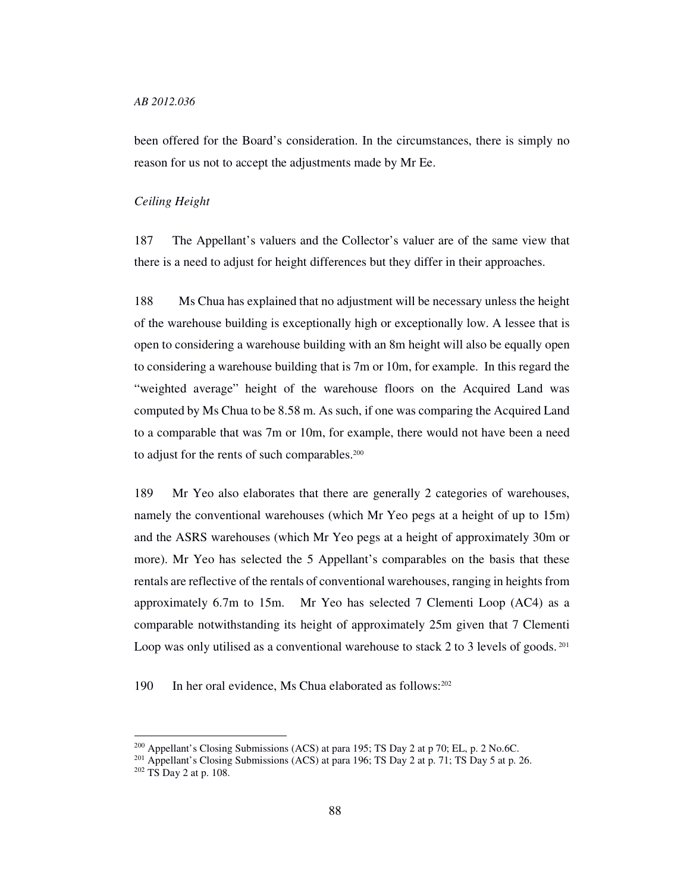been offered for the Board's consideration. In the circumstances, there is simply no reason for us not to accept the adjustments made by Mr Ee.

#### *Ceiling Height*

187 The Appellant's valuers and the Collector's valuer are of the same view that there is a need to adjust for height differences but they differ in their approaches.

188 Ms Chua has explained that no adjustment will be necessary unless the height of the warehouse building is exceptionally high or exceptionally low. A lessee that is open to considering a warehouse building with an 8m height will also be equally open to considering a warehouse building that is 7m or 10m, for example. In this regard the "weighted average" height of the warehouse floors on the Acquired Land was computed by Ms Chua to be 8.58 m. As such, if one was comparing the Acquired Land to a comparable that was 7m or 10m, for example, there would not have been a need to adjust for the rents of such comparables.<sup>200</sup>

189 Mr Yeo also elaborates that there are generally 2 categories of warehouses, namely the conventional warehouses (which Mr Yeo pegs at a height of up to 15m) and the ASRS warehouses (which Mr Yeo pegs at a height of approximately 30m or more). Mr Yeo has selected the 5 Appellant's comparables on the basis that these rentals are reflective of the rentals of conventional warehouses, ranging in heights from approximately 6.7m to 15m. Mr Yeo has selected 7 Clementi Loop (AC4) as a comparable notwithstanding its height of approximately 25m given that 7 Clementi Loop was only utilised as a conventional warehouse to stack 2 to 3 levels of goods.<sup>201</sup>

190 In her oral evidence, Ms Chua elaborated as follows: 202

<sup>&</sup>lt;sup>200</sup> Appellant's Closing Submissions (ACS) at para 195; TS Day 2 at p 70; EL, p. 2 No.6C.

<sup>&</sup>lt;sup>201</sup> Appellant's Closing Submissions (ACS) at para 196; TS Day 2 at p. 71; TS Day 5 at p. 26.

<sup>202</sup> TS Day 2 at p. 108.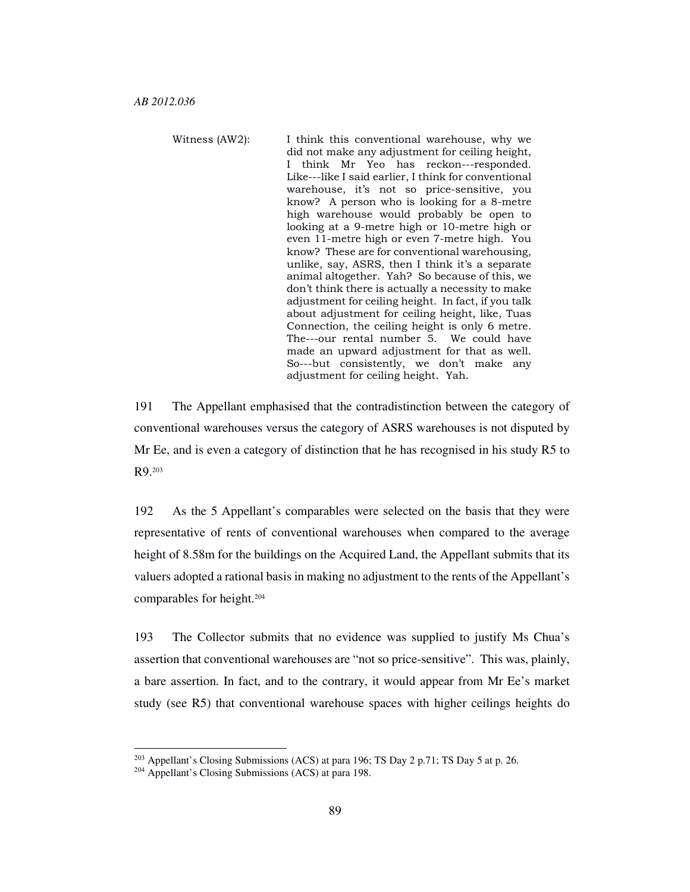Witness (AW2): I think this conventional warehouse, why we did not make any adjustment for ceiling height, I think Mr Yeo has reckon---responded. Like---like I said earlier, I think for conventional warehouse, it's not so price-sensitive, you know? A person who is looking for a 8-metre high warehouse would probably be open to looking at a 9-metre high or 10-metre high or even 11-metre high or even 7-metre high. You know? These are for conventional warehousing, unlike, say, ASRS, then I think it's a separate animal altogether. Yah? So because of this, we don't think there is actually a necessity to make adjustment for ceiling height. In fact, if you talk about adjustment for ceiling height, like, Tuas Connection, the ceiling height is only 6 metre. The---our rental number 5. We could have made an upward adjustment for that as well. So---but consistently, we don't make any adjustment for ceiling height. Yah.

191 The Appellant emphasised that the contradistinction between the category of conventional warehouses versus the category of ASRS warehouses is not disputed by Mr Ee, and is even a category of distinction that he has recognised in his study R5 to R9.<sup>203</sup>

192 As the 5 Appellant's comparables were selected on the basis that they were representative of rents of conventional warehouses when compared to the average height of 8.58m for the buildings on the Acquired Land, the Appellant submits that its valuers adopted a rational basis in making no adjustment to the rents of the Appellant's comparables for height.<sup>204</sup>

193 The Collector submits that no evidence was supplied to justify Ms Chua's assertion that conventional warehouses are "not so price-sensitive". This was, plainly, a bare assertion. In fact, and to the contrary, it would appear from Mr Ee's market study (see R5) that conventional warehouse spaces with higher ceilings heights do

 $203$  Appellant's Closing Submissions (ACS) at para 196; TS Day 2 p.71; TS Day 5 at p. 26.

<sup>204</sup> Appellant's Closing Submissions (ACS) at para 198.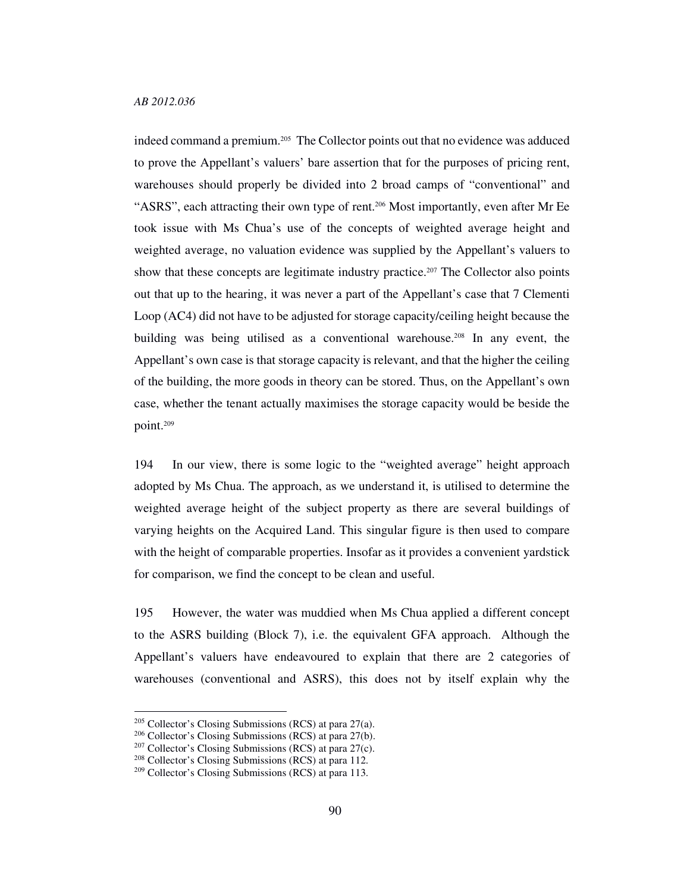indeed command a premium.205 The Collector points out that no evidence was adduced to prove the Appellant's valuers' bare assertion that for the purposes of pricing rent, warehouses should properly be divided into 2 broad camps of "conventional" and "ASRS", each attracting their own type of rent.206 Most importantly, even after Mr Ee took issue with Ms Chua's use of the concepts of weighted average height and weighted average, no valuation evidence was supplied by the Appellant's valuers to show that these concepts are legitimate industry practice.<sup>207</sup> The Collector also points out that up to the hearing, it was never a part of the Appellant's case that 7 Clementi Loop (AC4) did not have to be adjusted for storage capacity/ceiling height because the building was being utilised as a conventional warehouse.208 In any event, the Appellant's own case is that storage capacity is relevant, and that the higher the ceiling of the building, the more goods in theory can be stored. Thus, on the Appellant's own case, whether the tenant actually maximises the storage capacity would be beside the point.<sup>209</sup>

194 In our view, there is some logic to the "weighted average" height approach adopted by Ms Chua. The approach, as we understand it, is utilised to determine the weighted average height of the subject property as there are several buildings of varying heights on the Acquired Land. This singular figure is then used to compare with the height of comparable properties. Insofar as it provides a convenient yardstick for comparison, we find the concept to be clean and useful.

195 However, the water was muddied when Ms Chua applied a different concept to the ASRS building (Block 7), i.e. the equivalent GFA approach. Although the Appellant's valuers have endeavoured to explain that there are 2 categories of warehouses (conventional and ASRS), this does not by itself explain why the

<sup>205</sup> Collector's Closing Submissions (RCS) at para 27(a).

<sup>206</sup> Collector's Closing Submissions (RCS) at para 27(b).

 $207$  Collector's Closing Submissions (RCS) at para 27(c).

<sup>208</sup> Collector's Closing Submissions (RCS) at para 112.

<sup>209</sup> Collector's Closing Submissions (RCS) at para 113.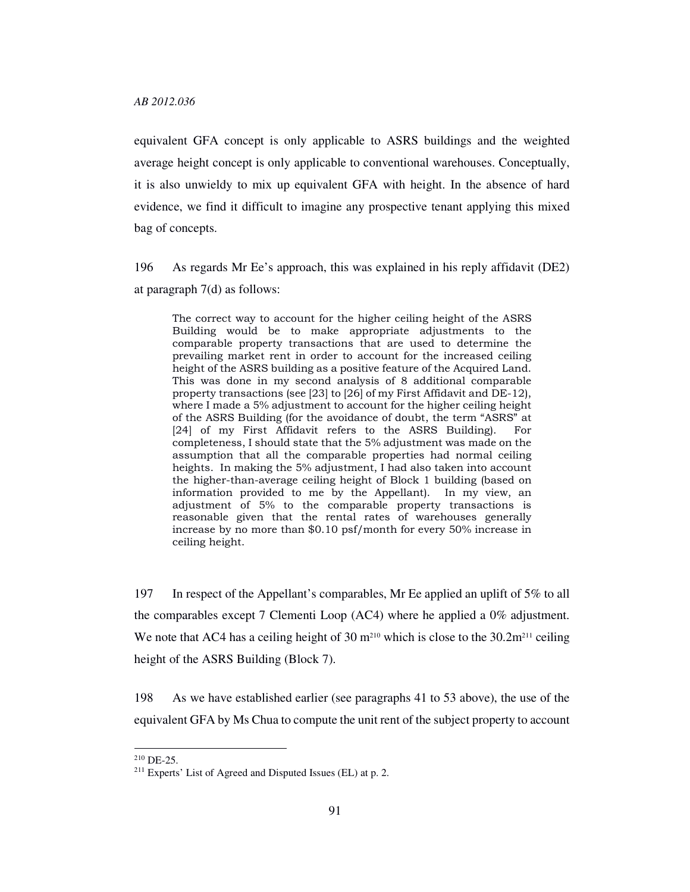equivalent GFA concept is only applicable to ASRS buildings and the weighted average height concept is only applicable to conventional warehouses. Conceptually, it is also unwieldy to mix up equivalent GFA with height. In the absence of hard evidence, we find it difficult to imagine any prospective tenant applying this mixed bag of concepts.

196 As regards Mr Ee's approach, this was explained in his reply affidavit (DE2) at paragraph 7(d) as follows:

The correct way to account for the higher ceiling height of the ASRS Building would be to make appropriate adjustments to the comparable property transactions that are used to determine the prevailing market rent in order to account for the increased ceiling height of the ASRS building as a positive feature of the Acquired Land. This was done in my second analysis of 8 additional comparable property transactions (see [23] to [26] of my First Affidavit and DE-12), where I made a 5% adjustment to account for the higher ceiling height of the ASRS Building (for the avoidance of doubt, the term "ASRS" at [24] of my First Affidavit refers to the ASRS Building). For completeness, I should state that the 5% adjustment was made on the assumption that all the comparable properties had normal ceiling heights. In making the 5% adjustment, I had also taken into account the higher-than-average ceiling height of Block 1 building (based on information provided to me by the Appellant). In my view, an adjustment of 5% to the comparable property transactions is reasonable given that the rental rates of warehouses generally increase by no more than \$0.10 psf/month for every 50% increase in ceiling height.

197 In respect of the Appellant's comparables, Mr Ee applied an uplift of 5% to all the comparables except 7 Clementi Loop (AC4) where he applied a 0% adjustment. We note that AC4 has a ceiling height of 30  $m<sup>210</sup>$  which is close to the 30.2 $m<sup>211</sup>$  ceiling height of the ASRS Building (Block 7).

198 As we have established earlier (see paragraphs 41 to 53 above), the use of the equivalent GFA by Ms Chua to compute the unit rent of the subject property to account

 $210$  DE-25.

<sup>211</sup> Experts' List of Agreed and Disputed Issues (EL) at p. 2.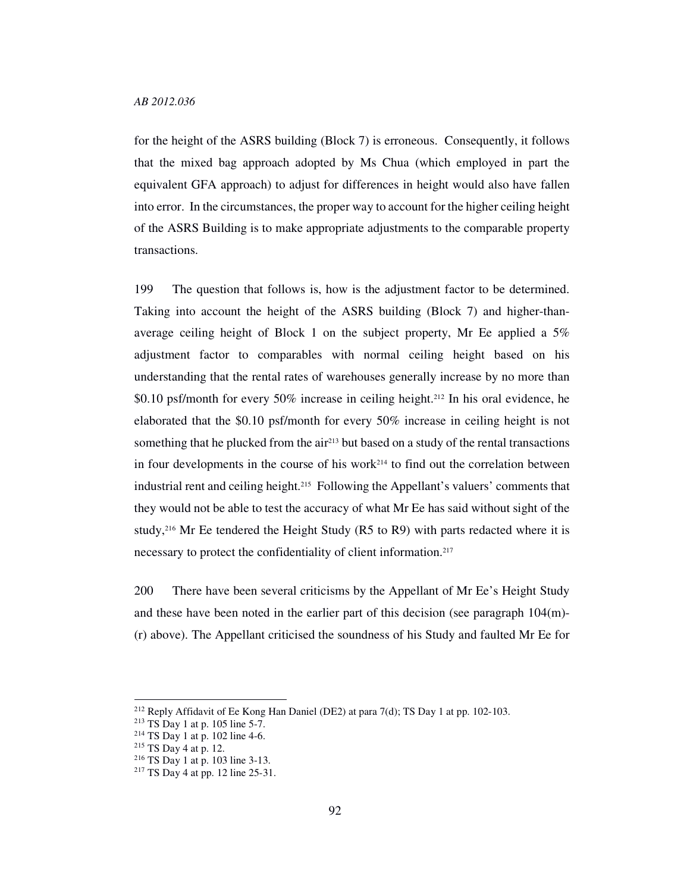for the height of the ASRS building (Block 7) is erroneous. Consequently, it follows that the mixed bag approach adopted by Ms Chua (which employed in part the equivalent GFA approach) to adjust for differences in height would also have fallen into error. In the circumstances, the proper way to account for the higher ceiling height of the ASRS Building is to make appropriate adjustments to the comparable property transactions.

199 The question that follows is, how is the adjustment factor to be determined. Taking into account the height of the ASRS building (Block 7) and higher-thanaverage ceiling height of Block 1 on the subject property, Mr Ee applied a 5% adjustment factor to comparables with normal ceiling height based on his understanding that the rental rates of warehouses generally increase by no more than \$0.10 psf/month for every 50% increase in ceiling height.212 In his oral evidence, he elaborated that the \$0.10 psf/month for every 50% increase in ceiling height is not something that he plucked from the  $air^{213}$  but based on a study of the rental transactions in four developments in the course of his work<sup>214</sup> to find out the correlation between industrial rent and ceiling height.215 Following the Appellant's valuers' comments that they would not be able to test the accuracy of what Mr Ee has said without sight of the study,<sup>216</sup> Mr Ee tendered the Height Study (R5 to R9) with parts redacted where it is necessary to protect the confidentiality of client information.<sup>217</sup>

200 There have been several criticisms by the Appellant of Mr Ee's Height Study and these have been noted in the earlier part of this decision (see paragraph  $104(m)$ -(r) above). The Appellant criticised the soundness of his Study and faulted Mr Ee for

<sup>212</sup> Reply Affidavit of Ee Kong Han Daniel (DE2) at para 7(d); TS Day 1 at pp. 102-103.

 $213$  TS Day 1 at p. 105 line 5-7.

 $214$  TS Day 1 at p. 102 line 4-6.

<sup>215</sup> TS Day 4 at p. 12.

<sup>216</sup> TS Day 1 at p. 103 line 3-13.

<sup>217</sup> TS Day 4 at pp. 12 line 25-31.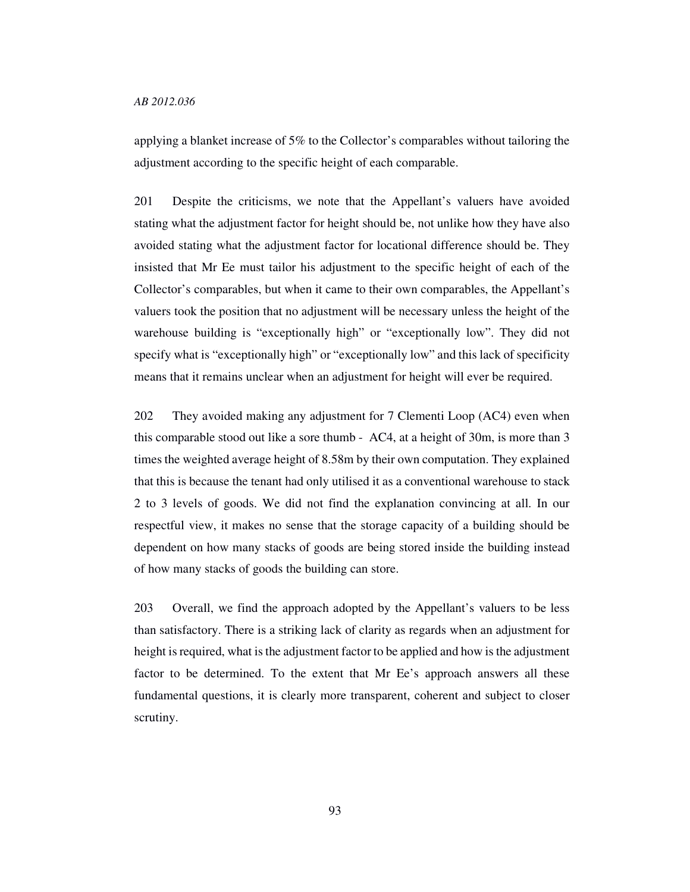applying a blanket increase of 5% to the Collector's comparables without tailoring the adjustment according to the specific height of each comparable.

201 Despite the criticisms, we note that the Appellant's valuers have avoided stating what the adjustment factor for height should be, not unlike how they have also avoided stating what the adjustment factor for locational difference should be. They insisted that Mr Ee must tailor his adjustment to the specific height of each of the Collector's comparables, but when it came to their own comparables, the Appellant's valuers took the position that no adjustment will be necessary unless the height of the warehouse building is "exceptionally high" or "exceptionally low". They did not specify what is "exceptionally high" or "exceptionally low" and this lack of specificity means that it remains unclear when an adjustment for height will ever be required.

202 They avoided making any adjustment for 7 Clementi Loop (AC4) even when this comparable stood out like a sore thumb - AC4, at a height of 30m, is more than 3 times the weighted average height of 8.58m by their own computation. They explained that this is because the tenant had only utilised it as a conventional warehouse to stack 2 to 3 levels of goods. We did not find the explanation convincing at all. In our respectful view, it makes no sense that the storage capacity of a building should be dependent on how many stacks of goods are being stored inside the building instead of how many stacks of goods the building can store.

203 Overall, we find the approach adopted by the Appellant's valuers to be less than satisfactory. There is a striking lack of clarity as regards when an adjustment for height is required, what is the adjustment factor to be applied and how is the adjustment factor to be determined. To the extent that Mr Ee's approach answers all these fundamental questions, it is clearly more transparent, coherent and subject to closer scrutiny.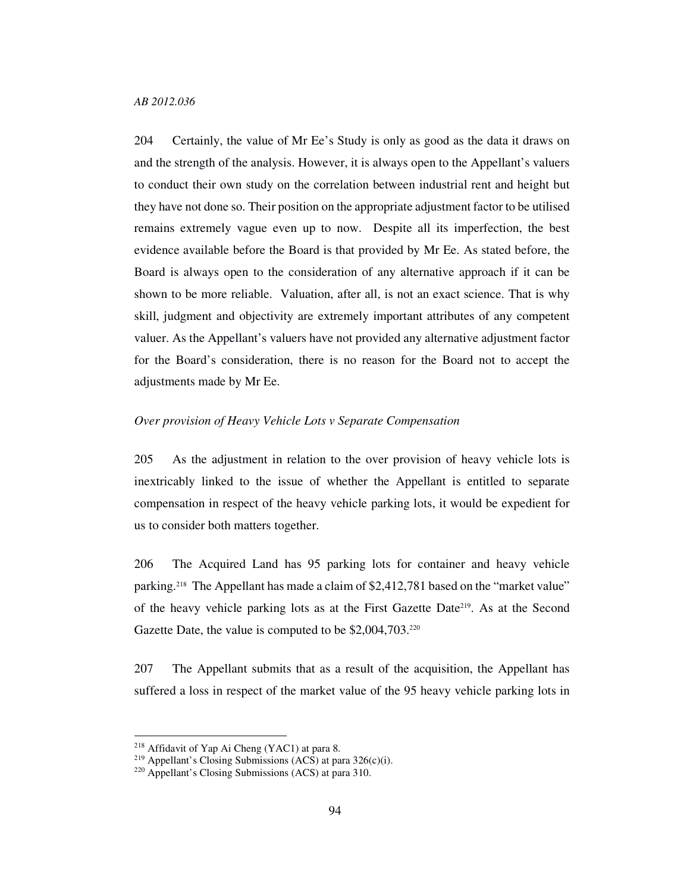204 Certainly, the value of Mr Ee's Study is only as good as the data it draws on and the strength of the analysis. However, it is always open to the Appellant's valuers to conduct their own study on the correlation between industrial rent and height but they have not done so. Their position on the appropriate adjustment factor to be utilised remains extremely vague even up to now. Despite all its imperfection, the best evidence available before the Board is that provided by Mr Ee. As stated before, the Board is always open to the consideration of any alternative approach if it can be shown to be more reliable. Valuation, after all, is not an exact science. That is why skill, judgment and objectivity are extremely important attributes of any competent valuer. As the Appellant's valuers have not provided any alternative adjustment factor for the Board's consideration, there is no reason for the Board not to accept the adjustments made by Mr Ee.

# *Over provision of Heavy Vehicle Lots v Separate Compensation*

205 As the adjustment in relation to the over provision of heavy vehicle lots is inextricably linked to the issue of whether the Appellant is entitled to separate compensation in respect of the heavy vehicle parking lots, it would be expedient for us to consider both matters together.

206 The Acquired Land has 95 parking lots for container and heavy vehicle parking.218 The Appellant has made a claim of \$2,412,781 based on the "market value" of the heavy vehicle parking lots as at the First Gazette Date219. As at the Second Gazette Date, the value is computed to be \$2,004,703.<sup>220</sup>

207 The Appellant submits that as a result of the acquisition, the Appellant has suffered a loss in respect of the market value of the 95 heavy vehicle parking lots in

<sup>218</sup> Affidavit of Yap Ai Cheng (YAC1) at para 8.

<sup>&</sup>lt;sup>219</sup> Appellant's Closing Submissions (ACS) at para  $326(c)(i)$ .

<sup>220</sup> Appellant's Closing Submissions (ACS) at para 310.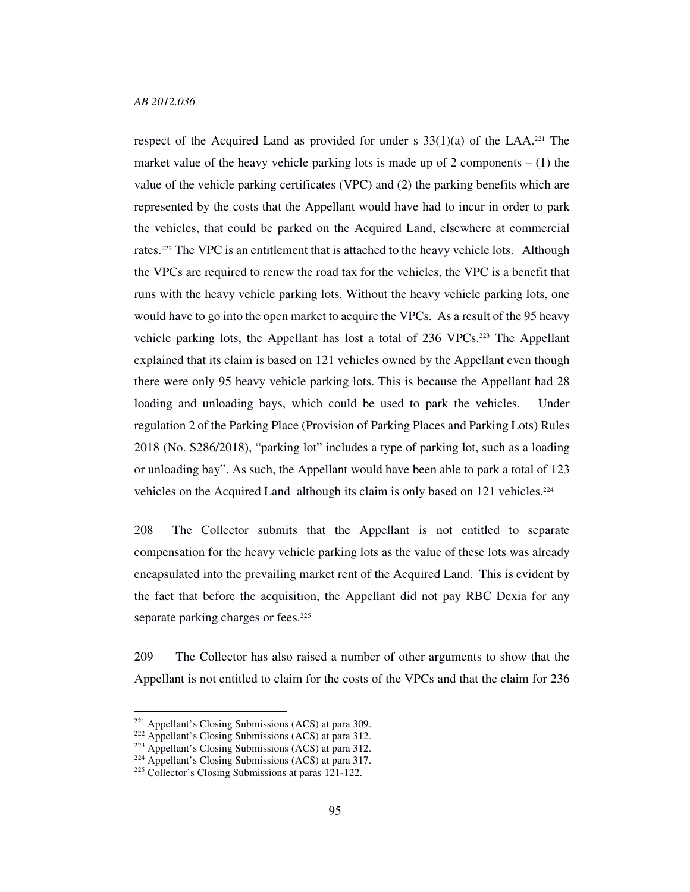respect of the Acquired Land as provided for under s  $33(1)(a)$  of the LAA.<sup>221</sup> The market value of the heavy vehicle parking lots is made up of 2 components  $- (1)$  the value of the vehicle parking certificates (VPC) and (2) the parking benefits which are represented by the costs that the Appellant would have had to incur in order to park the vehicles, that could be parked on the Acquired Land, elsewhere at commercial rates.222 The VPC is an entitlement that is attached to the heavy vehicle lots. Although the VPCs are required to renew the road tax for the vehicles, the VPC is a benefit that runs with the heavy vehicle parking lots. Without the heavy vehicle parking lots, one would have to go into the open market to acquire the VPCs. As a result of the 95 heavy vehicle parking lots, the Appellant has lost a total of 236 VPCs.223 The Appellant explained that its claim is based on 121 vehicles owned by the Appellant even though there were only 95 heavy vehicle parking lots. This is because the Appellant had 28 loading and unloading bays, which could be used to park the vehicles. Under regulation 2 of the Parking Place (Provision of Parking Places and Parking Lots) Rules 2018 (No. S286/2018), "parking lot" includes a type of parking lot, such as a loading or unloading bay". As such, the Appellant would have been able to park a total of 123 vehicles on the Acquired Land although its claim is only based on 121 vehicles.<sup>224</sup>

208 The Collector submits that the Appellant is not entitled to separate compensation for the heavy vehicle parking lots as the value of these lots was already encapsulated into the prevailing market rent of the Acquired Land. This is evident by the fact that before the acquisition, the Appellant did not pay RBC Dexia for any separate parking charges or fees.<sup>225</sup>

209 The Collector has also raised a number of other arguments to show that the Appellant is not entitled to claim for the costs of the VPCs and that the claim for 236

<sup>221</sup> Appellant's Closing Submissions (ACS) at para 309.

<sup>222</sup> Appellant's Closing Submissions (ACS) at para 312.

<sup>223</sup> Appellant's Closing Submissions (ACS) at para 312.

<sup>224</sup> Appellant's Closing Submissions (ACS) at para 317.

<sup>&</sup>lt;sup>225</sup> Collector's Closing Submissions at paras 121-122.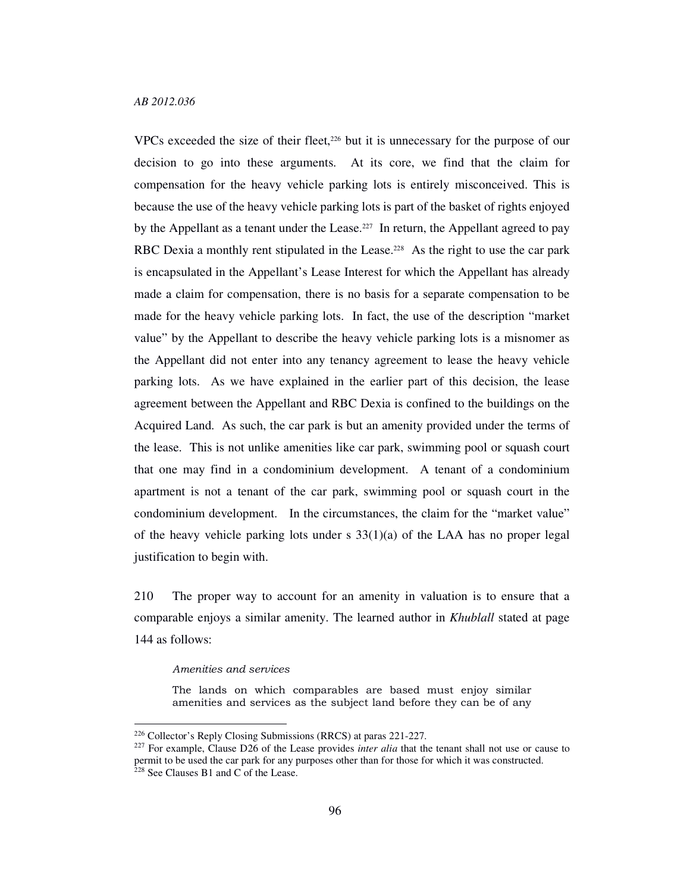VPCs exceeded the size of their fleet,<sup>226</sup> but it is unnecessary for the purpose of our decision to go into these arguments. At its core, we find that the claim for compensation for the heavy vehicle parking lots is entirely misconceived. This is because the use of the heavy vehicle parking lots is part of the basket of rights enjoyed by the Appellant as a tenant under the Lease.<sup>227</sup> In return, the Appellant agreed to pay RBC Dexia a monthly rent stipulated in the Lease.<sup>228</sup> As the right to use the car park is encapsulated in the Appellant's Lease Interest for which the Appellant has already made a claim for compensation, there is no basis for a separate compensation to be made for the heavy vehicle parking lots. In fact, the use of the description "market value" by the Appellant to describe the heavy vehicle parking lots is a misnomer as the Appellant did not enter into any tenancy agreement to lease the heavy vehicle parking lots. As we have explained in the earlier part of this decision, the lease agreement between the Appellant and RBC Dexia is confined to the buildings on the Acquired Land. As such, the car park is but an amenity provided under the terms of the lease. This is not unlike amenities like car park, swimming pool or squash court that one may find in a condominium development. A tenant of a condominium apartment is not a tenant of the car park, swimming pool or squash court in the condominium development. In the circumstances, the claim for the "market value" of the heavy vehicle parking lots under  $s$  33(1)(a) of the LAA has no proper legal justification to begin with.

210 The proper way to account for an amenity in valuation is to ensure that a comparable enjoys a similar amenity. The learned author in *Khublall* stated at page 144 as follows:

#### Amenities and services

-

The lands on which comparables are based must enjoy similar amenities and services as the subject land before they can be of any

<sup>226</sup> Collector's Reply Closing Submissions (RRCS) at paras 221-227.

<sup>&</sup>lt;sup>227</sup> For example, Clause D26 of the Lease provides *inter alia* that the tenant shall not use or cause to permit to be used the car park for any purposes other than for those for which it was constructed.  $228$  See Clauses B1 and C of the Lease.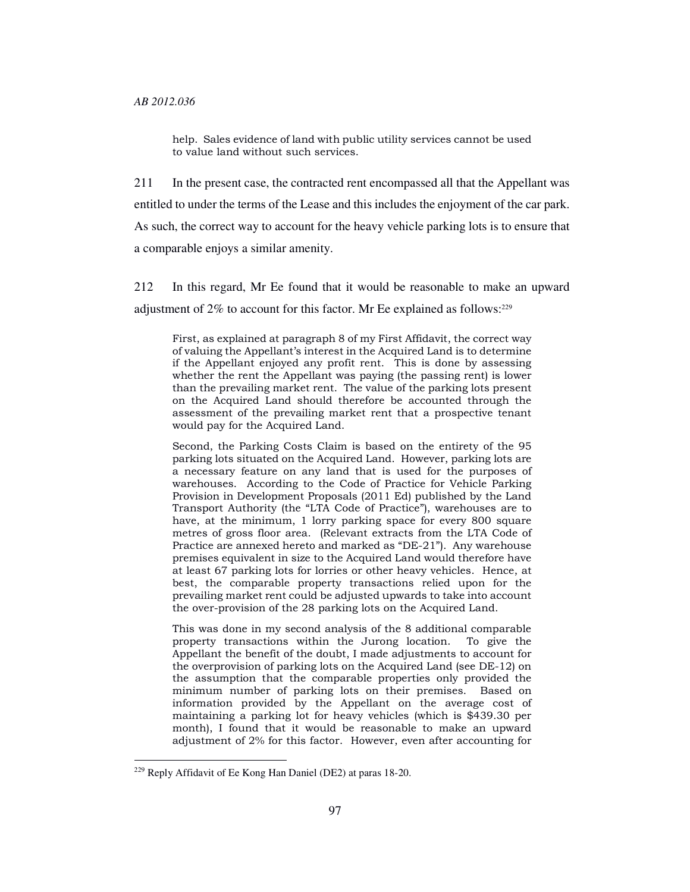help. Sales evidence of land with public utility services cannot be used to value land without such services.

211 In the present case, the contracted rent encompassed all that the Appellant was entitled to under the terms of the Lease and this includes the enjoyment of the car park. As such, the correct way to account for the heavy vehicle parking lots is to ensure that a comparable enjoys a similar amenity.

212 In this regard, Mr Ee found that it would be reasonable to make an upward adjustment of 2% to account for this factor. Mr Ee explained as follows:<sup>229</sup>

First, as explained at paragraph 8 of my First Affidavit, the correct way of valuing the Appellant's interest in the Acquired Land is to determine if the Appellant enjoyed any profit rent. This is done by assessing whether the rent the Appellant was paying (the passing rent) is lower than the prevailing market rent. The value of the parking lots present on the Acquired Land should therefore be accounted through the assessment of the prevailing market rent that a prospective tenant would pay for the Acquired Land.

Second, the Parking Costs Claim is based on the entirety of the 95 parking lots situated on the Acquired Land. However, parking lots are a necessary feature on any land that is used for the purposes of warehouses. According to the Code of Practice for Vehicle Parking Provision in Development Proposals (2011 Ed) published by the Land Transport Authority (the "LTA Code of Practice"), warehouses are to have, at the minimum, 1 lorry parking space for every 800 square metres of gross floor area. (Relevant extracts from the LTA Code of Practice are annexed hereto and marked as "DE-21"). Any warehouse premises equivalent in size to the Acquired Land would therefore have at least 67 parking lots for lorries or other heavy vehicles. Hence, at best, the comparable property transactions relied upon for the prevailing market rent could be adjusted upwards to take into account the over-provision of the 28 parking lots on the Acquired Land.

This was done in my second analysis of the 8 additional comparable property transactions within the Jurong location. To give the Appellant the benefit of the doubt, I made adjustments to account for the overprovision of parking lots on the Acquired Land (see DE-12) on the assumption that the comparable properties only provided the minimum number of parking lots on their premises. Based on information provided by the Appellant on the average cost of maintaining a parking lot for heavy vehicles (which is \$439.30 per month), I found that it would be reasonable to make an upward adjustment of 2% for this factor. However, even after accounting for

<sup>229</sup> Reply Affidavit of Ee Kong Han Daniel (DE2) at paras 18-20.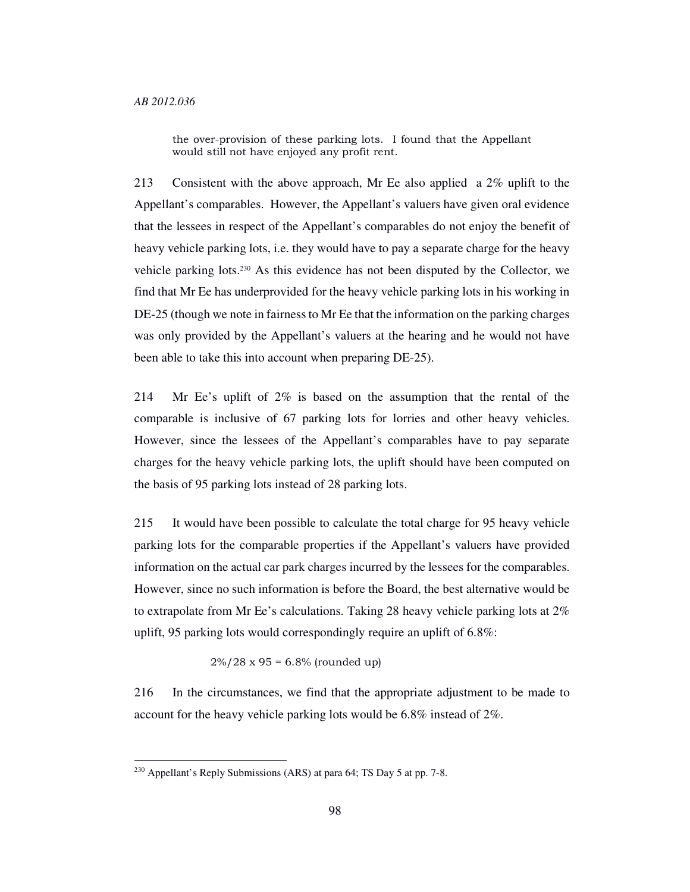the over-provision of these parking lots. I found that the Appellant would still not have enjoyed any profit rent.

213 Consistent with the above approach, Mr Ee also applied a 2% uplift to the Appellant's comparables. However, the Appellant's valuers have given oral evidence that the lessees in respect of the Appellant's comparables do not enjoy the benefit of heavy vehicle parking lots, i.e. they would have to pay a separate charge for the heavy vehicle parking lots.230 As this evidence has not been disputed by the Collector, we find that Mr Ee has underprovided for the heavy vehicle parking lots in his working in DE-25 (though we note in fairness to Mr Ee that the information on the parking charges was only provided by the Appellant's valuers at the hearing and he would not have been able to take this into account when preparing DE-25).

214 Mr Ee's uplift of 2% is based on the assumption that the rental of the comparable is inclusive of 67 parking lots for lorries and other heavy vehicles. However, since the lessees of the Appellant's comparables have to pay separate charges for the heavy vehicle parking lots, the uplift should have been computed on the basis of 95 parking lots instead of 28 parking lots.

215 It would have been possible to calculate the total charge for 95 heavy vehicle parking lots for the comparable properties if the Appellant's valuers have provided information on the actual car park charges incurred by the lessees for the comparables. However, since no such information is before the Board, the best alternative would be to extrapolate from Mr Ee's calculations. Taking 28 heavy vehicle parking lots at 2% uplift, 95 parking lots would correspondingly require an uplift of 6.8%:

 $2\%/28 \times 95 = 6.8\%$  (rounded up)

216 In the circumstances, we find that the appropriate adjustment to be made to account for the heavy vehicle parking lots would be 6.8% instead of 2%.

<sup>230</sup> Appellant's Reply Submissions (ARS) at para 64; TS Day 5 at pp. 7-8.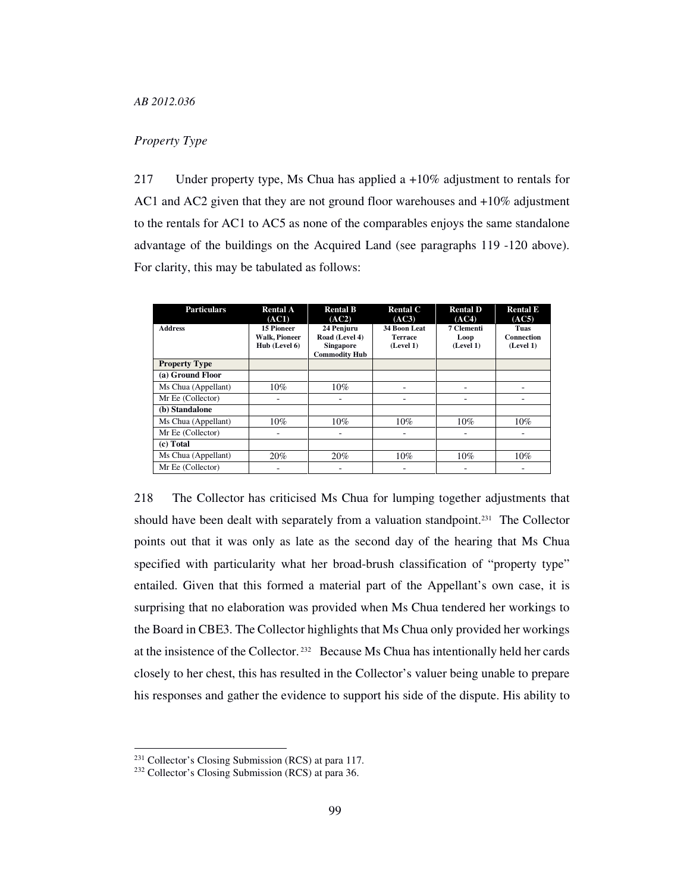# *Property Type*

217 Under property type, Ms Chua has applied a +10% adjustment to rentals for AC1 and AC2 given that they are not ground floor warehouses and +10% adjustment to the rentals for AC1 to AC5 as none of the comparables enjoys the same standalone advantage of the buildings on the Acquired Land (see paragraphs 119 -120 above). For clarity, this may be tabulated as follows:

| <b>Particulars</b>   | <b>Rental A</b><br>(AC1)                                   | <b>Rental B</b><br>(AC2)                                                 | <b>Rental C</b><br>(AC3)                    | <b>Rental D</b><br>(AC4)        | <b>Rental E</b><br>(AC5)        |
|----------------------|------------------------------------------------------------|--------------------------------------------------------------------------|---------------------------------------------|---------------------------------|---------------------------------|
| <b>Address</b>       | <b>15 Pioneer</b><br><b>Walk, Pioneer</b><br>Hub (Level 6) | 24 Penjuru<br>Road (Level 4)<br><b>Singapore</b><br><b>Commodity Hub</b> | 34 Boon Leat<br><b>Terrace</b><br>(Level 1) | 7 Clementi<br>Loop<br>(Level 1) | Tuas<br>Connection<br>(Level 1) |
| <b>Property Type</b> |                                                            |                                                                          |                                             |                                 |                                 |
| (a) Ground Floor     |                                                            |                                                                          |                                             |                                 |                                 |
| Ms Chua (Appellant)  | $10\%$                                                     | 10%                                                                      |                                             |                                 |                                 |
| Mr Ee (Collector)    | -                                                          |                                                                          |                                             | ۰                               |                                 |
| (b) Standalone       |                                                            |                                                                          |                                             |                                 |                                 |
| Ms Chua (Appellant)  | $10\%$                                                     | 10%                                                                      | $10\%$                                      | $10\%$                          | 10%                             |
| Mr Ee (Collector)    |                                                            |                                                                          |                                             |                                 | ۰                               |
| (c) Total            |                                                            |                                                                          |                                             |                                 |                                 |
| Ms Chua (Appellant)  | 20%                                                        | 20%                                                                      | $10\%$                                      | $10\%$                          | 10%                             |
| Mr Ee (Collector)    |                                                            |                                                                          |                                             |                                 |                                 |

218 The Collector has criticised Ms Chua for lumping together adjustments that should have been dealt with separately from a valuation standpoint.231 The Collector points out that it was only as late as the second day of the hearing that Ms Chua specified with particularity what her broad-brush classification of "property type" entailed. Given that this formed a material part of the Appellant's own case, it is surprising that no elaboration was provided when Ms Chua tendered her workings to the Board in CBE3. The Collector highlights that Ms Chua only provided her workings at the insistence of the Collector.  $232$  Because Ms Chua has intentionally held her cards closely to her chest, this has resulted in the Collector's valuer being unable to prepare his responses and gather the evidence to support his side of the dispute. His ability to

<sup>231</sup> Collector's Closing Submission (RCS) at para 117.

<sup>232</sup> Collector's Closing Submission (RCS) at para 36.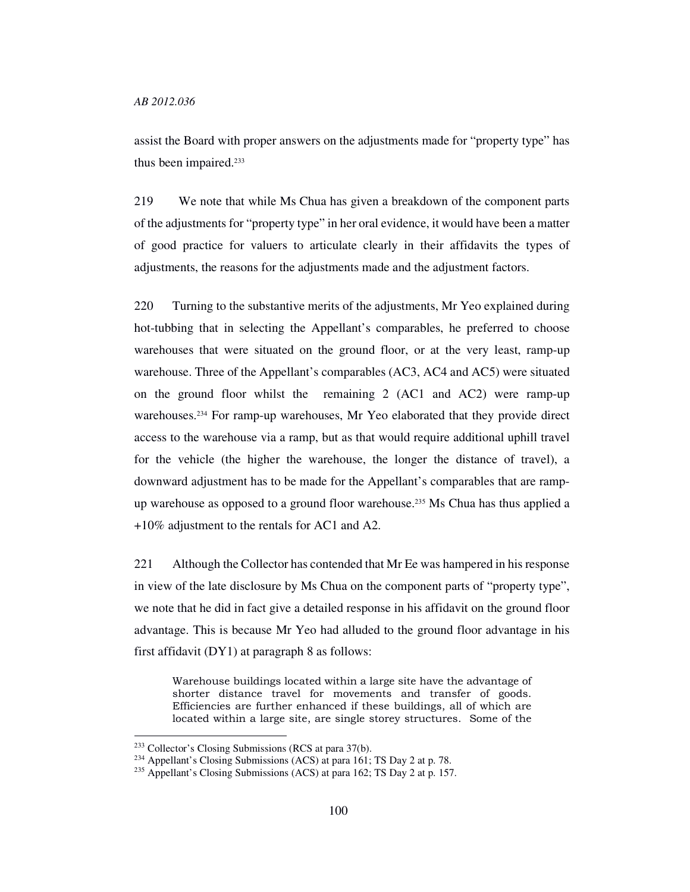assist the Board with proper answers on the adjustments made for "property type" has thus been impaired.<sup>233</sup>

219 We note that while Ms Chua has given a breakdown of the component parts of the adjustments for "property type" in her oral evidence, it would have been a matter of good practice for valuers to articulate clearly in their affidavits the types of adjustments, the reasons for the adjustments made and the adjustment factors.

220 Turning to the substantive merits of the adjustments, Mr Yeo explained during hot-tubbing that in selecting the Appellant's comparables, he preferred to choose warehouses that were situated on the ground floor, or at the very least, ramp-up warehouse. Three of the Appellant's comparables (AC3, AC4 and AC5) were situated on the ground floor whilst the remaining 2 (AC1 and AC2) were ramp-up warehouses.234 For ramp-up warehouses, Mr Yeo elaborated that they provide direct access to the warehouse via a ramp, but as that would require additional uphill travel for the vehicle (the higher the warehouse, the longer the distance of travel), a downward adjustment has to be made for the Appellant's comparables that are rampup warehouse as opposed to a ground floor warehouse. <sup>235</sup> Ms Chua has thus applied a +10% adjustment to the rentals for AC1 and A2.

221 Although the Collector has contended that Mr Ee was hampered in his response in view of the late disclosure by Ms Chua on the component parts of "property type", we note that he did in fact give a detailed response in his affidavit on the ground floor advantage. This is because Mr Yeo had alluded to the ground floor advantage in his first affidavit (DY1) at paragraph 8 as follows:

Warehouse buildings located within a large site have the advantage of shorter distance travel for movements and transfer of goods. Efficiencies are further enhanced if these buildings, all of which are located within a large site, are single storey structures. Some of the

<sup>233</sup> Collector's Closing Submissions (RCS at para 37(b).

<sup>&</sup>lt;sup>234</sup> Appellant's Closing Submissions (ACS) at para 161; TS Day 2 at p. 78.

<sup>&</sup>lt;sup>235</sup> Appellant's Closing Submissions (ACS) at para 162; TS Day 2 at p. 157.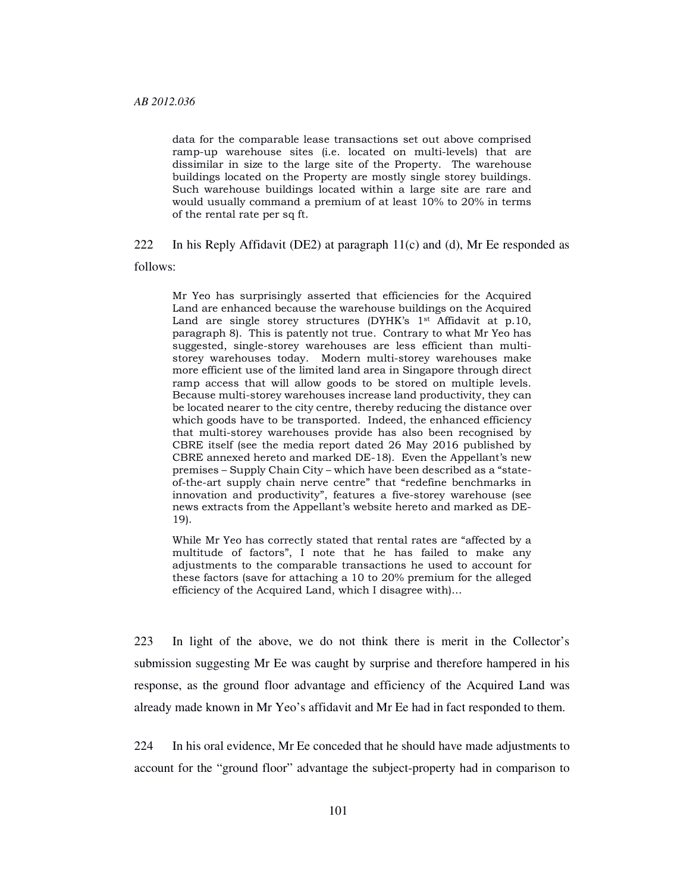data for the comparable lease transactions set out above comprised ramp-up warehouse sites (i.e. located on multi-levels) that are dissimilar in size to the large site of the Property. The warehouse buildings located on the Property are mostly single storey buildings. Such warehouse buildings located within a large site are rare and would usually command a premium of at least 10% to 20% in terms of the rental rate per sq ft.

222 In his Reply Affidavit (DE2) at paragraph  $11(c)$  and (d), Mr Ee responded as follows:

Mr Yeo has surprisingly asserted that efficiencies for the Acquired Land are enhanced because the warehouse buildings on the Acquired Land are single storey structures (DYHK's 1<sup>st</sup> Affidavit at p.10, paragraph 8). This is patently not true. Contrary to what Mr Yeo has suggested, single-storey warehouses are less efficient than multistorey warehouses today. Modern multi-storey warehouses make more efficient use of the limited land area in Singapore through direct ramp access that will allow goods to be stored on multiple levels. Because multi-storey warehouses increase land productivity, they can be located nearer to the city centre, thereby reducing the distance over which goods have to be transported. Indeed, the enhanced efficiency that multi-storey warehouses provide has also been recognised by CBRE itself (see the media report dated 26 May 2016 published by CBRE annexed hereto and marked DE-18). Even the Appellant's new premises – Supply Chain City – which have been described as a "stateof-the-art supply chain nerve centre" that "redefine benchmarks in innovation and productivity", features a five-storey warehouse (see news extracts from the Appellant's website hereto and marked as DE-19).

While Mr Yeo has correctly stated that rental rates are "affected by a multitude of factors", I note that he has failed to make any adjustments to the comparable transactions he used to account for these factors (save for attaching a 10 to 20% premium for the alleged efficiency of the Acquired Land, which I disagree with)…

223 In light of the above, we do not think there is merit in the Collector's submission suggesting Mr Ee was caught by surprise and therefore hampered in his response, as the ground floor advantage and efficiency of the Acquired Land was already made known in Mr Yeo's affidavit and Mr Ee had in fact responded to them.

224 In his oral evidence, Mr Ee conceded that he should have made adjustments to account for the "ground floor" advantage the subject-property had in comparison to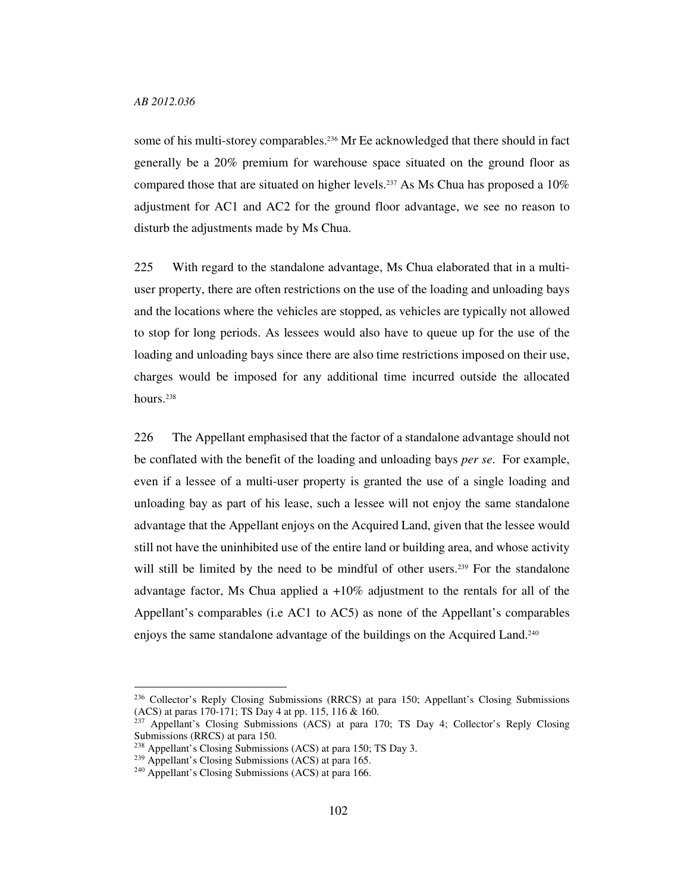some of his multi-storey comparables.<sup>236</sup> Mr Ee acknowledged that there should in fact generally be a 20% premium for warehouse space situated on the ground floor as compared those that are situated on higher levels.<sup>237</sup> As Ms Chua has proposed a  $10\%$ adjustment for AC1 and AC2 for the ground floor advantage, we see no reason to disturb the adjustments made by Ms Chua.

225 With regard to the standalone advantage, Ms Chua elaborated that in a multiuser property, there are often restrictions on the use of the loading and unloading bays and the locations where the vehicles are stopped, as vehicles are typically not allowed to stop for long periods. As lessees would also have to queue up for the use of the loading and unloading bays since there are also time restrictions imposed on their use, charges would be imposed for any additional time incurred outside the allocated hours.<sup>238</sup>

226 The Appellant emphasised that the factor of a standalone advantage should not be conflated with the benefit of the loading and unloading bays *per se*. For example, even if a lessee of a multi-user property is granted the use of a single loading and unloading bay as part of his lease, such a lessee will not enjoy the same standalone advantage that the Appellant enjoys on the Acquired Land, given that the lessee would still not have the uninhibited use of the entire land or building area, and whose activity will still be limited by the need to be mindful of other users.<sup>239</sup> For the standalone advantage factor, Ms Chua applied a +10% adjustment to the rentals for all of the Appellant's comparables (i.e AC1 to AC5) as none of the Appellant's comparables enjoys the same standalone advantage of the buildings on the Acquired Land.<sup>240</sup>

<sup>&</sup>lt;sup>236</sup> Collector's Reply Closing Submissions (RRCS) at para 150; Appellant's Closing Submissions (ACS) at paras 170-171; TS Day 4 at pp. 115, 116 & 160.

<sup>&</sup>lt;sup>237</sup> Appellant's Closing Submissions (ACS) at para 170; TS Day 4; Collector's Reply Closing Submissions (RRCS) at para 150.

<sup>238</sup> Appellant's Closing Submissions (ACS) at para 150; TS Day 3.

<sup>239</sup> Appellant's Closing Submissions (ACS) at para 165.

<sup>240</sup> Appellant's Closing Submissions (ACS) at para 166.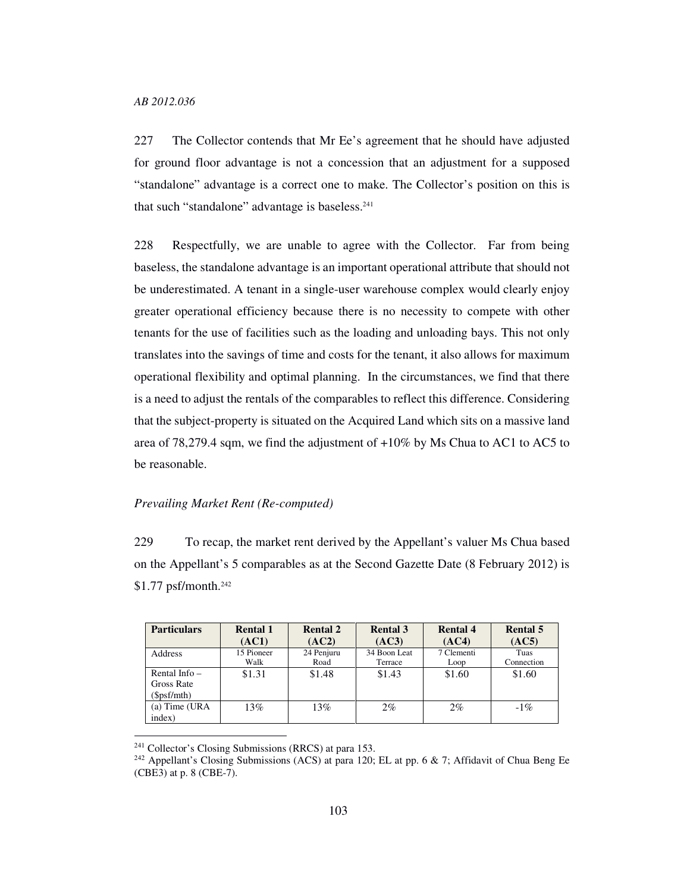227 The Collector contends that Mr Ee's agreement that he should have adjusted for ground floor advantage is not a concession that an adjustment for a supposed "standalone" advantage is a correct one to make. The Collector's position on this is that such "standalone" advantage is baseless.<sup>241</sup>

228 Respectfully, we are unable to agree with the Collector. Far from being baseless, the standalone advantage is an important operational attribute that should not be underestimated. A tenant in a single-user warehouse complex would clearly enjoy greater operational efficiency because there is no necessity to compete with other tenants for the use of facilities such as the loading and unloading bays. This not only translates into the savings of time and costs for the tenant, it also allows for maximum operational flexibility and optimal planning. In the circumstances, we find that there is a need to adjust the rentals of the comparables to reflect this difference. Considering that the subject-property is situated on the Acquired Land which sits on a massive land area of 78,279.4 sqm, we find the adjustment of +10% by Ms Chua to AC1 to AC5 to be reasonable.

# *Prevailing Market Rent (Re-computed)*

229 To recap, the market rent derived by the Appellant's valuer Ms Chua based on the Appellant's 5 comparables as at the Second Gazette Date (8 February 2012) is \$1.77 psf/month.<sup>242</sup>

| <b>Particulars</b>                          | <b>Rental 1</b> | <b>Rental 2</b> | <b>Rental 3</b> | <b>Rental 4</b> | <b>Rental 5</b> |
|---------------------------------------------|-----------------|-----------------|-----------------|-----------------|-----------------|
|                                             | (AC1)           | (AC2)           | (AC3)           | (AC4)           | (AC5)           |
| <b>Address</b>                              | 15 Pioneer      | 24 Penjuru      | 34 Boon Leat    | 7 Clementi      | Tuas            |
|                                             | Walk            | Road            | Terrace         | Loop            | Connection      |
| Rental Info $-$<br>Gross Rate<br>(Spsf/mth) | \$1.31          | \$1.48          | \$1.43          | \$1.60          | \$1.60          |
| (a) Time (URA<br>index)                     | 13%             | 13%             | $2\%$           | 2%              | $-1\%$          |

<sup>241</sup> Collector's Closing Submissions (RRCS) at para 153.

<sup>&</sup>lt;sup>242</sup> Appellant's Closing Submissions (ACS) at para 120; EL at pp. 6 & 7; Affidavit of Chua Beng Ee (CBE3) at p. 8 (CBE-7).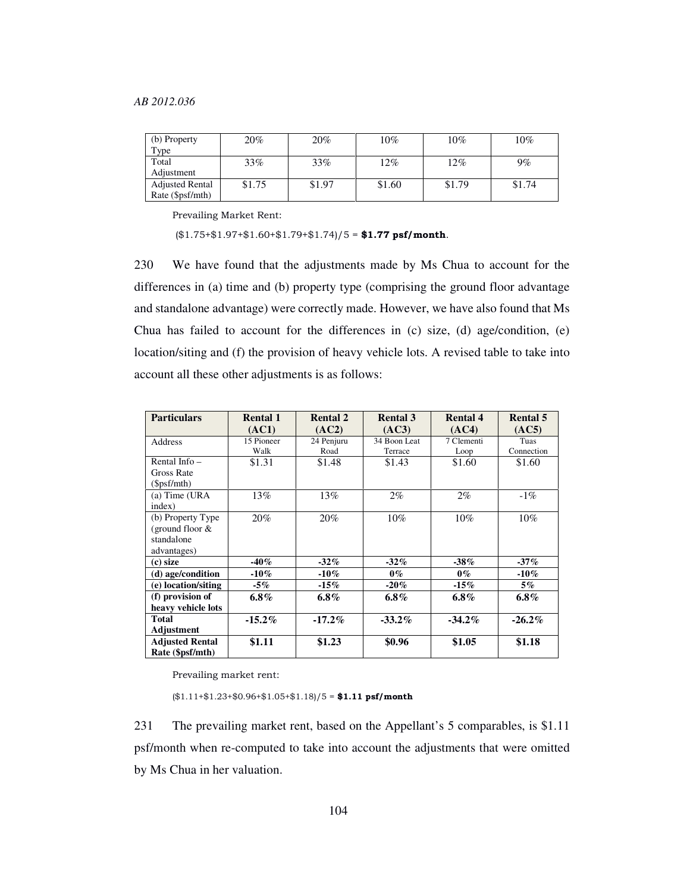| (b) Property           | 20%    | 20%    | 10%    | $10\%$ | 10%    |
|------------------------|--------|--------|--------|--------|--------|
| Type                   |        |        |        |        |        |
| Total                  | 33%    | 33%    | 12%    | 12%    | 9%     |
| Adjustment             |        |        |        |        |        |
| <b>Adjusted Rental</b> | \$1.75 | \$1.97 | \$1.60 | \$1.79 | \$1.74 |
| Rate (\$psf/mth)       |        |        |        |        |        |

Prevailing Market Rent:

 $($1.75+$1.97+$1.60+$1.79+$1.74)/5 = $1.77 psf/month.$ 

230 We have found that the adjustments made by Ms Chua to account for the differences in (a) time and (b) property type (comprising the ground floor advantage and standalone advantage) were correctly made. However, we have also found that Ms Chua has failed to account for the differences in (c) size, (d) age/condition, (e) location/siting and (f) the provision of heavy vehicle lots. A revised table to take into account all these other adjustments is as follows:

| <b>Particulars</b>     | <b>Rental 1</b> | <b>Rental 2</b> | <b>Rental 3</b> | <b>Rental 4</b> | <b>Rental 5</b> |
|------------------------|-----------------|-----------------|-----------------|-----------------|-----------------|
|                        | (AC1)           | (AC2)           | (AC3)           | (AC4)           | (AC5)           |
| Address                | 15 Pioneer      | 24 Penjuru      | 34 Boon Leat    | 7 Clementi      | Tuas            |
|                        | Walk            | Road            | Terrace         | Loop            | Connection      |
| Rental Info $-$        | \$1.31          | \$1.48          | \$1.43          | \$1.60          | \$1.60          |
| Gross Rate             |                 |                 |                 |                 |                 |
| $(\$psf/mth)$          |                 |                 |                 |                 |                 |
| $(a)$ Time (URA)       | 13%             | 13%             | $2\%$           | $2\%$           | $-1\%$          |
| index)                 |                 |                 |                 |                 |                 |
| (b) Property Type      | 20%             | 20%             | $10\%$          | $10\%$          | $10\%$          |
| (ground floor $&$      |                 |                 |                 |                 |                 |
| standalone             |                 |                 |                 |                 |                 |
| advantages)            |                 |                 |                 |                 |                 |
| (c) size               | $-40\%$         | $-32\%$         | $-32\%$         | $-38%$          | $-37\%$         |
| (d) age/condition      | $-10\%$         | $-10\%$         | $0\%$           | $0\%$           | $-10\%$         |
| (e) location/siting    | $-5\%$          | $-15\%$         | $-20\%$         | $-15\%$         | $5\%$           |
| (f) provision of       | $6.8\%$         | $6.8\%$         | $6.8\%$         | $6.8\%$         | $6.8\%$         |
| heavy vehicle lots     |                 |                 |                 |                 |                 |
| Total                  | $-15.2\%$       | $-17.2\%$       | $-33.2\%$       | $-34.2\%$       | $-26.2\%$       |
| Adjustment             |                 |                 |                 |                 |                 |
| <b>Adjusted Rental</b> | \$1.11          | \$1.23          | \$0.96          | \$1.05          | \$1.18          |
| Rate (\$psf/mth)       |                 |                 |                 |                 |                 |

Prevailing market rent:

 $(\$1.11+\$1.23+\$0.96+\$1.05+\$1.18)/5 = \$1.11$  psf/month

231 The prevailing market rent, based on the Appellant's 5 comparables, is \$1.11 psf/month when re-computed to take into account the adjustments that were omitted by Ms Chua in her valuation.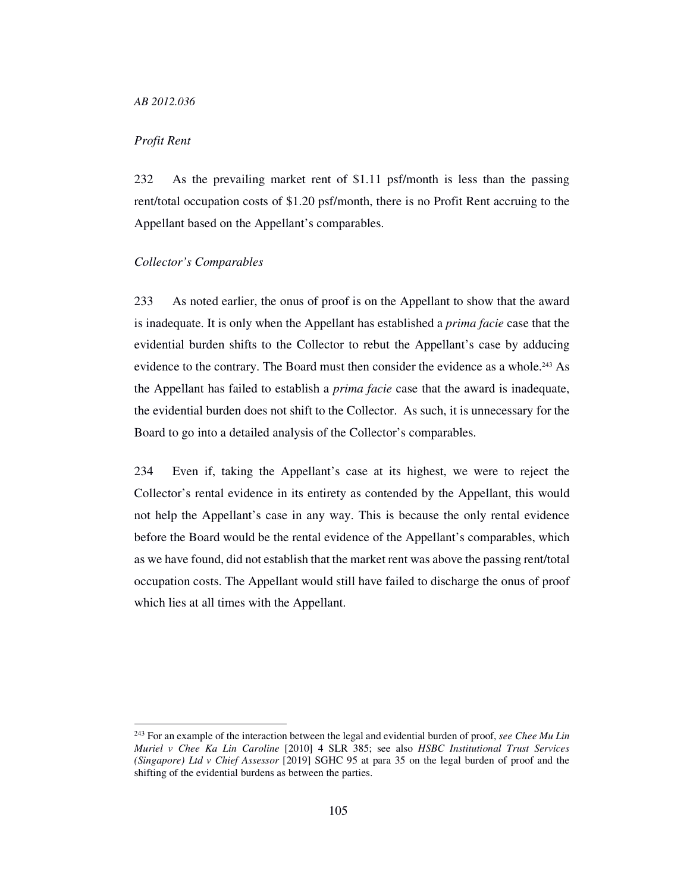# *Profit Rent*

-

232 As the prevailing market rent of \$1.11 psf/month is less than the passing rent/total occupation costs of \$1.20 psf/month, there is no Profit Rent accruing to the Appellant based on the Appellant's comparables.

## *Collector's Comparables*

233 As noted earlier, the onus of proof is on the Appellant to show that the award is inadequate. It is only when the Appellant has established a *prima facie* case that the evidential burden shifts to the Collector to rebut the Appellant's case by adducing evidence to the contrary. The Board must then consider the evidence as a whole.<sup>243</sup> As the Appellant has failed to establish a *prima facie* case that the award is inadequate, the evidential burden does not shift to the Collector. As such, it is unnecessary for the Board to go into a detailed analysis of the Collector's comparables.

234 Even if, taking the Appellant's case at its highest, we were to reject the Collector's rental evidence in its entirety as contended by the Appellant, this would not help the Appellant's case in any way. This is because the only rental evidence before the Board would be the rental evidence of the Appellant's comparables, which as we have found, did not establish that the market rent was above the passing rent/total occupation costs. The Appellant would still have failed to discharge the onus of proof which lies at all times with the Appellant.

<sup>243</sup> For an example of the interaction between the legal and evidential burden of proof, *see Chee Mu Lin Muriel v Chee Ka Lin Caroline* [2010] 4 SLR 385; see also *HSBC Institutional Trust Services (Singapore) Ltd v Chief Assessor* [2019] SGHC 95 at para 35 on the legal burden of proof and the shifting of the evidential burdens as between the parties.